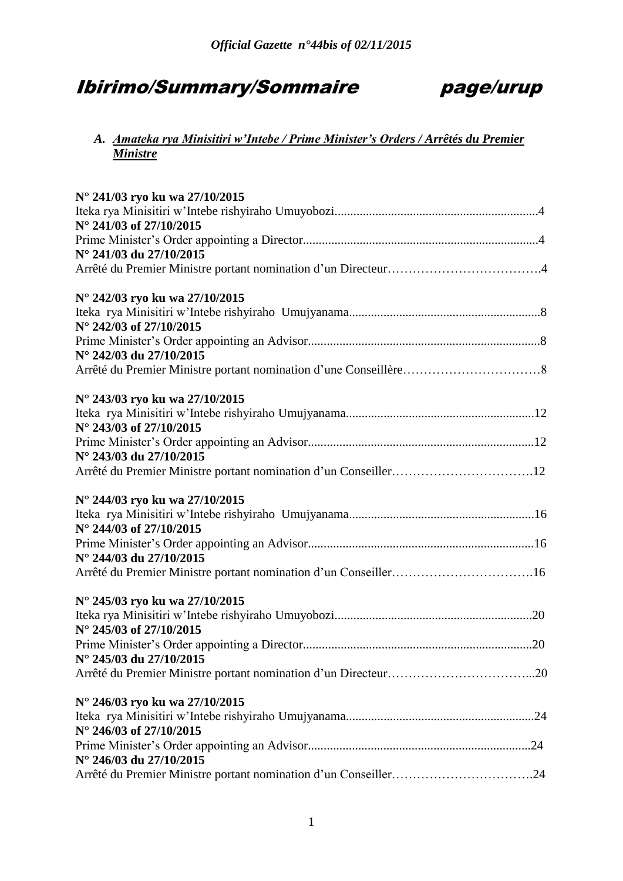# Ibirimo/Summary/Sommaire page/urup



# *A. Amateka rya Minisitiri w'Intebe / Prime Minister's Orders / Arrêtés du Premier Ministre*

| N° 241/03 ryo ku wa 27/10/2015 |  |
|--------------------------------|--|
|                                |  |
| N° 241/03 of 27/10/2015        |  |
|                                |  |
| N° 241/03 du 27/10/2015        |  |
|                                |  |
|                                |  |
| N° 242/03 ryo ku wa 27/10/2015 |  |
|                                |  |
| N° 242/03 of 27/10/2015        |  |
|                                |  |
| N° 242/03 du 27/10/2015        |  |
|                                |  |
|                                |  |
| N° 243/03 ryo ku wa 27/10/2015 |  |
|                                |  |
| N° 243/03 of 27/10/2015        |  |
|                                |  |
| N° 243/03 du 27/10/2015        |  |
|                                |  |
| N° 244/03 ryo ku wa 27/10/2015 |  |
|                                |  |
| N° 244/03 of 27/10/2015        |  |
|                                |  |
| N° 244/03 du 27/10/2015        |  |
|                                |  |
|                                |  |
| N° 245/03 ryo ku wa 27/10/2015 |  |
|                                |  |
| N° 245/03 of 27/10/2015        |  |
|                                |  |
| N° 245/03 du 27/10/2015        |  |
|                                |  |
|                                |  |
| N° 246/03 ryo ku wa 27/10/2015 |  |
|                                |  |
| N° 246/03 of 27/10/2015        |  |
|                                |  |
| N° 246/03 du 27/10/2015        |  |
|                                |  |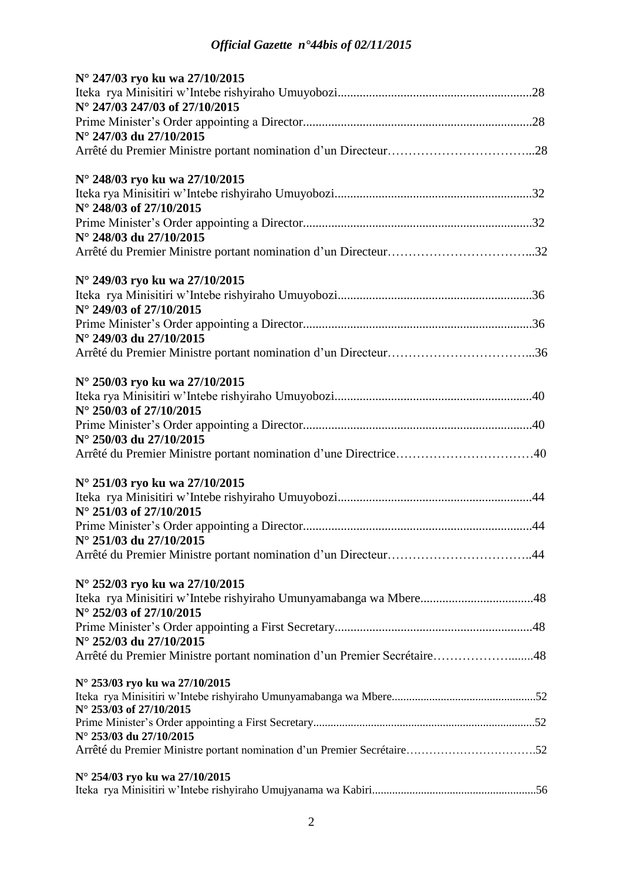| N° 247/03 ryo ku wa 27/10/2015                                                              |
|---------------------------------------------------------------------------------------------|
|                                                                                             |
| N° 247/03 247/03 of 27/10/2015                                                              |
| N° 247/03 du 27/10/2015                                                                     |
|                                                                                             |
|                                                                                             |
| N° 248/03 ryo ku wa 27/10/2015                                                              |
| N° 248/03 of 27/10/2015                                                                     |
|                                                                                             |
| N° 248/03 du 27/10/2015                                                                     |
|                                                                                             |
| N° 249/03 ryo ku wa 27/10/2015                                                              |
|                                                                                             |
| N° 249/03 of 27/10/2015                                                                     |
|                                                                                             |
| N° 249/03 du 27/10/2015                                                                     |
|                                                                                             |
| N° 250/03 ryo ku wa 27/10/2015                                                              |
|                                                                                             |
| N° 250/03 of 27/10/2015                                                                     |
|                                                                                             |
| N° 250/03 du 27/10/2015<br>Arrêté du Premier Ministre portant nomination d'une Directrice40 |
|                                                                                             |
| N° 251/03 ryo ku wa 27/10/2015                                                              |
|                                                                                             |
| N° 251/03 of 27/10/2015                                                                     |
| N° 251/03 du 27/10/2015                                                                     |
|                                                                                             |
|                                                                                             |
| N° 252/03 ryo ku wa 27/10/2015                                                              |
|                                                                                             |
| N° 252/03 of 27/10/2015                                                                     |
| N° 252/03 du 27/10/2015                                                                     |
| Arrêté du Premier Ministre portant nomination d'un Premier Secrétaire48                     |
|                                                                                             |
| N° 253/03 ryo ku wa 27/10/2015                                                              |
| N° 253/03 of 27/10/2015                                                                     |
|                                                                                             |
| N° 253/03 du 27/10/2015                                                                     |
| Arrêté du Premier Ministre portant nomination d'un Premier Secrétaire52                     |
| N° 254/03 ryo ku wa 27/10/2015                                                              |
|                                                                                             |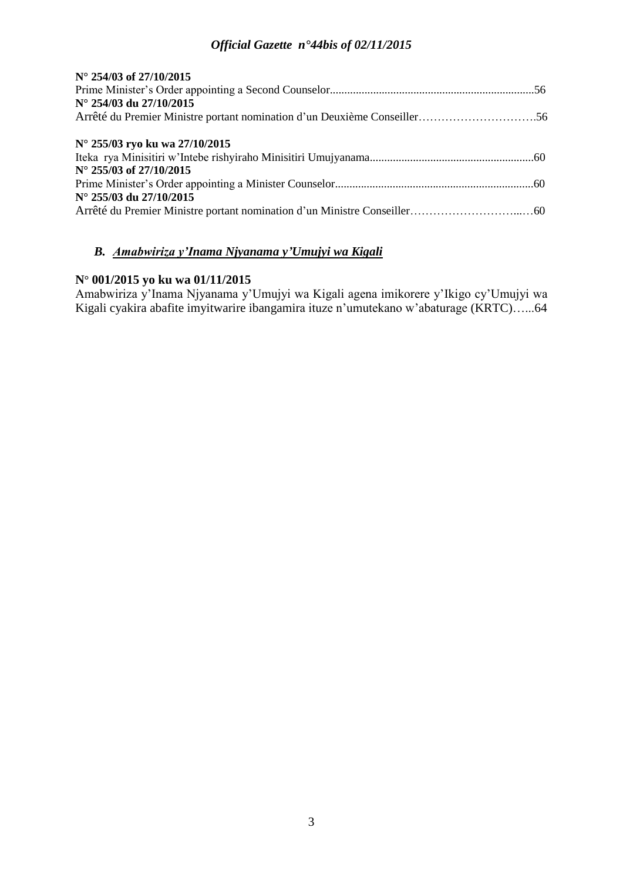| N° 254/03 of 27/10/2015                                                  |  |
|--------------------------------------------------------------------------|--|
|                                                                          |  |
| N° 254/03 du 27/10/2015                                                  |  |
| Arrêté du Premier Ministre portant nomination d'un Deuxième Conseiller56 |  |
| N° 255/03 ryo ku wa 27/10/2015                                           |  |
|                                                                          |  |
| $N^{\circ}$ 255/03 of 27/10/2015                                         |  |
|                                                                          |  |
| N° 255/03 du 27/10/2015                                                  |  |
|                                                                          |  |

# *B. Amabwiriza y'Inama Njyanama y'Umujyi wa Kigali*

# **N° 001/2015 yo ku wa 01/11/2015**

Amabwiriza y'Inama Njyanama y'Umujyi wa Kigali agena imikorere y'Ikigo cy'Umujyi wa Kigali cyakira abafite imyitwarire ibangamira ituze n'umutekano w'abaturage (KRTC)…...64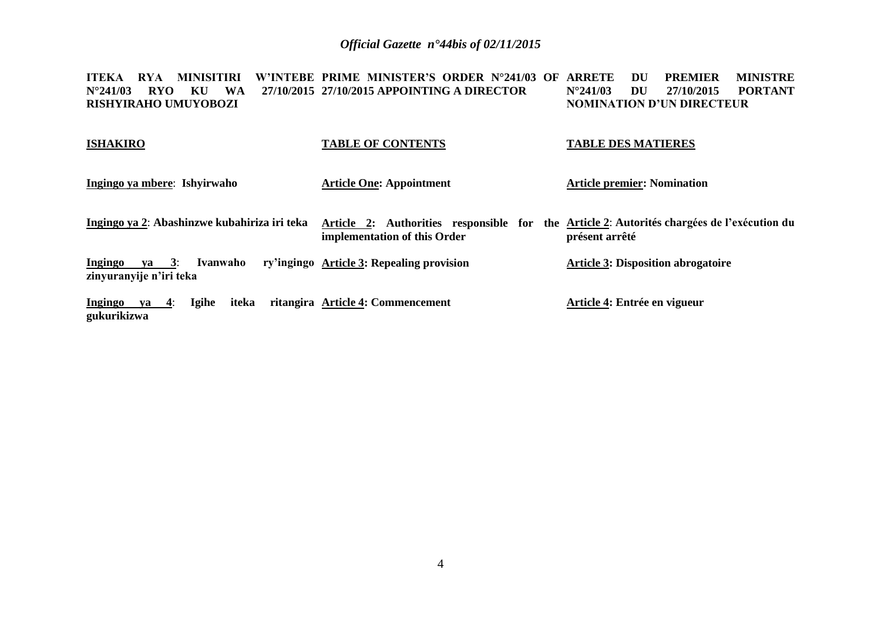ITEKA RYA MINISITIRI W'INTEBE PRIME MINISTER'S ORDER N°241/03 OF ARRETE DU PREMIER MINISTRE **N°241/03 RYO KU WA 27/10/2015 27/10/2015 APPOINTING A DIRECTOR RISHYIRAHO UMUYOBOZI N°241/03 DU 27/10/2015 PORTANT NOMINATION D'UN DIRECTEUR**

| <b>ISHAKIRO</b>                                                     | <b>TABLE OF CONTENTS</b>                                                                                                   | <b>TABLE DES MATIERES</b>                 |
|---------------------------------------------------------------------|----------------------------------------------------------------------------------------------------------------------------|-------------------------------------------|
| Ingingo ya mbere: Ishyirwaho                                        | <b>Article One: Appointment</b>                                                                                            | <b>Article premier: Nomination</b>        |
| Ingingo ya 2: Abashinzwe kubahiriza iri teka                        | Article 2: Authorities responsible for the Article 2: Autorités chargées de l'exécution du<br>implementation of this Order | présent arrêté                            |
| <b>Ingingo</b><br>$ya = 3$ :<br>Ivanwaho<br>zinyuranyije n'iri teka | ry'ingingo Article 3: Repealing provision                                                                                  | <b>Article 3: Disposition abrogatoire</b> |
| Ingingo ya $4$ :<br>iteka<br><b>Igihe</b><br>gukurikizwa            | ritangira Article 4: Commencement                                                                                          | Article 4: Entrée en vigueur              |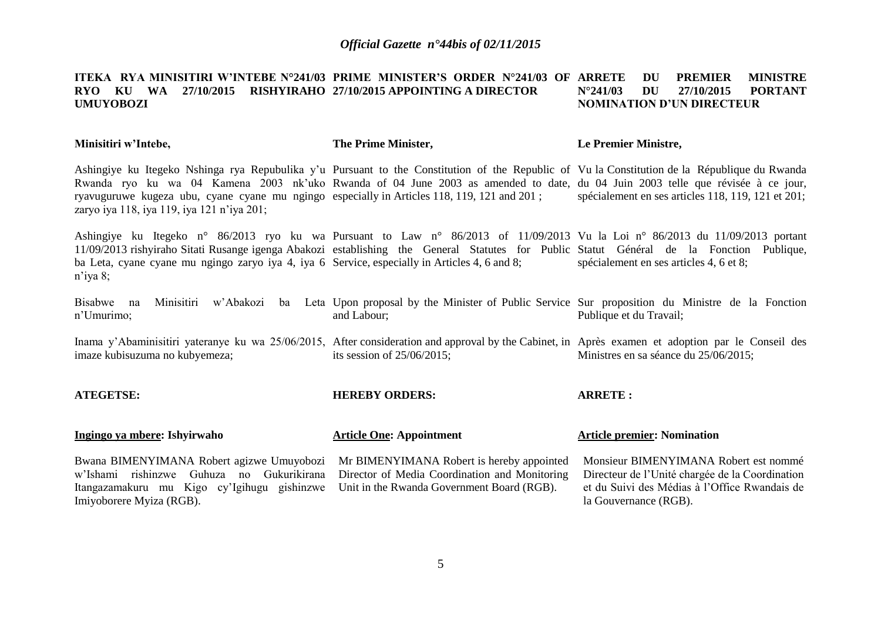#### **ITEKA RYA MINISITIRI W'INTEBE N°241/03 PRIME MINISTER'S ORDER N°241/03 OF RYO KU WA 27/10/2015 RISHYIRAHO 27/10/2015 APPOINTING A DIRECTOR UMUYOBOZI DU PREMIER MINISTRE N°241/03 DU 27/10/2015 PORTANT NOMINATION D'UN DIRECTEUR**

**Minisitiri w'Intebe,**

Imiyoborere Myiza (RGB).

**The Prime Minister,**

#### **Le Premier Ministre,**

et du Suivi des Médias à l'Office Rwandais de

la Gouvernance (RGB).

Ashingiye ku Itegeko Nshinga rya Repubulika y'u Pursuant to the Constitution of the Republic of Vu la Constitution de la République du Rwanda Rwanda ryo ku wa 04 Kamena 2003 nk'uko Rwanda of 04 June 2003 as amended to date, du 04 Juin 2003 telle que révisée à ce jour, ryavuguruwe kugeza ubu, cyane cyane mu ngingo especially in Articles 118, 119, 121 and 201 ; zaryo iya 118, iya 119, iya 121 n'iya 201; spécialement en ses articles 118, 119, 121 et 201;

Ashingiye ku Itegeko n° 86/2013 ryo ku wa Pursuant to Law n° 86/2013 of 11/09/2013 Vu la Loi n° 86/2013 du 11/09/2013 portant 11/09/2013 rishyiraho Sitati Rusange igenga Abakozi establishing the General Statutes for Public Statut Général de la Fonction Publique, ba Leta, cyane cyane mu ngingo zaryo iya 4, iya 6 Service, especially in Articles 4, 6 and 8; n'iya 8; spécialement en ses articles 4, 6 et 8;

Bisabwe na Minisitiri w'Abakozi ba Leta Upon-proposal-by-the-Minister of Public Service Sur-proposition du Ministre de la Fonction n'Umurimo; and Labour; Publique et du Travail;

Inama y'Abaminisitiri yateranye ku wa 25/06/2015, After consideration and approval by the Cabinet, in Après examen et adoption par le Conseil des imaze kubisuzuma no kubyemeza; its session of 25/06/2015; Ministres en sa séance du 25/06/2015;

| <b>ATEGETSE:</b>                                                                                                                                                               | <b>HEREBY ORDERS:</b>           | <b>ARRETE:</b>                                                                           |
|--------------------------------------------------------------------------------------------------------------------------------------------------------------------------------|---------------------------------|------------------------------------------------------------------------------------------|
| Ingingo ya mbere: Ishyirwaho                                                                                                                                                   | <b>Article One: Appointment</b> | <b>Article premier: Nomination</b>                                                       |
| Bwana BIMENYIMANA Robert agizwe Umuyobozi Mr BIMENYIMANA Robert is hereby appointed<br>w'Ishami rishinzwe Guhuza no Gukurikirana Director of Media Coordination and Monitoring |                                 | Monsieur BIMENYIMANA Robert est nommé<br>Directeur de l'Unité chargée de la Coordination |

Itangazamakuru mu Kigo cy'Igihugu gishinzwe Unit in the Rwanda Government Board (RGB).

## 5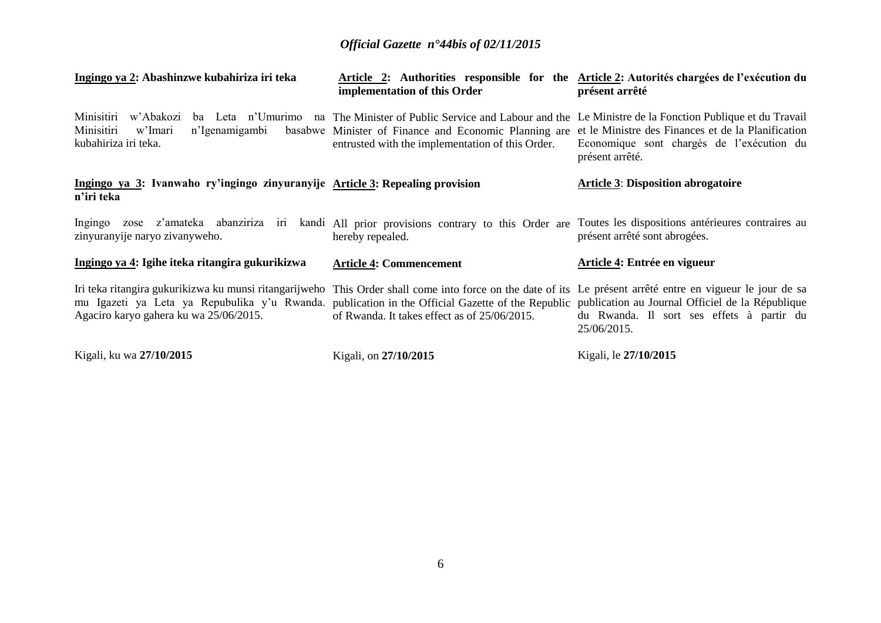| Ingingo ya 2: Abashinzwe kubahiriza iri teka                                                                                                                                                                                                          | Article 2: Authorities responsible for the Article 2: Autorités chargées de l'exécution du<br>implementation of this Order                                                                                                            | présent arrêté                                                                                                     |
|-------------------------------------------------------------------------------------------------------------------------------------------------------------------------------------------------------------------------------------------------------|---------------------------------------------------------------------------------------------------------------------------------------------------------------------------------------------------------------------------------------|--------------------------------------------------------------------------------------------------------------------|
| Minisitiri<br>w'Abakozi<br>Minisitiri<br>w'Imari<br>n'Igenamigambi<br>kubahiriza iri teka.                                                                                                                                                            | ba Leta n'Umurimo na The Minister of Public Service and Labour and the Le Ministre de la Fonction Publique et du Travail<br>basabwe Minister of Finance and Economic Planning are<br>entrusted with the implementation of this Order. | et le Ministre des Finances et de la Planification<br>Economique sont chargés de l'exécution du<br>présent arrêté. |
| Ingingo ya 3: Ivanwaho ry'ingingo zinyuranyije Article 3: Repealing provision<br>n'iri teka                                                                                                                                                           |                                                                                                                                                                                                                                       | <b>Article 3: Disposition abrogatoire</b>                                                                          |
| Ingingo<br>zinyuranyije naryo zivanyweho.                                                                                                                                                                                                             | zose z'amateka abanziriza iri kandi All prior provisions contrary to this Order are Toutes les dispositions antérieures contraires au<br>hereby repealed.                                                                             | présent arrêté sont abrogées.                                                                                      |
| Ingingo ya 4: Igihe iteka ritangira gukurikizwa                                                                                                                                                                                                       | <b>Article 4: Commencement</b>                                                                                                                                                                                                        | Article 4: Entrée en vigueur                                                                                       |
| Iri teka ritangira gukurikizwa ku munsi ritangarijweho This Order shall come into force on the date of its Le présent arrêté entre en vigueur le jour de sa<br>mu Igazeti ya Leta ya Repubulika y'u Rwanda.<br>Agaciro karyo gahera ku wa 25/06/2015. | publication in the Official Gazette of the Republic publication au Journal Officiel de la République<br>of Rwanda. It takes effect as of 25/06/2015.                                                                                  | du Rwanda. Il sort ses effets à partir du<br>25/06/2015.                                                           |
| Kigali, ku wa 27/10/2015                                                                                                                                                                                                                              | Kigali, on 27/10/2015                                                                                                                                                                                                                 | Kigali, le 27/10/2015                                                                                              |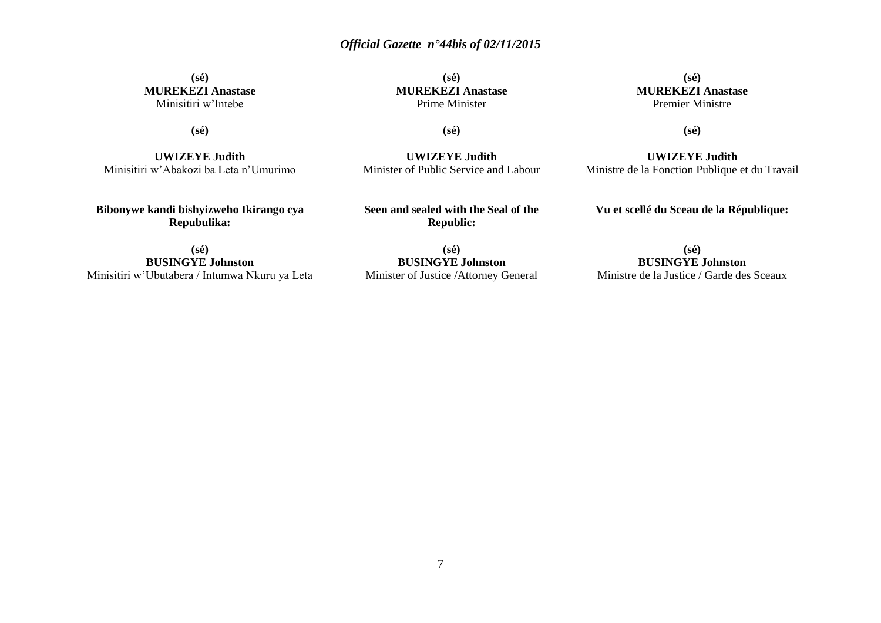#### **(sé) MUREKEZI Anastase** Minisitiri w'Intebe

**(sé) MUREKEZI Anastase** Prime Minister

**(sé)**

**UWIZEYE Judith** Minister of Public Service and Labour

**(sé) MUREKEZI Anastase** Premier Ministre

**(sé)**

**(sé)**

**UWIZEYE Judith** Minisitiri w'Abakozi ba Leta n'Umurimo

**Bibonywe kandi bishyizweho Ikirango cya Repubulika:**

**Seen and sealed with the Seal of the**

**Republic:**

**(sé) BUSINGYE Johnston** Minisitiri w'Ubutabera / Intumwa Nkuru ya Leta

**(sé) BUSINGYE Johnston** Minister of Justice /Attorney General

**UWIZEYE Judith** Ministre de la Fonction Publique et du Travail

**Vu et scellé du Sceau de la République:**

**(sé) BUSINGYE Johnston** Ministre de la Justice / Garde des Sceaux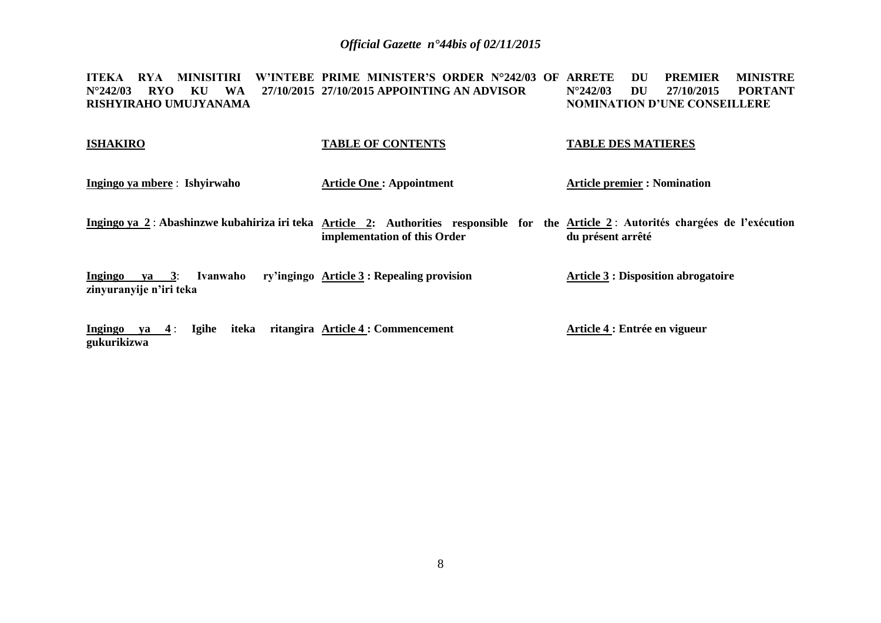**ITEKA RYA MINISITIRI W'INTEBE PRIME MINISTER'S ORDER N°242/03 OF ARRETE DU PREMIER MINISTRE N°242/03 RYO KU WA 27/10/2015 27/10/2015 APPOINTING AN ADVISOR RISHYIRAHO UMUJYANAMA N°242/03 DU 27/10/2015 PORTANT NOMINATION D'UNE CONSEILLERE**

| <b>ISHAKIRO</b>                                      | <b>TABLE OF CONTENTS</b>                                                                                                                                             | <b>TABLE DES MATIERES</b>                  |
|------------------------------------------------------|----------------------------------------------------------------------------------------------------------------------------------------------------------------------|--------------------------------------------|
| Ingingo ya mbere : Ishyirwaho                        | <b>Article One: Appointment</b>                                                                                                                                      | <b>Article premier : Nomination</b>        |
|                                                      | Ingingo ya 2: Abashinzwe kubahiriza iri teka Article 2: Authorities responsible for the Article 2: Autorités chargées de l'exécution<br>implementation of this Order | du présent arrêté                          |
| ya 3: Ivanwaho<br>Ingingo<br>zinyuranyije n'iri teka | ry'ingingo Article 3 : Repealing provision                                                                                                                           | <b>Article 3 : Disposition abrogatoire</b> |
| iteka<br>Ingingo<br>ya $4:$<br>Igihe<br>gukurikizwa  | ritangira Article 4 : Commencement                                                                                                                                   | Article 4 : Entrée en vigueur              |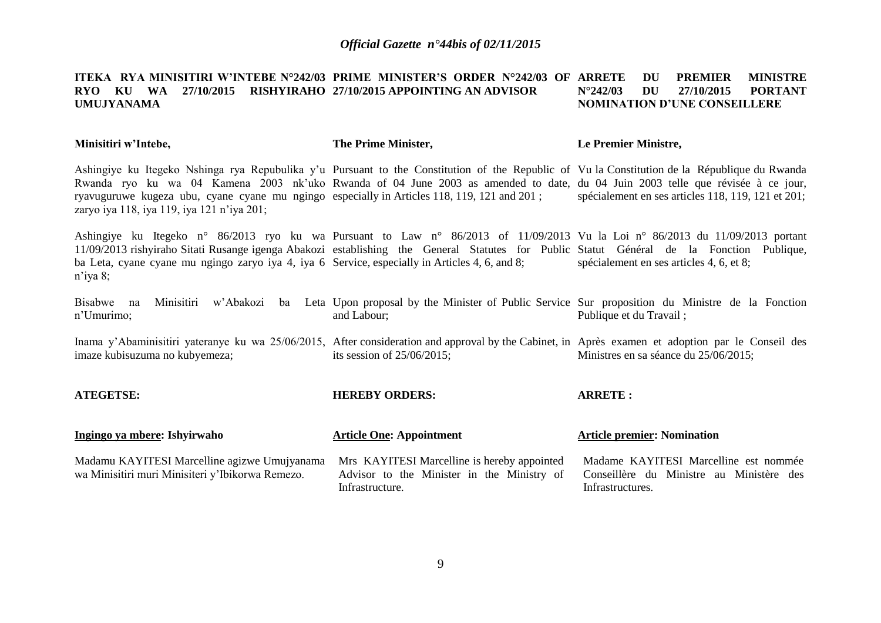#### **ITEKA RYA<code>MINISITIRI</code> W'INTEBE N°242/03 PRIME MINISTER'S ORDER N°242/03 OF ARRETE**  $\,$  **DU**  $\,$  **PREMIER**  $\,$  **MINISTRE RYO KU WA 27/10/2015 RISHYIRAHO 27/10/2015 APPOINTING AN ADVISOR UMUJYANAMA N°242/03 DU 27/10/2015 PORTANT NOMINATION D'UNE CONSEILLERE**

**Minisitiri w'Intebe,**

**The Prime Minister,**

#### **Le Premier Ministre,**

Ashingiye ku Itegeko Nshinga rya Repubulika y'u Pursuant to the Constitution of the Republic of Vu la Constitution de la République du Rwanda Rwanda ryo ku wa 04 Kamena 2003 nk'uko Rwanda of 04 June 2003 as amended to date, du 04 Juin 2003 telle que révisée à ce jour, ryavuguruwe kugeza ubu, cyane cyane mu ngingo especially in Articles 118, 119, 121 and 201 ; zaryo iya 118, iya 119, iya 121 n'iya 201; spécialement en ses articles 118, 119, 121 et 201;

Ashingiye ku Itegeko n° 86/2013 ryo ku wa Pursuant to Law n° 86/2013 of 11/09/2013 Vu la Loi n° 86/2013 du 11/09/2013 portant 11/09/2013 rishyiraho Sitati Rusange igenga Abakozi establishing the General Statutes for Public Statut Général de la Fonction Publique, ba Leta, cyane cyane mu ngingo zaryo iya 4, iya 6 Service, especially in Articles 4, 6, and 8; n'iya 8; spécialement en ses articles 4, 6, et 8;

Bisabwe na Minisitiri w'Abakozi ba Leta Upon-proposal-by-the-Minister of Public Service Sur-proposition du Ministre de la Fonction n'Umurimo; and Labour; Publique et du Travail ;

Inama y'Abaminisitiri yateranye ku wa 25/06/2015, After consideration and approval by the Cabinet, in Après examen et adoption par le Conseil des imaze kubisuzuma no kubyemeza; its session of 25/06/2015; Ministres en sa séance du 25/06/2015;

| <b>ATEGETSE:</b>                                                                                 | <b>HEREBY ORDERS:</b>                                                                                        | <b>ARRETE:</b>                                                                                        |
|--------------------------------------------------------------------------------------------------|--------------------------------------------------------------------------------------------------------------|-------------------------------------------------------------------------------------------------------|
| <u>Ingingo ya mbere</u> : Ishyirwaho                                                             | <b>Article One: Appointment</b>                                                                              | <b>Article premier: Nomination</b>                                                                    |
| Madamu KAYITESI Marcelline agizwe Umujyanama<br>wa Minisitiri muri Minisiteri y'Ibikorwa Remezo. | Mrs KAYITESI Marcelline is hereby appointed<br>Advisor to the Minister in the Ministry of<br>Infrastructure. | Madame KAYITESI Marcelline est nommée<br>Conseillère du Ministre au Ministère des<br>Infrastructures. |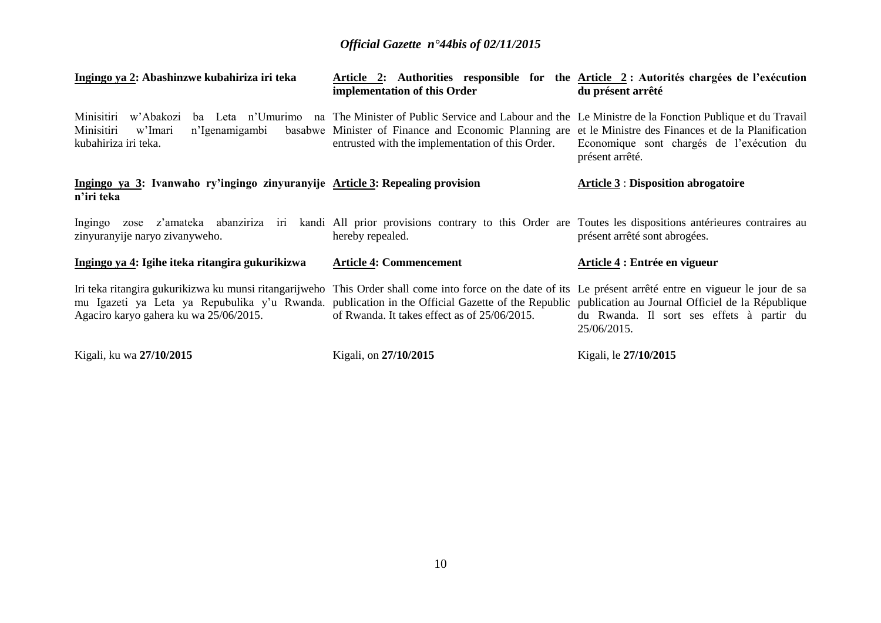| Ingingo ya 2: Abashinzwe kubahiriza iri teka                                                                                                                                                                                                                                                                                                               | Article 2: Authorities responsible for the Article 2: Autorités chargées de l'exécution<br>implementation of this Order                                                                                                                                                                  | du présent arrêté                                            |
|------------------------------------------------------------------------------------------------------------------------------------------------------------------------------------------------------------------------------------------------------------------------------------------------------------------------------------------------------------|------------------------------------------------------------------------------------------------------------------------------------------------------------------------------------------------------------------------------------------------------------------------------------------|--------------------------------------------------------------|
| Minisitiri<br>w'Abakozi<br>Minisitiri<br>w'Imari<br>n'Igenamigambi<br>kubahiriza iri teka.                                                                                                                                                                                                                                                                 | ba Leta n'Umurimo na The Minister of Public Service and Labour and the Le Ministre de la Fonction Publique et du Travail<br>basabwe Minister of Finance and Economic Planning are et le Ministre des Finances et de la Planification<br>entrusted with the implementation of this Order. | Economique sont chargés de l'exécution du<br>présent arrêté. |
| Ingingo ya 3: Ivanwaho ry'ingingo zinyuranyije Article 3: Repealing provision<br>n'iri teka                                                                                                                                                                                                                                                                |                                                                                                                                                                                                                                                                                          | <b>Article 3 : Disposition abrogatoire</b>                   |
| Ingingo<br>zinyuranyije naryo zivanyweho.                                                                                                                                                                                                                                                                                                                  | zose z'amateka abanziriza iri kandi All prior provisions contrary to this Order are Toutes les dispositions antérieures contraires au<br>hereby repealed.                                                                                                                                | présent arrêté sont abrogées.                                |
| Ingingo ya 4: Igihe iteka ritangira gukurikizwa                                                                                                                                                                                                                                                                                                            | <b>Article 4: Commencement</b>                                                                                                                                                                                                                                                           | Article 4 : Entrée en vigueur                                |
| Iri teka ritangira gukurikizwa ku munsi ritangarijweho This Order shall come into force on the date of its Le présent arrêté entre en vigueur le jour de sa<br>mu Igazeti ya Leta ya Repubulika y'u Rwanda. publication in the Official Gazette of the Republic publication au Journal Officiel de la République<br>Agaciro karyo gahera ku wa 25/06/2015. | of Rwanda. It takes effect as of 25/06/2015.                                                                                                                                                                                                                                             | du Rwanda. Il sort ses effets à partir du<br>25/06/2015.     |
| Kigali, ku wa 27/10/2015                                                                                                                                                                                                                                                                                                                                   | Kigali, on 27/10/2015                                                                                                                                                                                                                                                                    | Kigali, le 27/10/2015                                        |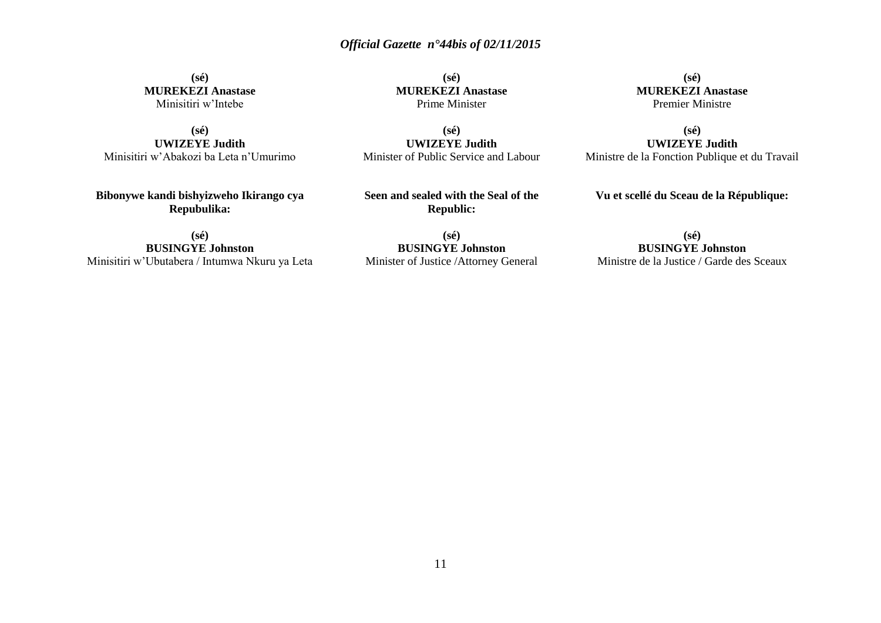**(sé) MUREKEZI Anastase** Minisitiri w'Intebe

**(sé) UWIZEYE Judith** Minisitiri w'Abakozi ba Leta n'Umurimo

**Bibonywe kandi bishyizweho Ikirango cya Repubulika:**

**(sé) BUSINGYE Johnston** Minisitiri w'Ubutabera / Intumwa Nkuru ya Leta

**(sé) MUREKEZI Anastase** Prime Minister

**(sé) UWIZEYE Judith** Minister of Public Service and Labour

**Seen and sealed with the Seal of the Republic:**

**(sé) BUSINGYE Johnston** Minister of Justice /Attorney General

**(sé) MUREKEZI Anastase** Premier Ministre

**(sé) UWIZEYE Judith** Ministre de la Fonction Publique et du Travail

**Vu et scellé du Sceau de la République:**

**(sé) BUSINGYE Johnston** Ministre de la Justice / Garde des Sceaux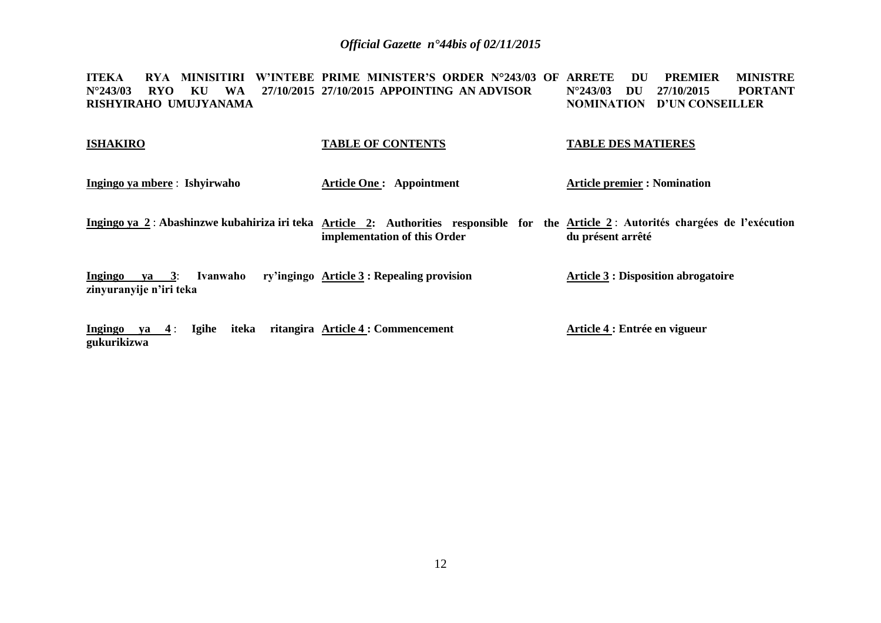**ITEKA RYA MINISITIRI W'INTEBE PRIME MINISTER'S ORDER N°243/03 OF ARRETE DU PREMIER MINISTRE N°243/03 RYO KU WA 27/10/2015 27/10/2015 APPOINTING AN ADVISOR RISHYIRAHO UMUJYANAMA N°243/03 DU 27/10/2015 PORTANT NOMINATION D'UN CONSEILLER**

| <b>ISHAKIRO</b>                                                | <b>TABLE OF CONTENTS</b>                                                                                                                                             | <b>TABLE DES MATIERES</b>                  |
|----------------------------------------------------------------|----------------------------------------------------------------------------------------------------------------------------------------------------------------------|--------------------------------------------|
| Ingingo ya mbere: Ishyirwaho                                   | <b>Article One: Appointment</b>                                                                                                                                      | <b>Article premier : Nomination</b>        |
|                                                                | Ingingo ya 2: Abashinzwe kubahiriza iri teka Article 2: Authorities responsible for the Article 2: Autorités chargées de l'exécution<br>implementation of this Order | du présent arrêté                          |
| <b>Ingingo</b><br>ya 3:<br>Ivanwaho<br>zinyuranyije n'iri teka | ry'ingingo Article 3 : Repealing provision                                                                                                                           | <b>Article 3 : Disposition abrogatoire</b> |

**Ingingo ya 4** : **Igihe iteka ritangira Article 4 : Commencement gukurikizwa Article 4 : Entrée en vigueur**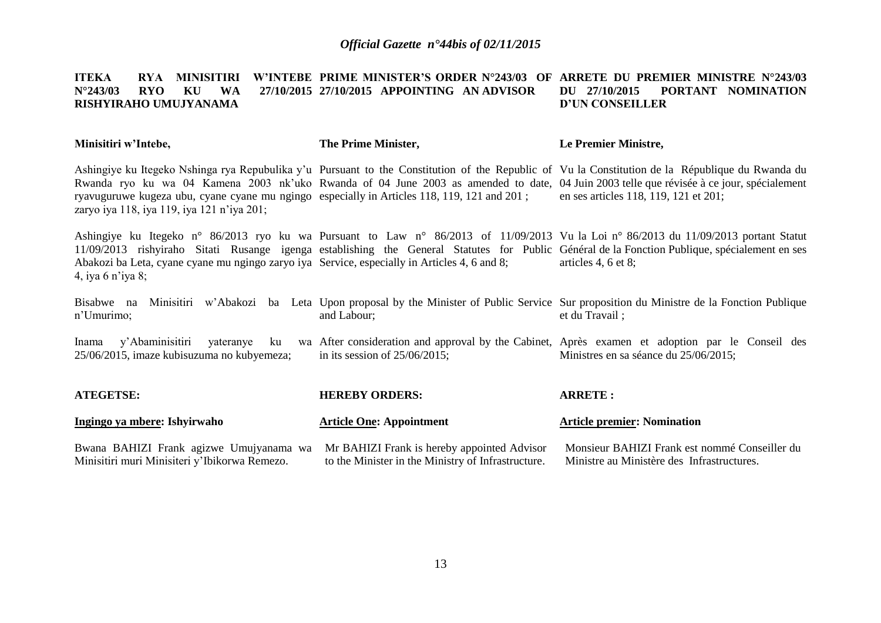#### **ITEKA RYA MINISITIRI W'INTEBE PRIME MINISTER'S ORDER N°243/03 OF ARRETE DU PREMIER MINISTRE N°243/03 N°243/03 RYO KU WA RISHYIRAHO UMUJYANAMA 27/10/2015 APPOINTING AN ADVISOR DU 27/10/2015 PORTANT NOMINATION D'UN CONSEILLER**

| Minisitiri w'Intebe,                                                                                                                      | The Prime Minister,                                                                               | Le Premier Ministre,                                                                                                                                                                                                                                                                                                                  |
|-------------------------------------------------------------------------------------------------------------------------------------------|---------------------------------------------------------------------------------------------------|---------------------------------------------------------------------------------------------------------------------------------------------------------------------------------------------------------------------------------------------------------------------------------------------------------------------------------------|
| ryavuguruwe kugeza ubu, cyane cyane mu ngingo especially in Articles 118, 119, 121 and 201;<br>zaryo iya 118, iya 119, iya 121 n'iya 201; |                                                                                                   | Ashingiye ku Itegeko Nshinga rya Repubulika y'u Pursuant to the Constitution of the Republic of Vu la Constitution de la République du Rwanda du<br>Rwanda ryo ku wa 04 Kamena 2003 nk'uko Rwanda of 04 June 2003 as amended to date, 04 Juin 2003 telle que révisée à ce jour, spécialement<br>en ses articles 118, 119, 121 et 201; |
| Abakozi ba Leta, cyane cyane mu ngingo zaryo iya Service, especially in Articles 4, 6 and 8;<br>4, iya 6 n'iya 8;                         |                                                                                                   | Ashingiye ku Itegeko n° 86/2013 ryo ku wa Pursuant to Law n° 86/2013 of 11/09/2013 Vu la Loi n° 86/2013 du 11/09/2013 portant Statut<br>11/09/2013 rishyiraho Sitati Rusange igenga establishing the General Statutes for Public Général de la Fonction Publique, spécialement en ses<br>articles 4, 6 et 8;                          |
| n'Umurimo;                                                                                                                                | and Labour;                                                                                       | Bisabwe na Minisitiri w'Abakozi ba Leta Upon proposal by the Minister of Public Service Sur proposition du Ministre de la Fonction Publique<br>et du Travail;                                                                                                                                                                         |
| y'Abaminisitiri yateranye<br>Inama<br>25/06/2015, imaze kubisuzuma no kubyemeza;                                                          | in its session of $25/06/2015$ ;                                                                  | ku wa After consideration and approval by the Cabinet, Après examen et adoption par le Conseil des<br>Ministres en sa séance du 25/06/2015;                                                                                                                                                                                           |
| <b>ATEGETSE:</b>                                                                                                                          | <b>HEREBY ORDERS:</b>                                                                             | <b>ARRETE:</b>                                                                                                                                                                                                                                                                                                                        |
| Ingingo ya mbere: Ishyirwaho                                                                                                              | <b>Article One: Appointment</b>                                                                   | <b>Article premier: Nomination</b>                                                                                                                                                                                                                                                                                                    |
| Bwana BAHIZI Frank agizwe Umujyanama wa<br>Minisitiri muri Minisiteri y'Ibikorwa Remezo.                                                  | Mr BAHIZI Frank is hereby appointed Advisor<br>to the Minister in the Ministry of Infrastructure. | Monsieur BAHIZI Frank est nommé Conseiller du<br>Ministre au Ministère des Infrastructures.                                                                                                                                                                                                                                           |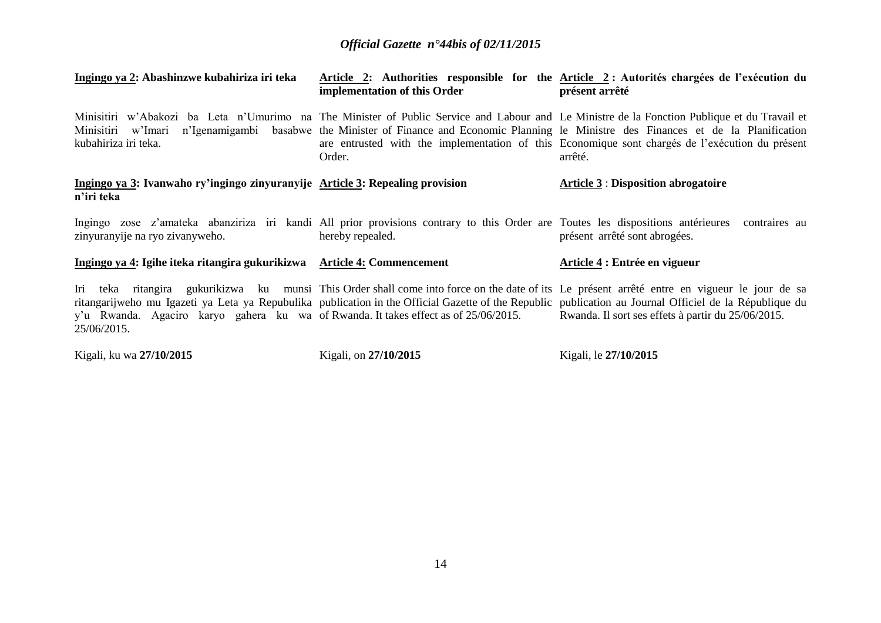| Ingingo ya 2: Abashinzwe kubahiriza iri teka                                                                                                                       | implementation of this Order | Article 2: Authorities responsible for the Article 2: Autorités chargées de l'exécution du<br>présent arrêté                                                                                                                                                                                                                                                                                          |
|--------------------------------------------------------------------------------------------------------------------------------------------------------------------|------------------------------|-------------------------------------------------------------------------------------------------------------------------------------------------------------------------------------------------------------------------------------------------------------------------------------------------------------------------------------------------------------------------------------------------------|
| kubahiriza iri teka.                                                                                                                                               | Order.                       | Minisitiri w'Abakozi ba Leta n'Umurimo na The Minister of Public Service and Labour and Le Ministre de la Fonction Publique et du Travail et<br>Minisitiri w'Imari n'Igenamigambi basabwe the Minister of Finance and Economic Planning le Ministre des Finances et de la Planification<br>are entrusted with the implementation of this Economique sont chargés de l'exécution du présent<br>arrêté. |
| Ingingo ya 3: Ivanwaho ry'ingingo zinyuranyije Article 3: Repealing provision<br>n'iri teka                                                                        |                              | <b>Article 3: Disposition abrogatoire</b>                                                                                                                                                                                                                                                                                                                                                             |
| Ingingo zose z'amateka abanziriza iri kandi All prior provisions contrary to this Order are Toutes les dispositions antérieures<br>zinyuranyije na ryo zivanyweho. | hereby repealed.             | contraires au<br>présent arrêté sont abrogées.                                                                                                                                                                                                                                                                                                                                                        |
| Ingingo ya 4: Igihe iteka ritangira gukurikizwa Article 4: Commencement                                                                                            |                              | Article 4 : Entrée en vigueur                                                                                                                                                                                                                                                                                                                                                                         |
| y'u Rwanda. Agaciro karyo gahera ku wa of Rwanda. It takes effect as of 25/06/2015.<br>25/06/2015.                                                                 |                              | Iri teka ritangira gukurikizwa ku munsi This Order shall come into force on the date of its Le présent arrêté entre en vigueur le jour de sa<br>ritangarijweho mu Igazeti ya Leta ya Repubulika publication in the Official Gazette of the Republic publication au Journal Officiel de la République du<br>Rwanda. Il sort ses effets à partir du 25/06/2015.                                         |

Kigali, ku wa **27/10/2015**

Kigali, on **27/10/2015**

Kigali, le **27/10/2015**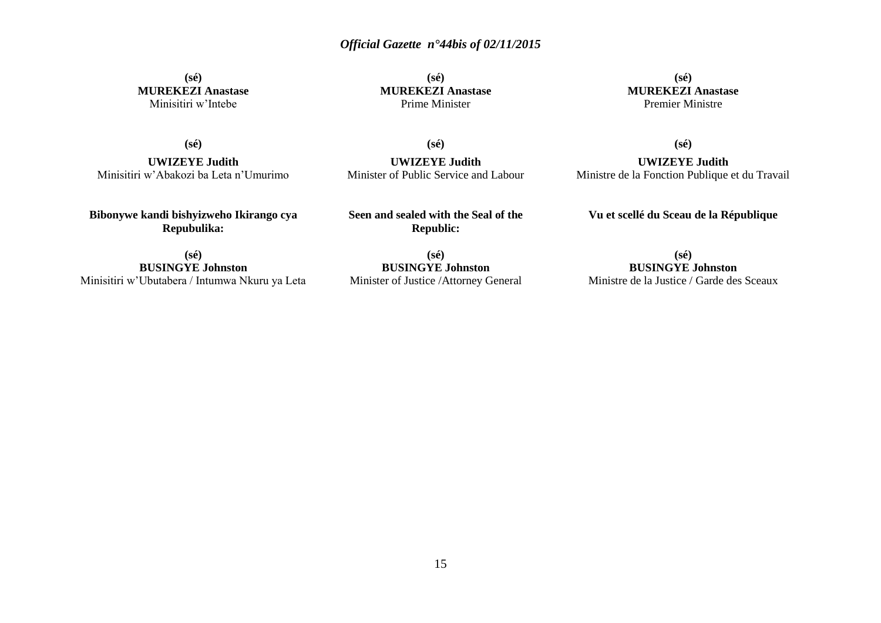**(sé) MUREKEZI Anastase** Minisitiri w'Intebe

**(sé) MUREKEZI Anastase** Prime Minister

**(sé) MUREKEZI Anastase** Premier Ministre

**(sé)**

**(sé)**

**UWIZEYE Judith** Minisitiri w'Abakozi ba Leta n'Umurimo

**UWIZEYE Judith** Minister of Public Service and Labour **(sé)**

**UWIZEYE Judith** Ministre de la Fonction Publique et du Travail

**Vu et scellé du Sceau de la République**

**Bibonywe kandi bishyizweho Ikirango cya Repubulika:**

**Seen and sealed with the Seal of the Republic:**

**(sé) BUSINGYE Johnston** Minisitiri w'Ubutabera / Intumwa Nkuru ya Leta

**(sé) BUSINGYE Johnston** Minister of Justice /Attorney General

**(sé) BUSINGYE Johnston** Ministre de la Justice / Garde des Sceaux

15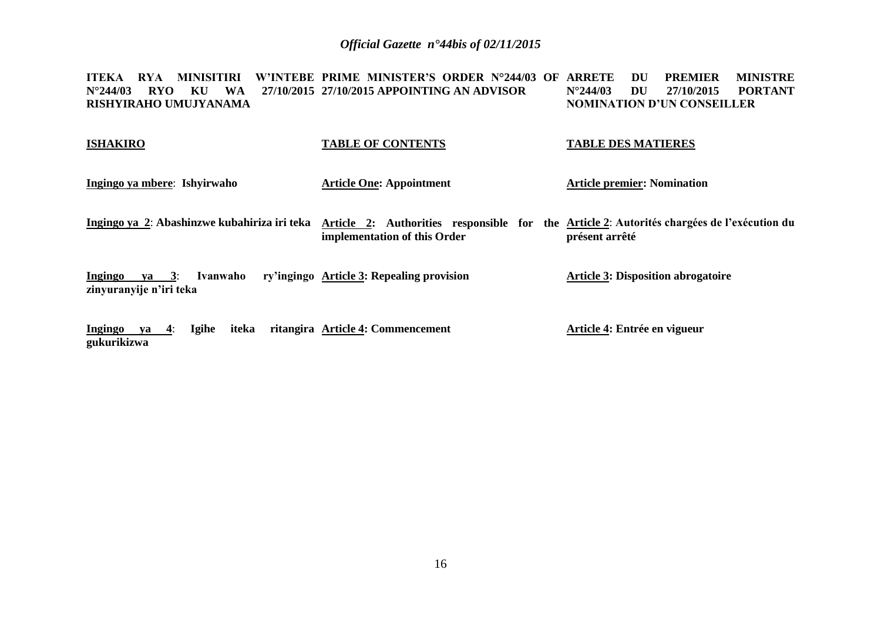**ITEKA RYA MINISITIRI W'INTEBE PRIME MINISTER'S ORDER N°244/03 OF ARRETE DU PREMIER MINISTRE N°244/03 RYO KU WA 27/10/2015 27/10/2015 APPOINTING AN ADVISOR RISHYIRAHO UMUJYANAMA N°244/03 DU 27/10/2015 PORTANT NOMINATION D'UN CONSEILLER**

| <b>ISHAKIRO</b>                                              | <b>TABLE OF CONTENTS</b>                                                                                                   | <b>TABLE DES MATIERES</b>                 |
|--------------------------------------------------------------|----------------------------------------------------------------------------------------------------------------------------|-------------------------------------------|
| Ingingo ya mbere: Ishyirwaho                                 | <b>Article One: Appointment</b>                                                                                            | <b>Article premier: Nomination</b>        |
| Ingingo ya 2: Abashinzwe kubahiriza iri teka                 | Article 2: Authorities responsible for the Article 2: Autorités chargées de l'exécution du<br>implementation of this Order | présent arrêté                            |
| $ya = 3$ :<br>Ingingo<br>Ivanwaho<br>zinyuranyije n'iri teka | ry'ingingo Article 3: Repealing provision                                                                                  | <b>Article 3: Disposition abrogatoire</b> |
| <b>Igihe</b><br>iteka<br>Ingingo<br>ya 4:<br>gukurikizwa     | ritangira Article 4: Commencement                                                                                          | Article 4: Entrée en vigueur              |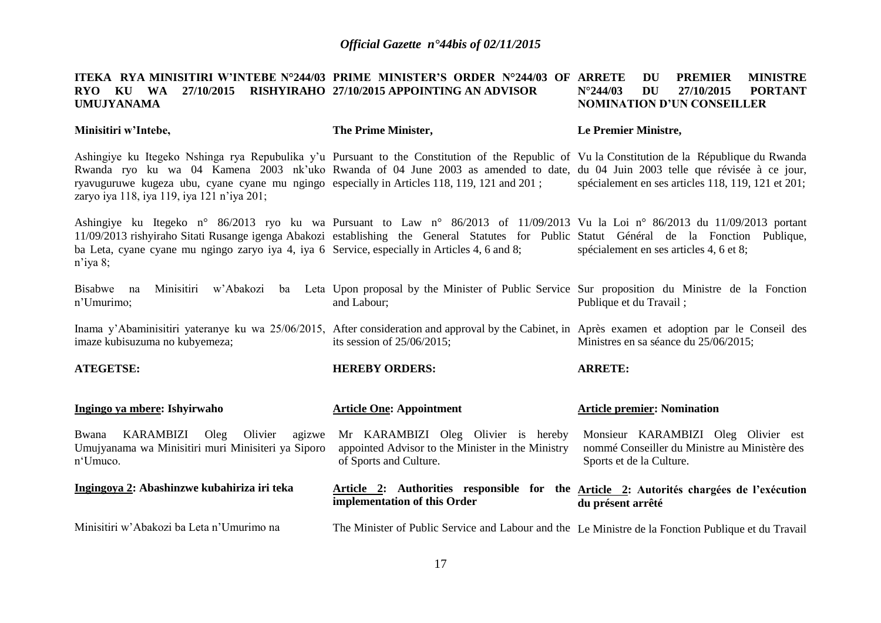#### **ITEKA RYA<code>MINISITIRI</code> W'INTEBE N°244/03 PRIME MINISTER'S ORDER N°244/03 OF ARRETE**  $\,$  **DU**  $\,$  **PREMIER**  $\,$  **MINISTRE RYO KU WA 27/10/2015 RISHYIRAHO 27/10/2015 APPOINTING AN ADVISOR UMUJYANAMA N°244/03 DU 27/10/2015 PORTANT NOMINATION D'UN CONSEILLER**

**Minisitiri w'Intebe,**

#### **The Prime Minister,**

#### **Le Premier Ministre,**

Ashingiye ku Itegeko Nshinga rya Repubulika y'u Pursuant to the Constitution of the Republic of Vu la Constitution de la République du Rwanda Rwanda ryo ku wa 04 Kamena 2003 nk'uko Rwanda of 04 June 2003 as amended to date, du 04 Juin 2003 telle que révisée à ce jour, ryavuguruwe kugeza ubu, cyane cyane mu ngingo especially in Articles 118, 119, 121 and 201 ; zaryo iya 118, iya 119, iya 121 n'iya 201; spécialement en ses articles 118, 119, 121 et 201;

Ashingiye ku Itegeko n° 86/2013 ryo ku wa Pursuant to Law n° 86/2013 of 11/09/2013 Vu la Loi n° 86/2013 du 11/09/2013 portant 11/09/2013 rishyiraho Sitati Rusange igenga Abakozi establishing the General Statutes for Public Statut Général de la Fonction Publique, ba Leta, cyane cyane mu ngingo zaryo iya 4, iya 6 Service, especially in Articles 4, 6 and 8; n'iya 8; spécialement en ses articles 4, 6 et 8;

Bisabwe na Minisitiri w'Abakozi ba Leta Upon-proposal-by-the-Minister of Public Service Sur-proposition du Ministre de la Fonction n'Umurimo; and Labour; Publique et du Travail ;

Inama y'Abaminisitiri yateranye ku wa 25/06/2015, After consideration and approval by the Cabinet, in Après examen et adoption par le Conseil des imaze kubisuzuma no kubyemeza; its session of 25/06/2015; Ministres en sa séance du 25/06/2015;

**ATEGETSE: HEREBY ORDERS: ARRETE:**

| Ingingo ya mbere: Ishyirwaho                                                                                      | <b>Article One: Appointment</b>                                                                                       | <b>Article premier: Nomination</b>                                                                               |
|-------------------------------------------------------------------------------------------------------------------|-----------------------------------------------------------------------------------------------------------------------|------------------------------------------------------------------------------------------------------------------|
| Bwana<br>Olivier<br>KARAMBIZI<br>Oleg<br>agizwe<br>Umujyanama wa Minisitiri muri Minisiteri ya Siporo<br>n'Umuco. | Mr KARAMBIZI Oleg Olivier is<br>hereby<br>appointed Advisor to the Minister in the Ministry<br>of Sports and Culture. | Monsieur KARAMBIZI Oleg Olivier est<br>nommé Conseiller du Ministre au Ministère des<br>Sports et de la Culture. |
| Ingingoya 2: Abashinzwe kubahiriza iri teka                                                                       | Article 2: Authorities responsible for<br>implementation of this Order                                                | the Article 2: Autorités chargées de l'exécution<br>du présent arrêté                                            |
| Minisitiri w'Abakozi ba Leta n'Umurimo na                                                                         | The Minister of Public Service and Labour and the Le Ministre de la Fonction Publique et du Travail                   |                                                                                                                  |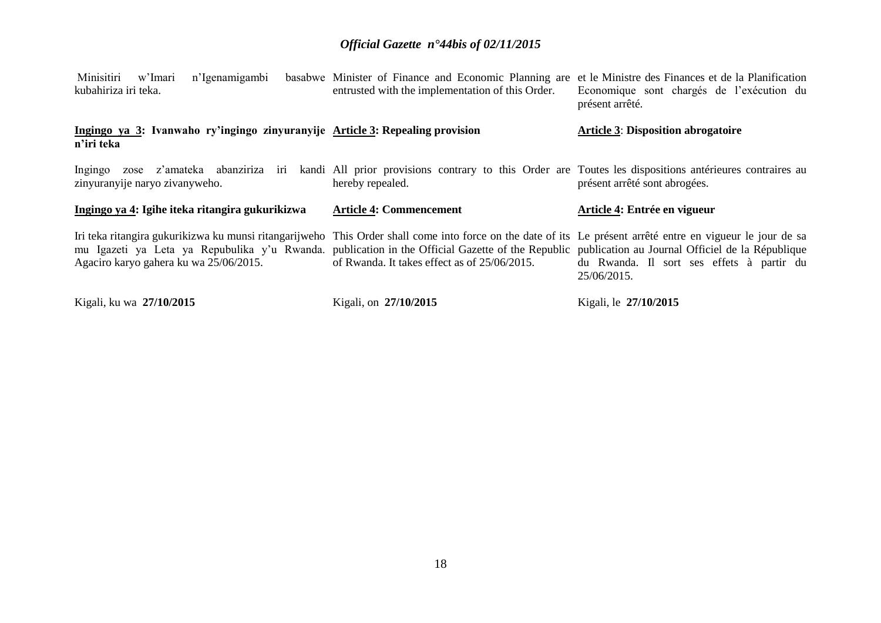| Minisitiri<br>n'Igenamigambi<br>w'Imari<br>kubahiriza iri teka.                                                                                                                                                                                                                                                                                            | basabwe Minister of Finance and Economic Planning are<br>entrusted with the implementation of this Order. | et le Ministre des Finances et de la Planification<br>Economique sont chargés de l'exécution du<br>présent arrêté. |
|------------------------------------------------------------------------------------------------------------------------------------------------------------------------------------------------------------------------------------------------------------------------------------------------------------------------------------------------------------|-----------------------------------------------------------------------------------------------------------|--------------------------------------------------------------------------------------------------------------------|
| Ingingo ya 3: Ivanwaho ry'ingingo zinyuranyije Article 3: Repealing provision<br>n'iri teka                                                                                                                                                                                                                                                                |                                                                                                           | <b>Article 3: Disposition abrogatoire</b>                                                                          |
| Ingingo zose z'amateka abanziriza iri kandi All prior provisions contrary to this Order are Toutes les dispositions antérieures contraires au<br>zinyuranyije naryo zivanyweho.                                                                                                                                                                            | hereby repealed.                                                                                          | présent arrêté sont abrogées.                                                                                      |
| Ingingo ya 4: Igihe iteka ritangira gukurikizwa                                                                                                                                                                                                                                                                                                            | <b>Article 4: Commencement</b>                                                                            | Article 4: Entrée en vigueur                                                                                       |
| Iri teka ritangira gukurikizwa ku munsi ritangarijweho This Order shall come into force on the date of its Le présent arrêté entre en vigueur le jour de sa<br>mu Igazeti ya Leta ya Repubulika y'u Rwanda. publication in the Official Gazette of the Republic publication au Journal Officiel de la République<br>Agaciro karyo gahera ku wa 25/06/2015. | of Rwanda. It takes effect as of 25/06/2015.                                                              | du Rwanda. Il sort ses effets à partir du<br>25/06/2015.                                                           |
|                                                                                                                                                                                                                                                                                                                                                            |                                                                                                           |                                                                                                                    |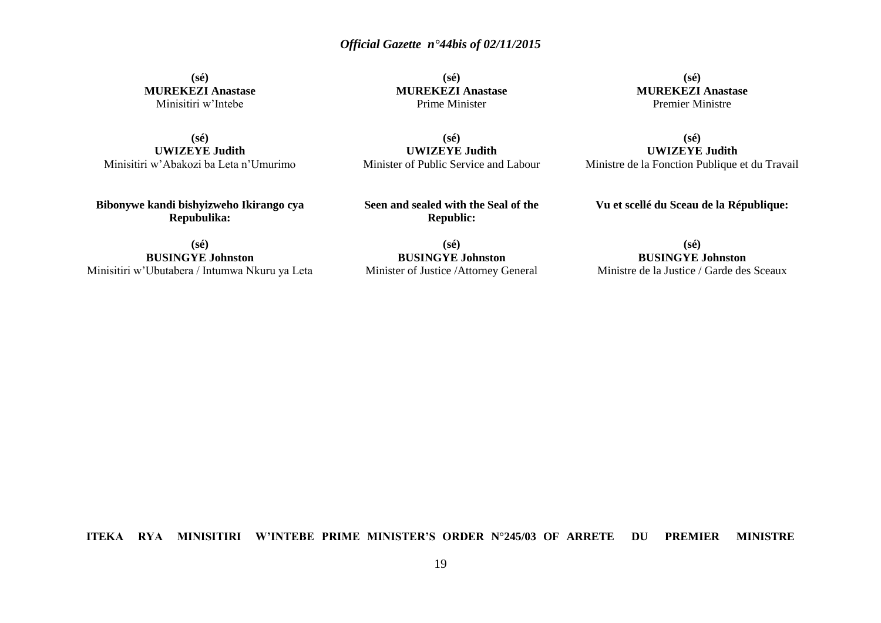**(sé) MUREKEZI Anastase** Minisitiri w'Intebe

**(sé) UWIZEYE Judith** Minisitiri w'Abakozi ba Leta n'Umurimo

**Bibonywe kandi bishyizweho Ikirango cya Repubulika:**

**(sé) BUSINGYE Johnston** Minisitiri w'Ubutabera / Intumwa Nkuru ya Leta

**(sé) MUREKEZI Anastase** Prime Minister

**(sé) UWIZEYE Judith** Minister of Public Service and Labour

**Seen and sealed with the Seal of the Republic:**

**(sé) BUSINGYE Johnston** Minister of Justice /Attorney General

**(sé) MUREKEZI Anastase** Premier Ministre

**(sé) UWIZEYE Judith** Ministre de la Fonction Publique et du Travail

**Vu et scellé du Sceau de la République:**

**(sé)**

**BUSINGYE Johnston** Ministre de la Justice / Garde des Sceaux

#### **ITEKA RYA MINISITIRI W'INTEBE PRIME MINISTER'S ORDER N°245/03 OF ARRETE DU PREMIER MINISTRE**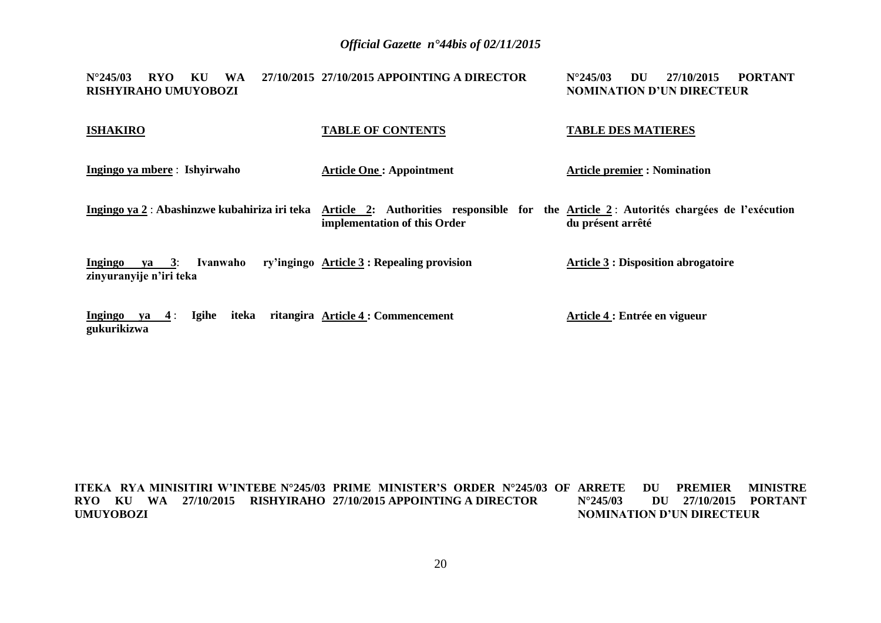**N°245/03 RYO KU WA 27/10/2015 27/10/2015 APPOINTING A DIRECTOR RISHYIRAHO UMUYOBOZI N°245/03 DU 27/10/2015 PORTANT NOMINATION D'UN DIRECTEUR**

| <b>ISHAKIRO</b>                                      | <b>TABLE OF CONTENTS</b>                                                                                                                                             | <b>TABLE DES MATIERES</b>                  |
|------------------------------------------------------|----------------------------------------------------------------------------------------------------------------------------------------------------------------------|--------------------------------------------|
| Ingingo ya mbere: Ishyirwaho                         | <b>Article One: Appointment</b>                                                                                                                                      | <b>Article premier : Nomination</b>        |
|                                                      | Ingingo ya 2: Abashinzwe kubahiriza iri teka Article 2: Authorities responsible for the Article 2: Autorités chargées de l'exécution<br>implementation of this Order | du présent arrêté                          |
| Ingingo ya 3:<br>Ivanwaho<br>zinyuranyije n'iri teka | ry'ingingo Article 3 : Repealing provision                                                                                                                           | <b>Article 3 : Disposition abrogatoire</b> |
| Igihe<br>iteka<br>Ingingo ya $4$ :<br>gukurikizwa    | ritangira Article 4 : Commencement                                                                                                                                   | Article 4 : Entrée en vigueur              |

**ITEKA RYA MINISITIRI W'INTEBE N°245/03 PRIME MINISTER'S ORDER N°245/03 OF ARRETE DU PREMIER MINISTRE RYO KU WA 27/10/2015 RISHYIRAHO 27/10/2015 APPOINTING A DIRECTOR UMUYOBOZI N°245/03 DU 27/10/2015 PORTANT NOMINATION D'UN DIRECTEUR**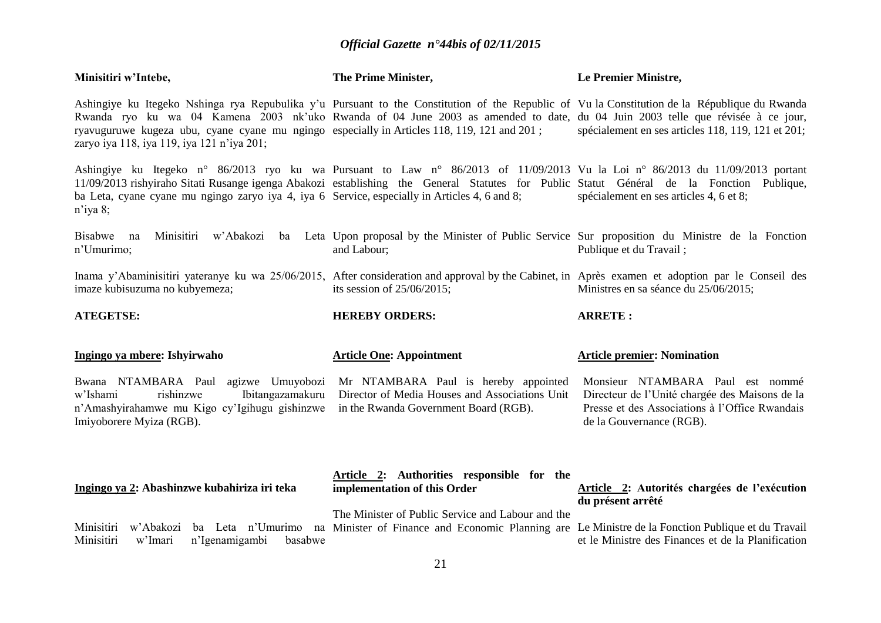| Minisitiri w'Intebe,                                                                                                                                                                                                                                                                                                                                                                                                         | The Prime Minister,                                                                                                             | Le Premier Ministre,                                                                                                                                             |
|------------------------------------------------------------------------------------------------------------------------------------------------------------------------------------------------------------------------------------------------------------------------------------------------------------------------------------------------------------------------------------------------------------------------------|---------------------------------------------------------------------------------------------------------------------------------|------------------------------------------------------------------------------------------------------------------------------------------------------------------|
| Ashingiye ku Itegeko Nshinga rya Repubulika y'u Pursuant to the Constitution of the Republic of Vu la Constitution de la République du Rwanda<br>Rwanda ryo ku wa 04 Kamena 2003 nk'uko Rwanda of 04 June 2003 as amended to date, du 04 Juin 2003 telle que révisée à ce jour,<br>ryavuguruwe kugeza ubu, cyane cyane mu ngingo especially in Articles 118, 119, 121 and 201;<br>zaryo iya 118, iya 119, iya 121 n'iya 201; |                                                                                                                                 | spécialement en ses articles 118, 119, 121 et 201;                                                                                                               |
| Ashingiye ku Itegeko n° 86/2013 ryo ku wa Pursuant to Law n° 86/2013 of 11/09/2013 Vu la Loi n° 86/2013 du 11/09/2013 portant<br>11/09/2013 rishyiraho Sitati Rusange igenga Abakozi establishing the General Statutes for Public Statut Général de la Fonction Publique,<br>ba Leta, cyane cyane mu ngingo zaryo iya 4, iya 6 Service, especially in Articles 4, 6 and 8;<br>$n'$ iya 8;                                    |                                                                                                                                 | spécialement en ses articles 4, 6 et 8;                                                                                                                          |
| <b>Bisabwe</b><br>w'Abakozi<br>Minisitiri<br>na<br>n'Umurimo;                                                                                                                                                                                                                                                                                                                                                                | ba Leta Upon proposal by the Minister of Public Service Sur proposition du Ministre de la Fonction<br>and Labour;               | Publique et du Travail;                                                                                                                                          |
| Inama y'Abaminisitiri yateranye ku wa 25/06/2015, After consideration and approval by the Cabinet, in Après examen et adoption par le Conseil des<br>imaze kubisuzuma no kubyemeza;                                                                                                                                                                                                                                          | its session of $25/06/2015$ ;                                                                                                   | Ministres en sa séance du 25/06/2015;                                                                                                                            |
| <b>ATEGETSE:</b>                                                                                                                                                                                                                                                                                                                                                                                                             | <b>HEREBY ORDERS:</b>                                                                                                           | <b>ARRETE:</b>                                                                                                                                                   |
|                                                                                                                                                                                                                                                                                                                                                                                                                              |                                                                                                                                 |                                                                                                                                                                  |
| Ingingo ya mbere: Ishyirwaho                                                                                                                                                                                                                                                                                                                                                                                                 | <b>Article One: Appointment</b>                                                                                                 | <b>Article premier: Nomination</b>                                                                                                                               |
| Bwana NTAMBARA Paul agizwe Umuyobozi<br>Ibitangazamakuru<br>w'Ishami<br>rishinzwe<br>n'Amashyirahamwe mu Kigo cy'Igihugu gishinzwe<br>Imiyoborere Myiza (RGB).                                                                                                                                                                                                                                                               | Mr NTAMBARA Paul is hereby appointed<br>Director of Media Houses and Associations Unit<br>in the Rwanda Government Board (RGB). | Monsieur NTAMBARA Paul est nommé<br>Directeur de l'Unité chargée des Maisons de la<br>Presse et des Associations à l'Office Rwandais<br>de la Gouvernance (RGB). |
| Ingingo ya 2: Abashinzwe kubahiriza iri teka                                                                                                                                                                                                                                                                                                                                                                                 | Article 2: Authorities responsible for the<br>implementation of this Order<br>The Minister of Public Service and Labour and the | Article 2: Autorités chargées de l'exécution<br>du présent arrêté                                                                                                |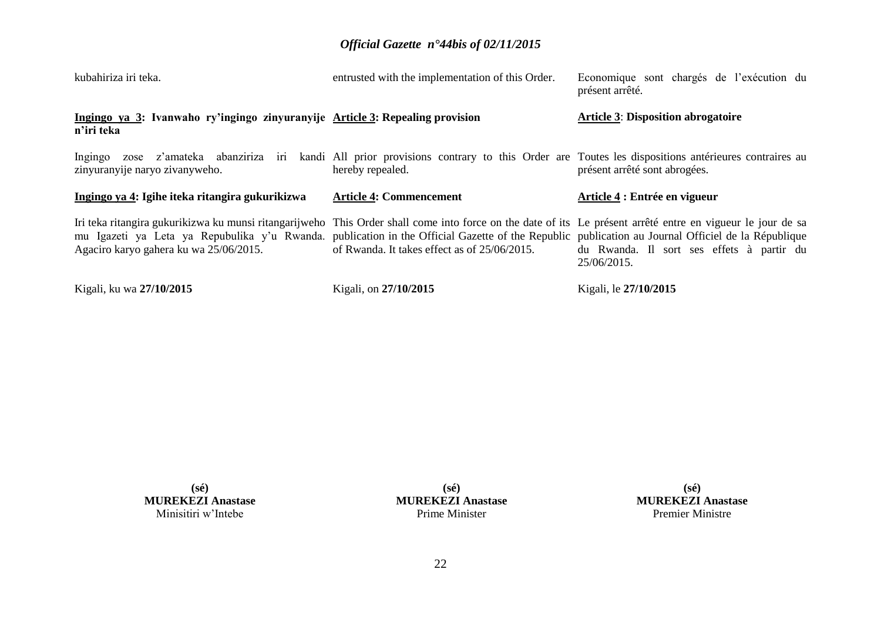| kubahiriza iri teka.                                                                                                                                                                                                                                                                                                                                       | entrusted with the implementation of this Order. | Economique sont chargés de l'exécution du<br>présent arrêté. |
|------------------------------------------------------------------------------------------------------------------------------------------------------------------------------------------------------------------------------------------------------------------------------------------------------------------------------------------------------------|--------------------------------------------------|--------------------------------------------------------------|
| Ingingo ya 3: Ivanwaho ry'ingingo zinyuranyije Article 3: Repealing provision<br>n'iri teka                                                                                                                                                                                                                                                                |                                                  | <b>Article 3: Disposition abrogatoire</b>                    |
| Ingingo zose z'amateka abanziriza iri kandi All prior provisions contrary to this Order are Toutes les dispositions antérieures contraires au<br>zinyuranyije naryo zivanyweho.                                                                                                                                                                            | hereby repealed.                                 | présent arrêté sont abrogées.                                |
|                                                                                                                                                                                                                                                                                                                                                            |                                                  |                                                              |
| Ingingo ya 4: Igihe iteka ritangira gukurikizwa                                                                                                                                                                                                                                                                                                            | <b>Article 4: Commencement</b>                   | Article 4 : Entrée en vigueur                                |
| Iri teka ritangira gukurikizwa ku munsi ritangarijweho This Order shall come into force on the date of its Le présent arrêté entre en vigueur le jour de sa<br>mu Igazeti ya Leta ya Repubulika y'u Rwanda. publication in the Official Gazette of the Republic publication au Journal Officiel de la République<br>Agaciro karyo gahera ku wa 25/06/2015. | of Rwanda. It takes effect as of 25/06/2015.     | du Rwanda. Il sort ses effets à partir du<br>25/06/2015.     |

**(sé) MUREKEZI Anastase** Minisitiri w'Intebe

**(sé) MUREKEZI Anastase** Prime Minister

**(sé) MUREKEZI Anastase** Premier Ministre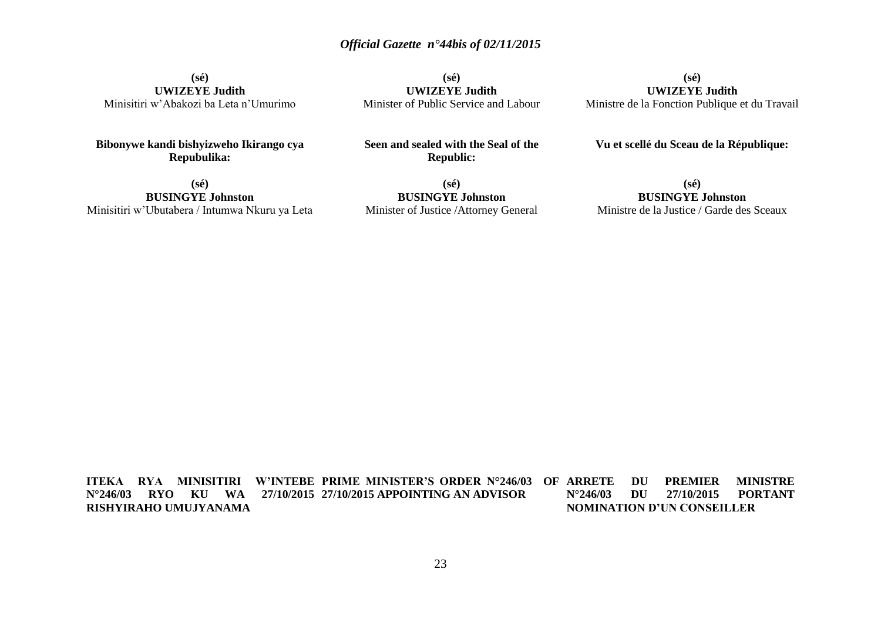**(sé) UWIZEYE Judith** Minisitiri w'Abakozi ba Leta n'Umurimo

**Bibonywe kandi bishyizweho Ikirango cya Repubulika:**

**(sé) BUSINGYE Johnston** Minisitiri w'Ubutabera / Intumwa Nkuru ya Leta

**(sé) UWIZEYE Judith** Minister of Public Service and Labour

**Seen and sealed with the Seal of the Republic:**

**(sé) UWIZEYE Judith** Ministre de la Fonction Publique et du Travail

**Vu et scellé du Sceau de la République:**

**(sé) BUSINGYE Johnston** Minister of Justice /Attorney General

**(sé) BUSINGYE Johnston** Ministre de la Justice / Garde des Sceaux

**ITEKA RYA MINISITIRI W'INTEBE PRIME MINISTER'S ORDER N°246/03 OF N°246/03 RYO KU WA 27/10/2015 27/10/2015 APPOINTING AN ADVISOR RISHYIRAHO UMUJYANAMA ARRETTE DU PREMIER MINISTRE N°246/03 DU 27/10/2015 PORTANT NOMINATION D'UN CONSEILLER**

23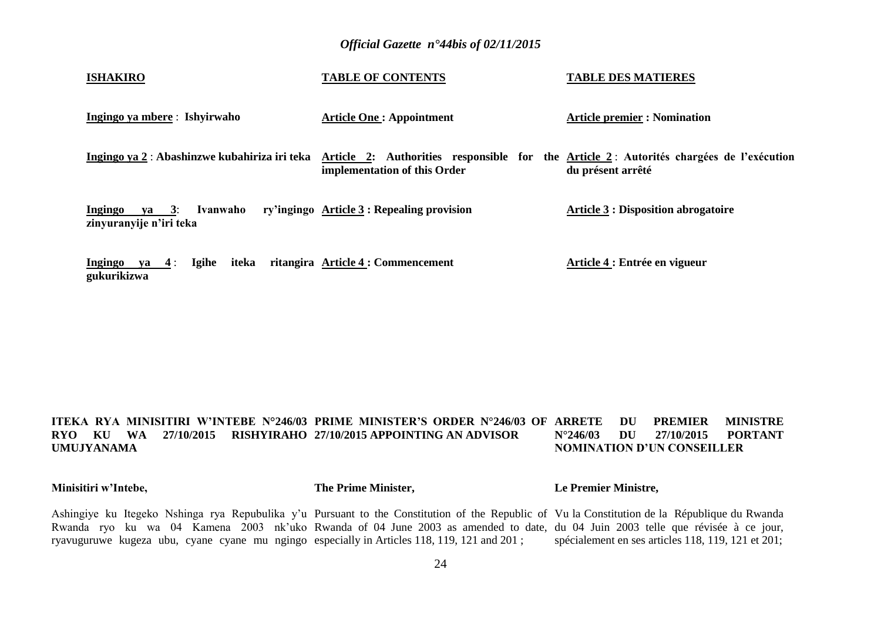| <b>ISHAKIRO</b>                                                 | <b>TABLE OF CONTENTS</b>                                                                                                | <b>TABLE DES MATIERES</b>                  |
|-----------------------------------------------------------------|-------------------------------------------------------------------------------------------------------------------------|--------------------------------------------|
| Ingingo ya mbere: Ishyirwaho                                    | <b>Article One: Appointment</b>                                                                                         | <b>Article premier : Nomination</b>        |
| Ingingo ya 2 : Abashinzwe kubahiriza iri teka                   | Article 2: Authorities responsible for the Article 2: Autorités chargées de l'exécution<br>implementation of this Order | du présent arrêté                          |
| Ingingo<br>Ivanwaho<br>$ya \quad 3:$<br>zinyuranyije n'iri teka | ry'ingingo Article 3 : Repealing provision                                                                              | <b>Article 3 : Disposition abrogatoire</b> |
| Igihe<br>iteka<br>Ingingo ya $4$ :<br>gukurikizwa               | ritangira Article 4 : Commencement                                                                                      | Article 4 : Entrée en vigueur              |

#### **ITEKA RYA MINISITIRI W'INTEBE N°246/03 PRIME MINISTER'S ORDER N°246/03 OF RYO KU WA 27/10/2015 RISHYIRAHO 27/10/2015 APPOINTING AN ADVISOR UMUJYANAMA** *ARREFER MINISTRE* **N°246/03 DU 27/10/2015 PORTANT NOMINATION D'UN CONSEILLER**

**Minisitiri w'Intebe,**

**The Prime Minister,**

**Le Premier Ministre,**

Ashingiye ku Itegeko Nshinga rya Repubulika y'u Pursuant to the Constitution of the Republic of Vu la Constitution de la République du Rwanda Rwanda ryo ku wa 04 Kamena 2003 nk'uko Rwanda of 04 June 2003 as amended to date, du 04 Juin 2003 telle que révisée à ce jour, ryavuguruwe kugeza ubu, cyane cyane mu ngingo especially in Articles 118, 119, 121 and 201 ; spécialement en ses articles 118, 119, 121 et 201;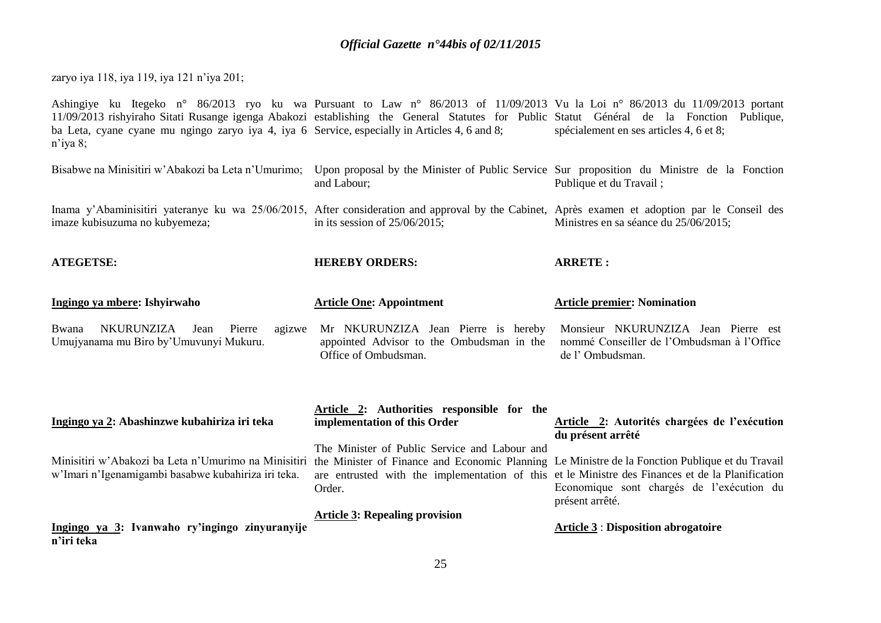zaryo iya 118, iya 119, iya 121 n'iya 201;

**ATEGETSE:**

Ashingiye ku Itegeko n° 86/2013 ryo ku wa Pursuant to Law n° 86/2013 of 11/09/2013 Vu la Loi n° 86/2013 du 11/09/2013 portant 11/09/2013 rishyiraho Sitati Rusange igenga Abakozi establishing the General Statutes for Public Statut Général de la Fonction Publique, ba Leta, cyane cyane mu ngingo zaryo iya 4, iya 6 Service, especially in Articles 4, 6 and 8; n'iya 8; spécialement en ses articles 4, 6 et 8;

Bisabwe na Minisitiri w'Abakozi ba Leta n'Umurimo; Upon proposal by the Minister of Public Service Sur proposition du Ministre de la Fonction and Labour; Publique et du Travail ;

Inama y'Abaminisitiri yateranye ku wa 25/06/2015, After consideration and approval by the Cabinet, Après examen et adoption par le Conseil des imaze kubisuzuma no kubyemeza; in its session of 25/06/2015; Ministres en sa séance du 25/06/2015;

**ARRETE :**

| AILGEISE: |                              |      |        |        | HEREBY ORDERS:                      |  |  | AKKEIE: |                                    |                 |  |
|-----------|------------------------------|------|--------|--------|-------------------------------------|--|--|---------|------------------------------------|-----------------|--|
|           | Ingingo ya mbere: Ishyirwaho |      |        |        | <b>Article One: Appointment</b>     |  |  |         | <b>Article premier: Nomination</b> |                 |  |
| Bwana     | <b>NKURUNZIZA</b>            | Jean | Pierre | agizwe | Mr NKURUNZIZA Jean Pierre is hereby |  |  |         | Monsieur NKURUNZIZA                | Jean Pierre est |  |

**HEREBY ORDERS:**

Bwana NKURUNZIZA Jean Pierre Umujyanama mu Biro by'Umuvunyi Mukuru. agizwe Mr NKURUNZIZA Jean Pierre is hereby appointed Advisor to the Ombudsman in the Office of Ombudsman. nommé Conseiller de l'Ombudsman à l'Office de l' Ombudsman.

| Ingingo ya 2: Abashinzwe kubahiriza iri teka                                                                                                                                                                | Article 2: Authorities responsible for the<br>implementation of this Order                                                                                  | Article 2: Autorités chargées de l'exécution<br>du présent arrêté |
|-------------------------------------------------------------------------------------------------------------------------------------------------------------------------------------------------------------|-------------------------------------------------------------------------------------------------------------------------------------------------------------|-------------------------------------------------------------------|
| Minisitiri w'Abakozi ba Leta n'Umurimo na Minisitiri the Minister of Finance and Economic Planning Le Ministre de la Fonction Publique et du Travail<br>w'Imari n'Igenamigambi basabwe kubahiriza iri teka. | The Minister of Public Service and Labour and<br>are entrusted with the implementation of this et le Ministre des Finances et de la Planification<br>Order. | Economique sont chargés de l'exécution du<br>présent arrêté.      |
| Ingingo ya 3: Ivanwaho ry'ingingo zinyuranyije<br>n'iri teka                                                                                                                                                | <b>Article 3: Repealing provision</b>                                                                                                                       | <b>Article 3 : Disposition abrogatoire</b>                        |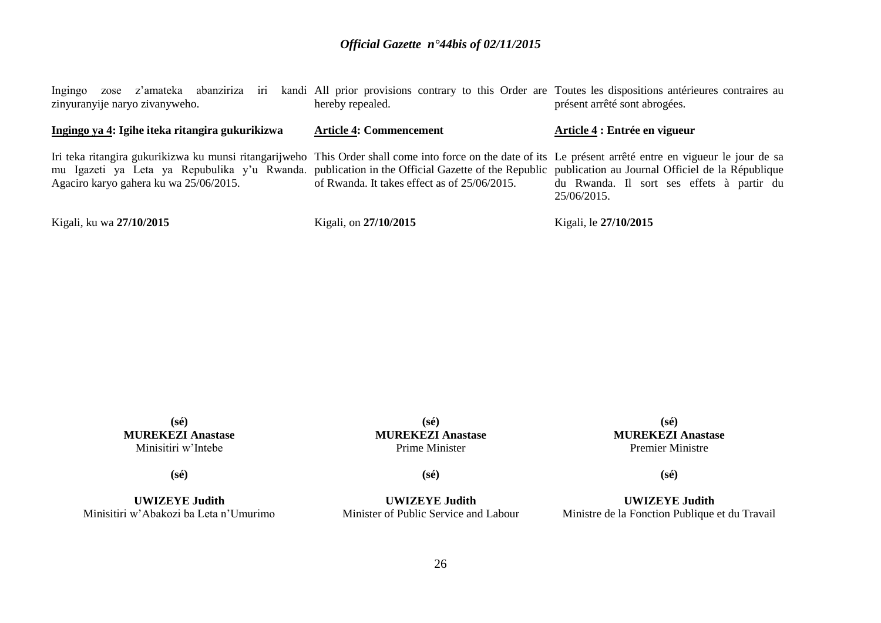Ingingo zose z'amateka abanziriza iri kandi All prior provisions contrary to this Order are Toutes les dispositions antérieures contraires au zinyuranyije naryo zivanyweho. **Ingingo ya 4: Igihe iteka ritangira gukurikizwa** Iri teka ritangira gukurikizwa ku munsi ritangarijweho This Order shall come into force on the date of its Le présent arrêté entre en vigueur le jour de sa mu Igazeti ya Leta ya Repubulika y'u Rwanda. publication in the Official Gazette of the Republic publication au Journal Officiel de la République Agaciro karyo gahera ku wa 25/06/2015. Kigali, ku wa **27/10/2015**  hereby repealed. **Article 4: Commencement** of Rwanda. It takes effect as of 25/06/2015. Kigali, on **27/10/2015**  présent arrêté sont abrogées. **Article 4 : Entrée en vigueur** du Rwanda. Il sort ses effets à partir du 25/06/2015. Kigali, le **27/10/2015** 

> **(sé) MUREKEZI Anastase** Minisitiri w'Intebe

**(sé) MUREKEZI Anastase** Prime Minister

**(sé) MUREKEZI Anastase** Premier Ministre

**(sé)**

**(sé)**

**UWIZEYE Judith** Minisitiri w'Abakozi ba Leta n'Umurimo **(sé)**

**UWIZEYE Judith** Minister of Public Service and Labour

**UWIZEYE Judith** Ministre de la Fonction Publique et du Travail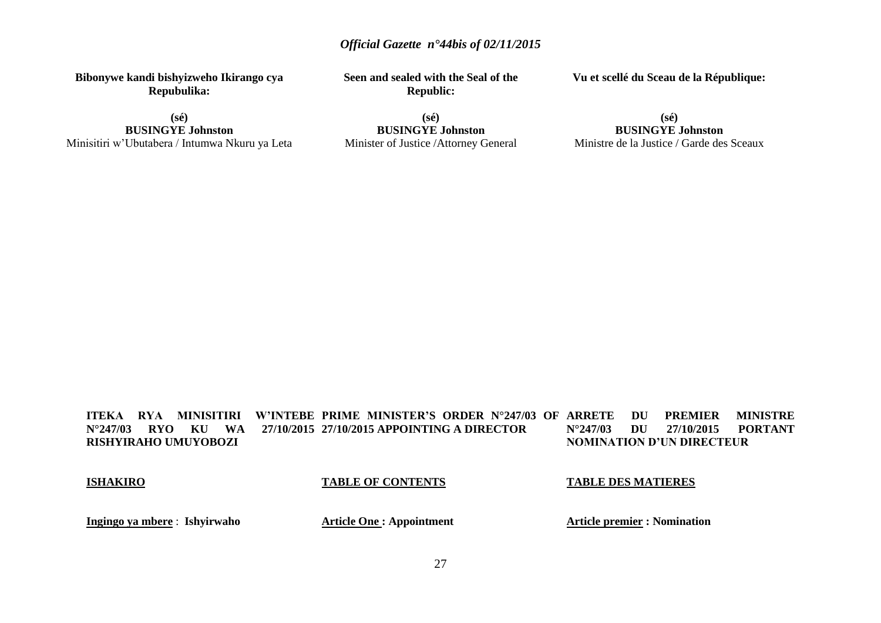**Bibonywe kandi bishyizweho Ikirango cya Repubulika:**

**(sé) BUSINGYE Johnston** Minisitiri w'Ubutabera / Intumwa Nkuru ya Leta **Seen and sealed with the Seal of the Republic:**

Minister of Justice /Attorney General

**(sé) BUSINGYE Johnston**

**(sé) BUSINGYE Johnston**

**Vu et scellé du Sceau de la République:**

Ministre de la Justice / Garde des Sceaux

**ITEKA RYA MINISITIRI W'INTEBE PRIME MINISTER'S ORDER N°247/03 OF N°247/03 RYO KU WA RISHYIRAHO UMUYOBOZI 27/10/2015 APPOINTING A DIRECTOR ARRETE DU PREMIER MINISTRE<br>N°247/03 DU 27/10/2015 PORTANT N°247/03 DU 27/10/2015 PORTANT NOMINATION D'UN DIRECTEUR**

#### **ISHAKIRO**

#### **TABLE OF CONTENTS**

### **TABLE DES MATIERES**

**Ingingo ya mbere** : **Ishyirwaho**

**Article One : Appointment**

**Article premier : Nomination**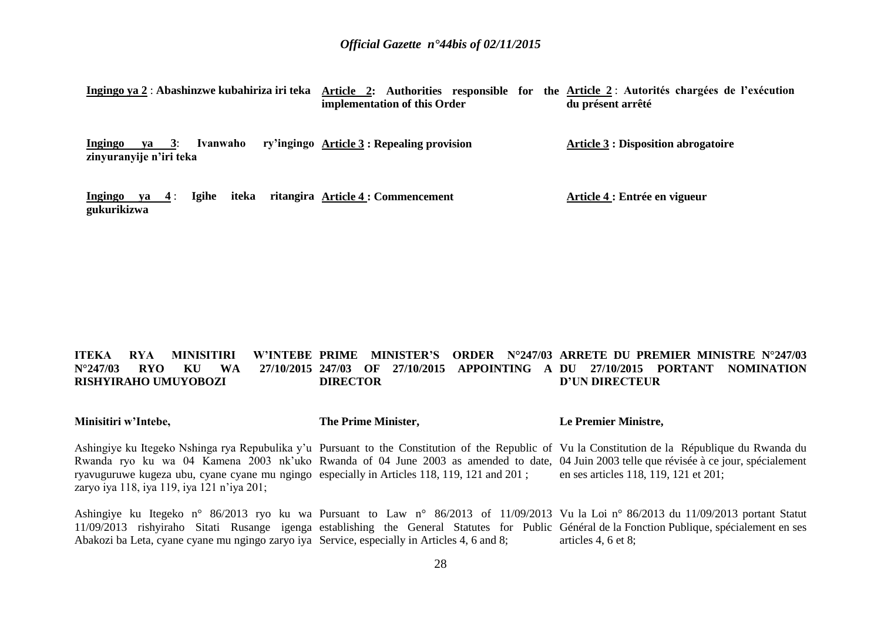| Ingingo ya 2 : Abashinzwe kubahiriza iri teka                            | Article 2: Authorities responsible for the Article 2: Autorités chargées de l'exécution<br>implementation of this Order | du présent arrêté                          |
|--------------------------------------------------------------------------|-------------------------------------------------------------------------------------------------------------------------|--------------------------------------------|
| Ivanwaho<br>Ingingo<br>$\mathbf{v}\mathbf{a}$<br>zinyuranyije n'iri teka | ry'ingingo Article 3 : Repealing provision                                                                              | <b>Article 3 : Disposition abrogatoire</b> |
| iteka<br><b>Igihe</b><br>$va = 4$ :<br>Ingingo<br>gukurikizwa            | ritangira Article 4 : Commencement                                                                                      | Article 4 : Entrée en vigueur              |

#### **ITEKA RYA MINISITIRI N°247/03 RYO KU WA RISHYIRAHO UMUYOBOZI PRIME MINISTER'S ORDER N°247/03 ARRETE DU PREMIER MINISTRE N°247/03 247/03 OF 27/10/2015 APPOINTING A DU 27/10/2015 PORTANT NOMINATION DIRECTOR D'UN DIRECTEUR**

|  | Minisitiri w'Intebe, | The Prime Minister, | Le Premier Ministre, |
|--|----------------------|---------------------|----------------------|
|--|----------------------|---------------------|----------------------|

Ashingiye ku Itegeko Nshinga rya Repubulika y'u Pursuant to the Constitution of the Republic of Vu la Constitution de la République du Rwanda du Rwanda ryo ku wa 04 Kamena 2003 nk'uko Rwanda of 04 June 2003 as amended to date, 04 Juin 2003 telle que révisée à ce jour, spécialement ryavuguruwe kugeza ubu, cyane cyane mu ngingo especially in Articles 118, 119, 121 and 201 ; zaryo iya 118, iya 119, iya 121 n'iya 201; en ses articles 118, 119, 121 et 201;

Ashingiye ku Itegeko n° 86/2013 ryo ku wa Pursuant to Law n° 86/2013 of 11/09/2013 Vu la Loi n° 86/2013 du 11/09/2013 portant Statut 11/09/2013 rishyiraho Sitati Rusange igenga establishing the General Statutes for Public Général de la Fonction Publique, spécialement en ses Abakozi ba Leta, cyane cyane mu ngingo zaryo iya Service, especially in Articles 4, 6 and 8; articles 4, 6 et 8;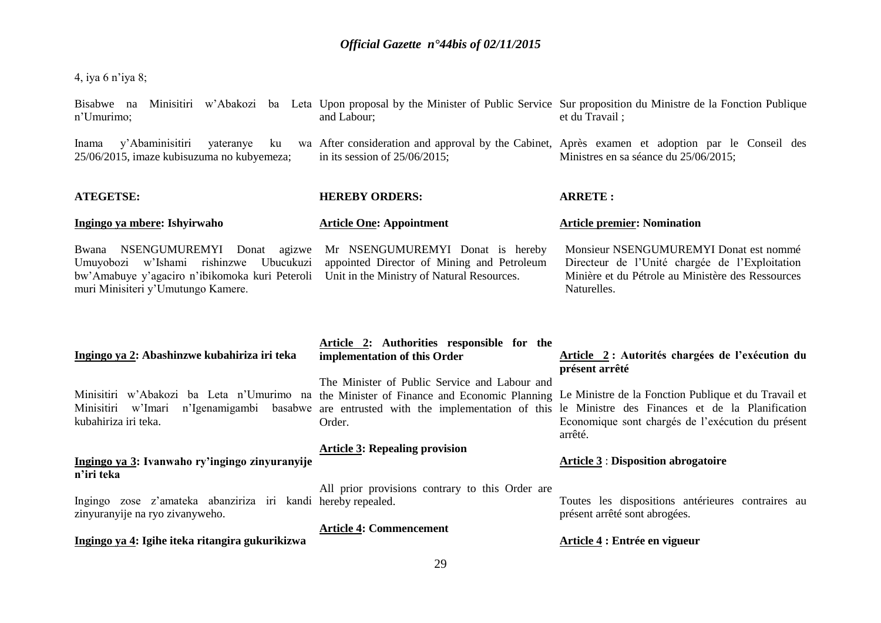4, iya 6 n'iya 8;

| Bisabwe na<br>n'Umurimo;                                                                                                                                                    | and Labour;                                                                                                                  | Minisitiri w'Abakozi ba Leta Upon proposal by the Minister of Public Service Sur proposition du Ministre de la Fonction Publique<br>et du Travail;                                                                                                                                                                                   |
|-----------------------------------------------------------------------------------------------------------------------------------------------------------------------------|------------------------------------------------------------------------------------------------------------------------------|--------------------------------------------------------------------------------------------------------------------------------------------------------------------------------------------------------------------------------------------------------------------------------------------------------------------------------------|
| y'Abaminisitiri<br>yateranye<br>ku<br>Inama<br>25/06/2015, imaze kubisuzuma no kubyemeza;                                                                                   | in its session of $25/06/2015$ ;                                                                                             | wa After consideration and approval by the Cabinet, Après examen et adoption par le Conseil des<br>Ministres en sa séance du 25/06/2015;                                                                                                                                                                                             |
| <b>ATEGETSE:</b>                                                                                                                                                            | <b>HEREBY ORDERS:</b>                                                                                                        | <b>ARRETE:</b>                                                                                                                                                                                                                                                                                                                       |
| Ingingo ya mbere: Ishyirwaho                                                                                                                                                | <b>Article One: Appointment</b>                                                                                              | <b>Article premier: Nomination</b>                                                                                                                                                                                                                                                                                                   |
| NSENGUMUREMYI Donat<br>Bwana<br>agizwe<br>Umuyobozi w'Ishami rishinzwe<br>Ubucukuzi<br>bw'Amabuye y'agaciro n'ibikomoka kuri Peteroli<br>muri Minisiteri y'Umutungo Kamere. | Mr NSENGUMUREMYI Donat is hereby<br>appointed Director of Mining and Petroleum<br>Unit in the Ministry of Natural Resources. | Monsieur NSENGUMUREMYI Donat est nommé<br>Directeur de l'Unité chargée de l'Exploitation<br>Minière et du Pétrole au Ministère des Ressources<br>Naturelles.                                                                                                                                                                         |
|                                                                                                                                                                             |                                                                                                                              |                                                                                                                                                                                                                                                                                                                                      |
| Ingingo ya 2: Abashinzwe kubahiriza iri teka                                                                                                                                | Article 2: Authorities responsible for the<br>implementation of this Order                                                   | Article 2: Autorités chargées de l'exécution du<br>présent arrêté                                                                                                                                                                                                                                                                    |
| Minisitiri w'Imari<br>kubahiriza iri teka.                                                                                                                                  | The Minister of Public Service and Labour and<br>Order.                                                                      | Minisitiri w'Abakozi ba Leta n'Umurimo na the Minister of Finance and Economic Planning Le Ministre de la Fonction Publique et du Travail et<br>n'Igenamigambi basabwe are entrusted with the implementation of this le Ministre des Finances et de la Planification<br>Economique sont chargés de l'exécution du présent<br>arrêté. |
| Ingingo ya 3: Ivanwaho ry'ingingo zinyuranyije<br>n'iri teka                                                                                                                | <b>Article 3: Repealing provision</b>                                                                                        | <b>Article 3: Disposition abrogatoire</b>                                                                                                                                                                                                                                                                                            |
| Ingingo zose z'amateka abanziriza iri kandi hereby repealed.<br>zinyuranyije na ryo zivanyweho.                                                                             | All prior provisions contrary to this Order are                                                                              | Toutes les dispositions antérieures contraires au<br>présent arrêté sont abrogées.                                                                                                                                                                                                                                                   |
| Ingingo ya 4: Igihe iteka ritangira gukurikizwa                                                                                                                             | <b>Article 4: Commencement</b>                                                                                               | Article 4 : Entrée en vigueur                                                                                                                                                                                                                                                                                                        |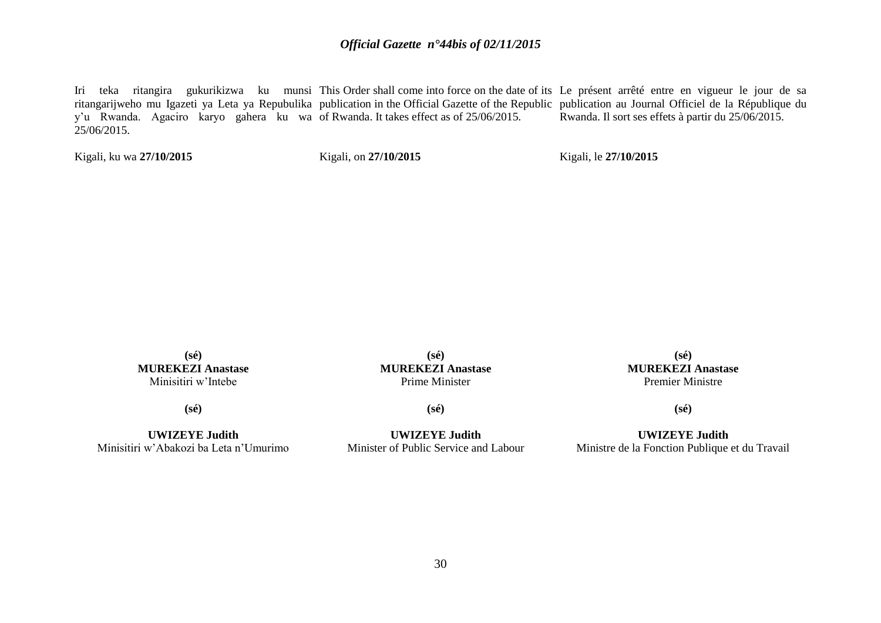Iri teka ritangira gukurikizwa ku munsi This Order shall come into force on the date of its Le présent arrêté entre en vigueur le jour de sa ritangarijweho mu Igazeti ya Leta ya Repubulika publication in the Official Gazette of the Republic publication au Journal Officiel de la République du y'u Rwanda. Agaciro karyo gahera ku wa of Rwanda. It takes effect as of 25/06/2015.  $25/06/2015$ . Rwanda. Il sort ses effets à partir du 25/06/2015.

Kigali, ku wa **27/10/2015** 

Kigali, on **27/10/2015** 

Kigali, le **27/10/2015** 

**(sé) MUREKEZI Anastase** Minisitiri w'Intebe

**(sé)**

**UWIZEYE Judith** Minisitiri w'Abakozi ba Leta n'Umurimo

**(sé) MUREKEZI Anastase** Prime Minister

**(sé)**

**UWIZEYE Judith** Minister of Public Service and Labour

**(sé) MUREKEZI Anastase** Premier Ministre

**(sé)**

**UWIZEYE Judith** Ministre de la Fonction Publique et du Travail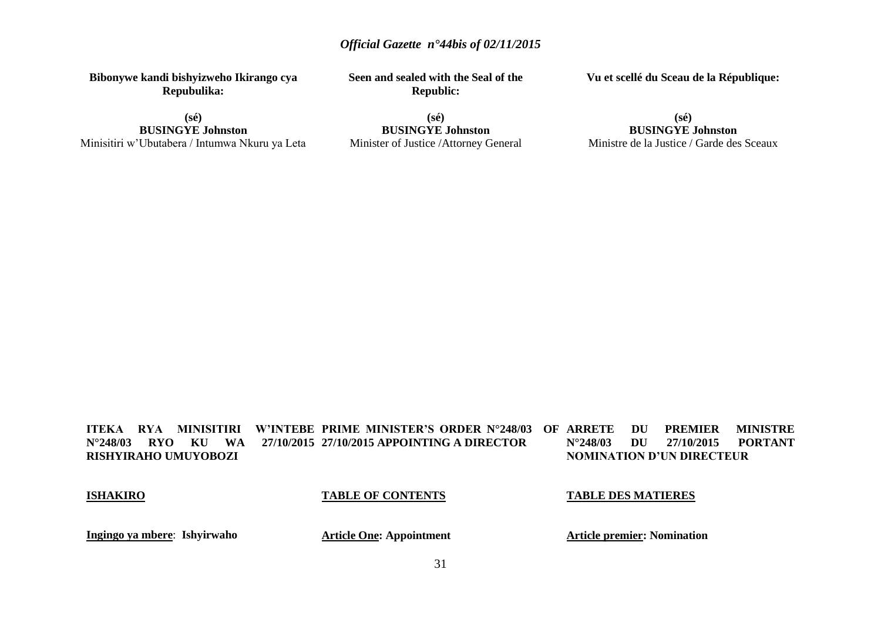**Bibonywe kandi bishyizweho Ikirango cya Repubulika:**

**(sé) BUSINGYE Johnston** Minisitiri w'Ubutabera / Intumwa Nkuru ya Leta **Seen and sealed with the Seal of the Republic:**

**(sé) BUSINGYE Johnston** Minister of Justice /Attorney General **Vu et scellé du Sceau de la République:**

**(sé) BUSINGYE Johnston** Ministre de la Justice / Garde des Sceaux

**ITEKA RYA MINISITIRI W'INTEBE PRIME MINISTER'S ORDER N°248/03 OF N°248/03 RYO KU WA RISHYIRAHO UMUYOBOZI 27/10/2015 APPOINTING A DIRECTOR** *ARRETER MINISTRE* **N°248/03 DU 27/10/2015 PORTANT NOMINATION D'UN DIRECTEUR**

#### **ISHAKIRO**

#### **TABLE OF CONTENTS**

## **TABLE DES MATIERES**

**Ingingo ya mbere**: **Ishyirwaho**

**Article One: Appointment**

**Article premier: Nomination**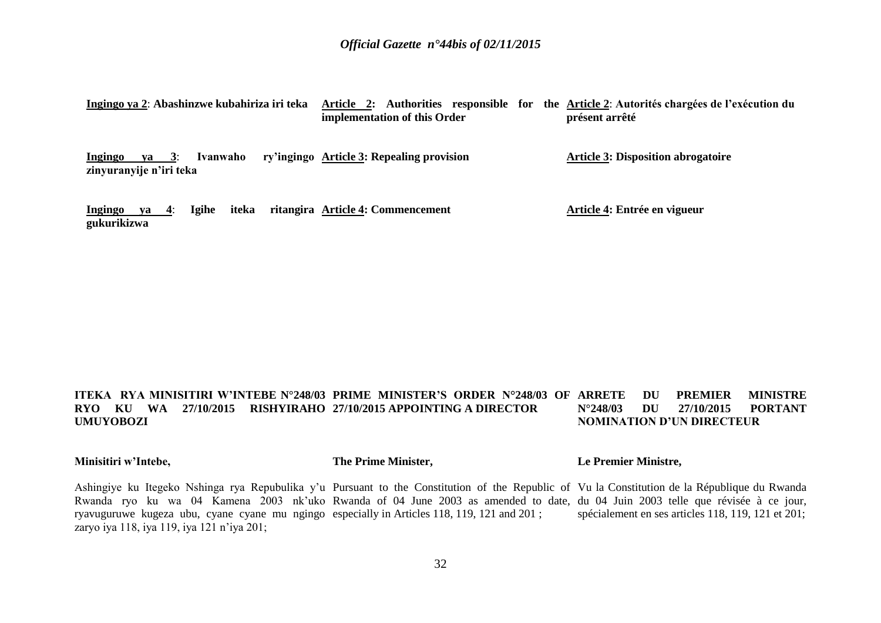| Ingingo ya 2: Abashinzwe kubahiriza iri teka                    | Article 2: Authorities responsible for the Article 2: Autorités chargées de l'exécution du<br>implementation of this Order | présent arrêté                            |
|-----------------------------------------------------------------|----------------------------------------------------------------------------------------------------------------------------|-------------------------------------------|
| Ingingo<br>Ivanwaho<br>va $3:$<br>zinyuranyije n'iri teka       | ry'ingingo Article 3: Repealing provision                                                                                  | <b>Article 3: Disposition abrogatoire</b> |
| <b>Igihe</b><br>iteka<br>Ingingo<br><u>ya 4:</u><br>gukurikizwa | ritangira Article 4: Commencement                                                                                          | Article 4: Entrée en vigueur              |

#### **ITEKA RYA MINISITIRI W'INTEBE N°248/03 PRIME MINISTER'S ORDER N°248/03 OF RYO KU WA 27/10/2015 RISHYIRAHO 27/10/2015 APPOINTING A DIRECTOR UMUYOBOZI DU PREMIER MINISTRE N°248/03 DU 27/10/2015 PORTANT NOMINATION D'UN DIRECTEUR**

**Minisitiri w'Intebe,**

**The Prime Minister,**

#### **Le Premier Ministre,**

Ashingiye ku Itegeko Nshinga rya Repubulika y'u Pursuant to the Constitution of the Republic of Vu la Constitution de la République du Rwanda Rwanda ryo ku wa 04 Kamena 2003 nk'uko Rwanda of 04 June 2003 as amended to date, du 04 Juin 2003 telle que révisée à ce jour, ryavuguruwe kugeza ubu, cyane cyane mu ngingo especially in Articles 118, 119, 121 and 201 ; zaryo iya 118, iya 119, iya 121 n'iya 201; spécialement en ses articles 118, 119, 121 et 201;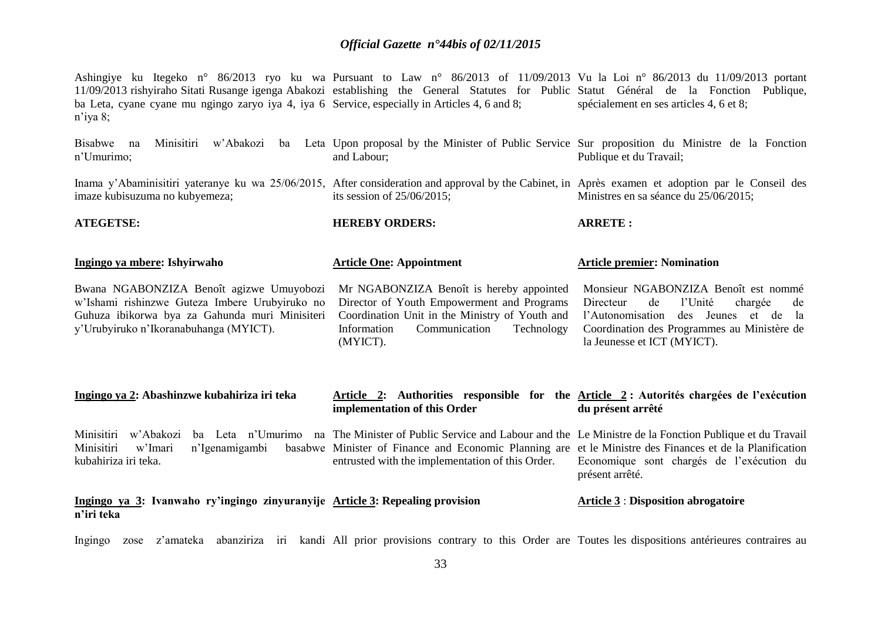Ashingiye ku Itegeko n° 86/2013 ryo ku wa Pursuant to Law n° 86/2013 of 11/09/2013 Vu la Loi n° 86/2013 du 11/09/2013 portant 11/09/2013 rishyiraho Sitati Rusange igenga Abakozi establishing the General Statutes for Public Statut Général de la Fonction Publique, ba Leta, cyane cyane mu ngingo zaryo iya 4, iya 6 Service, especially in Articles 4, 6 and 8; n'iya 8; spécialement en ses articles 4, 6 et 8;

| Bisabwe na<br>Minisitiri<br>w'Abakozi<br>ba<br>n'Umurimo;                                                                                                                              | Leta Upon proposal by the Minister of Public Service Sur proposition du Ministre de la Fonction<br>and Labour;                                                                                                                                                         | Publique et du Travail;                                                                                                                                                                                         |  |
|----------------------------------------------------------------------------------------------------------------------------------------------------------------------------------------|------------------------------------------------------------------------------------------------------------------------------------------------------------------------------------------------------------------------------------------------------------------------|-----------------------------------------------------------------------------------------------------------------------------------------------------------------------------------------------------------------|--|
| Inama y'Abaminisitiri yateranye ku wa 25/06/2015, After consideration and approval by the Cabinet, in Après examen et adoption par le Conseil des<br>imaze kubisuzuma no kubyemeza;    | its session of $25/06/2015$ ;                                                                                                                                                                                                                                          | Ministres en sa séance du 25/06/2015;                                                                                                                                                                           |  |
| <b>ATEGETSE:</b>                                                                                                                                                                       | <b>HEREBY ORDERS:</b>                                                                                                                                                                                                                                                  | <b>ARRETE:</b>                                                                                                                                                                                                  |  |
| Ingingo ya mbere: Ishyirwaho                                                                                                                                                           | <b>Article One: Appointment</b>                                                                                                                                                                                                                                        | <b>Article premier: Nomination</b>                                                                                                                                                                              |  |
| Bwana NGABONZIZA Benoît agizwe Umuyobozi<br>w'Ishami rishinzwe Guteza Imbere Urubyiruko no<br>Guhuza ibikorwa bya za Gahunda muri Minisiteri<br>y'Urubyiruko n'Ikoranabuhanga (MYICT). | Mr NGABONZIZA Benoît is hereby appointed<br>Director of Youth Empowerment and Programs<br>Coordination Unit in the Ministry of Youth and<br>Communication<br>Technology<br>Information<br>(MYICT).                                                                     | Monsieur NGABONZIZA Benoît est nommé<br>l'Unité<br>Directeur<br>de<br>chargée<br>de<br>l'Autonomisation<br>des Jeunes et de<br>la<br>Coordination des Programmes au Ministère de<br>la Jeunesse et ICT (MYICT). |  |
| Ingingo ya 2: Abashinzwe kubahiriza iri teka                                                                                                                                           | Article 2: Authorities responsible for the Article 2: Autorités chargées de l'exécution<br>implementation of this Order                                                                                                                                                | du présent arrêté                                                                                                                                                                                               |  |
| Minisitiri<br>w'Abakozi<br>ba Leta n'Umurimo<br>n'Igenamigambi<br>Minisitiri<br>w'Imari<br>kubahiriza iri teka.                                                                        | na The Minister of Public Service and Labour and the Le Ministre de la Fonction Publique et du Travail<br>basabwe Minister of Finance and Economic Planning are et le Ministre des Finances et de la Planification<br>entrusted with the implementation of this Order. | Economique sont chargés de l'exécution du<br>présent arrêté.                                                                                                                                                    |  |
| Ingingo ya 3: Ivanwaho ry'ingingo zinyuranyije Article 3: Repealing provision<br>n'iri teka                                                                                            |                                                                                                                                                                                                                                                                        | <b>Article 3: Disposition abrogatoire</b>                                                                                                                                                                       |  |
| z'amateka<br>Ingingo<br>zose                                                                                                                                                           | abanziriza iri kandi All prior provisions contrary to this Order are Toutes les dispositions antérieures contraires au                                                                                                                                                 |                                                                                                                                                                                                                 |  |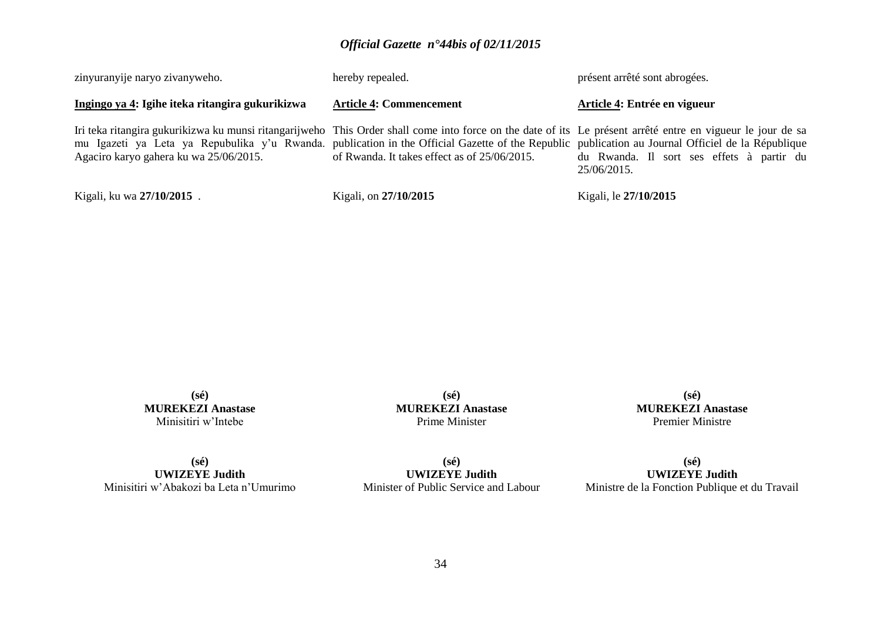| Kigali, ku wa 27/10/2015.                                                                                                                                                                                                                                                                                                                                  | Kigali, on 27/10/2015                        | Kigali, le 27/10/2015                                    |
|------------------------------------------------------------------------------------------------------------------------------------------------------------------------------------------------------------------------------------------------------------------------------------------------------------------------------------------------------------|----------------------------------------------|----------------------------------------------------------|
| Iri teka ritangira gukurikizwa ku munsi ritangarijweho This Order shall come into force on the date of its Le présent arrêté entre en vigueur le jour de sa<br>mu Igazeti ya Leta ya Repubulika y'u Rwanda. publication in the Official Gazette of the Republic publication au Journal Officiel de la République<br>Agaciro karyo gahera ku wa 25/06/2015. | of Rwanda. It takes effect as of 25/06/2015. | du Rwanda. Il sort ses effets à partir du<br>25/06/2015. |
| Ingingo ya 4: Igihe iteka ritangira gukurikizwa                                                                                                                                                                                                                                                                                                            | <b>Article 4: Commencement</b>               | Article 4: Entrée en vigueur                             |
| zinyuranyije naryo zivanyweho.                                                                                                                                                                                                                                                                                                                             | hereby repealed.                             | présent arrêté sont abrogées.                            |

**(sé) MUREKEZI Anastase** Minisitiri w'Intebe

**(sé) MUREKEZI Anastase** Prime Minister

**(sé) MUREKEZI Anastase** Premier Ministre

**(sé) UWIZEYE Judith** Minisitiri w'Abakozi ba Leta n'Umurimo

**(sé) UWIZEYE Judith** Minister of Public Service and Labour

**(sé) UWIZEYE Judith** Ministre de la Fonction Publique et du Travail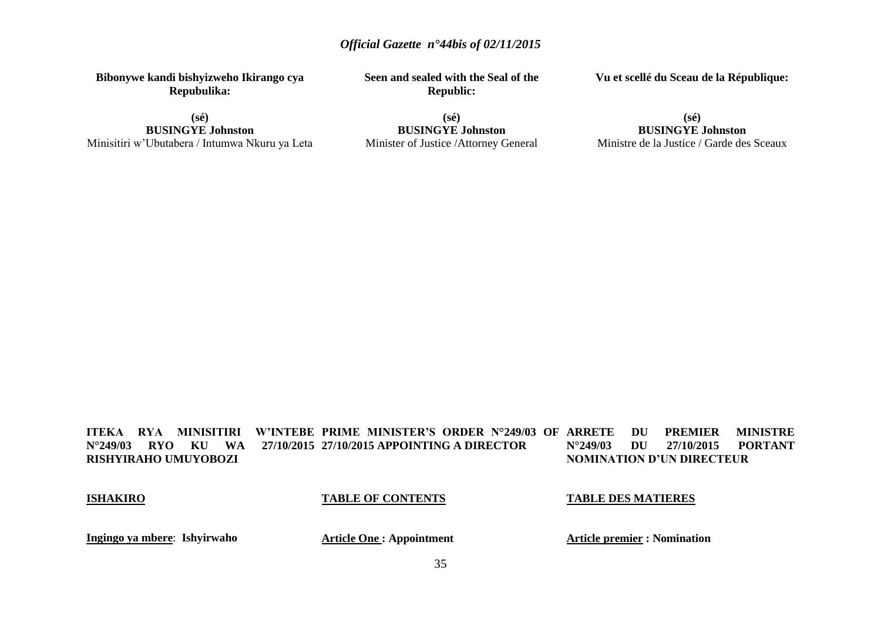**Bibonywe kandi bishyizweho Ikirango cya Repubulika:**

**(sé) BUSINGYE Johnston** Minisitiri w'Ubutabera / Intumwa Nkuru ya Leta **Seen and sealed with the Seal of the Republic:**

**Vu et scellé du Sceau de la République:**

**(sé) BUSINGYE Johnston** Minister of Justice /Attorney General

#### **(sé) BUSINGYE Johnston** Ministre de la Justice / Garde des Sceaux

**ITEKA RYA MINISITIRI W'INTEBE PRIME MINISTER'S ORDER N°249/03 OF N°249/03 RYO KU WA RISHYIRAHO UMUYOBOZI 27/10/2015 APPOINTING A DIRECTOR DU PREMIER MINISTRE N°249/03 DU 27/10/2015 PORTANT NOMINATION D'UN DIRECTEUR**

#### **ISHAKIRO**

#### **TABLE OF CONTENTS**

#### **TABLE DES MATIERES**

**Ingingo ya mbere**: **Ishyirwaho**

**Article One : Appointment**

**Article premier : Nomination**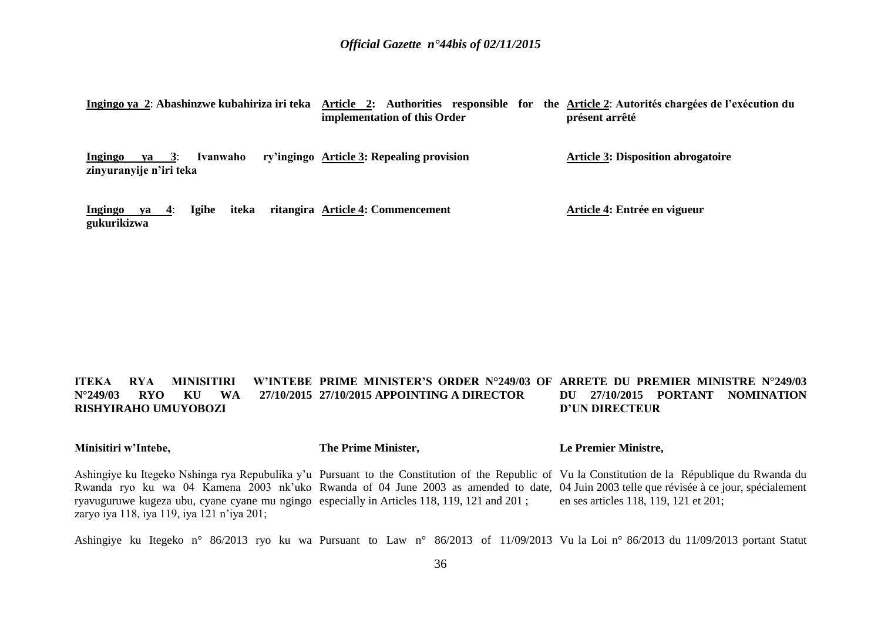| Ingingo ya 2: Abashinzwe kubahiriza iri teka        |                | Article 2: Authorities responsible for<br>implementation of this Order | the Article 2: Autorités chargées de l'exécution du<br>présent arrêté |
|-----------------------------------------------------|----------------|------------------------------------------------------------------------|-----------------------------------------------------------------------|
| $ya \quad 3:$<br>Ingingo<br>zinyuranyije n'iri teka | Ivanwaho       | ry'ingingo Article 3: Repealing provision                              | <b>Article 3: Disposition abrogatoire</b>                             |
| $ya = 4$ :<br>Ingingo<br>gukurikizwa                | Igihe<br>iteka | ritangira Article 4: Commencement                                      | Article 4: Entrée en vigueur                                          |

#### **ITEKA RYA MINISITIRI N°249/03 RYO KU WA RISHYIRAHO UMUYOBOZI PRIME MINISTER'S ORDER N°249/03 OF ARRETE DU PREMIER MINISTRE N°249/03 27/10/2015 APPOINTING A DIRECTOR DU 27/10/2015 PORTANT NOMINATION D'UN DIRECTEUR**

**Minisitiri w'Intebe, The Prime Minister, Le Premier Ministre,**

Ashingiye ku Itegeko Nshinga rya Repubulika y'u Pursuant to the Constitution of the Republic of Vu la Constitution de la République du Rwanda du Rwanda ryo ku wa 04 Kamena 2003 nk'uko Rwanda of 04 June 2003 as amended to date, 04 Juin 2003 telle que révisée à ce jour, spécialement ryavuguruwe kugeza ubu, cyane cyane mu ngingo especially in Articles 118, 119, 121 and 201 ; zaryo iya 118, iya 119, iya 121 n'iya 201; en ses articles 118, 119, 121 et 201;

Ashingiye ku Itegeko n° 86/2013 ryo ku wa Pursuant to Law n° 86/2013 of 11/09/2013 Vu la Loi n° 86/2013 du 11/09/2013 portant Statut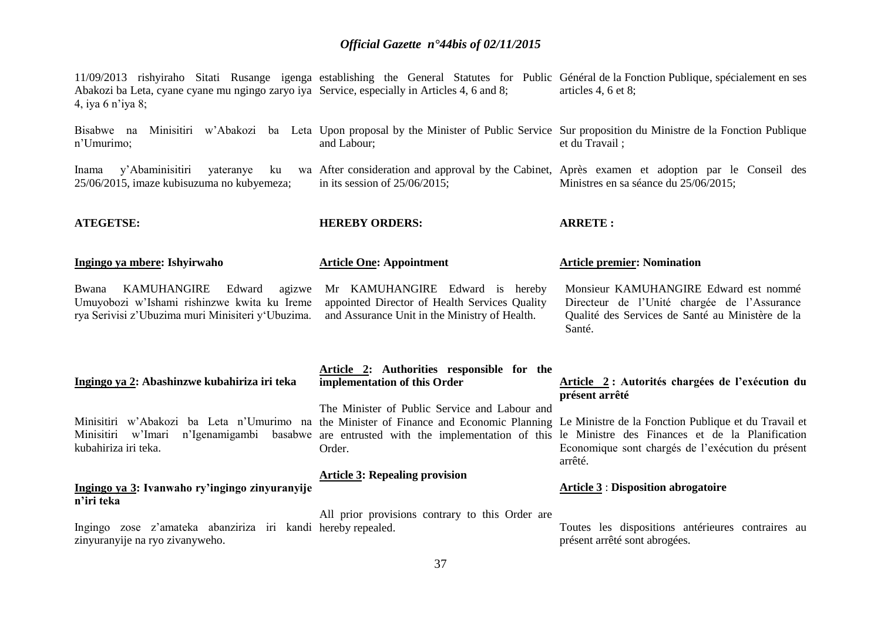11/09/2013 rishyiraho Sitati Rusange igenga establishing the General Statutes for Public Général de la Fonction Publique, spécialement en ses Abakozi ba Leta, cyane cyane mu ngingo zaryo iya Service, especially in Articles 4, 6 and 8; 4, iya 6 n'iya 8; articles 4, 6 et 8;

Bisabwe na Minisitiri w'Abakozi ba Leta Upon proposal by the Minister of Public Service Sur proposition du Ministre de la Fonction Publique n'Umurimo; and Labour; et du Travail ;

in its session of 25/06/2015;

**Article One: Appointment**

**HEREBY ORDERS:**

After consideration and approval by the Cabinet, Après examen et adoption par le Conseil des

**ARRETE :**

**présent arrêté**

Inama y'Abaminisitiri vateranye ku 25/06/2015, imaze kubisuzuma no kubyemeza;

**ATEGETSE:**

**Ingingo ya mbere: Ishyirwaho**

Bwana KAMUHANGIRE Edward agizwe Umuyobozi w'Ishami rishinzwe kwita ku Ireme rya Serivisi z'Ubuzima muri Minisiteri y'Ubuzima.

Mr KAMUHANGIRE Edward is hereby appointed Director of Health Services Quality and Assurance Unit in the Ministry of Health.

Monsieur KAMUHANGIRE Edward est nommé Directeur de l'Unité chargée de l'Assurance Qualité des Services de Santé au Ministère de la Santé.

**Article 2 : Autorités chargées de l'exécution du** 

Ministres en sa séance du 25/06/2015;

**Article premier: Nomination** 

### **Ingingo ya 2: Abashinzwe kubahiriza iri teka**

Minisitiri w'Abakozi ba Leta n'Umurimo na the Minister of Finance and Economic Planning Le Ministre de la Fonction Publique et du Travail et Minisitiri w'Imari n'Igenamigambi kubahiriza iri teka.

### **Ingingo ya 3: Ivanwaho ry'ingingo zinyuranyije n'iri teka**

Ingingo zose z'amateka abanziriza iri kandi hereby repealed. zinyuranyije na ryo zivanyweho.

### **Article 2: Authorities responsible for the implementation of this Order**

The Minister of Public Service and Labour and are entrusted with the implementation of this le Ministre des Finances et de la Planification Order.

### **Article 3: Repealing provision**

Economique sont chargés de l'exécution du présent arrêté.

### **Article 3** : **Disposition abrogatoire**

All prior provisions contrary to this Order are

Toutes les dispositions antérieures contraires au présent arrêté sont abrogées.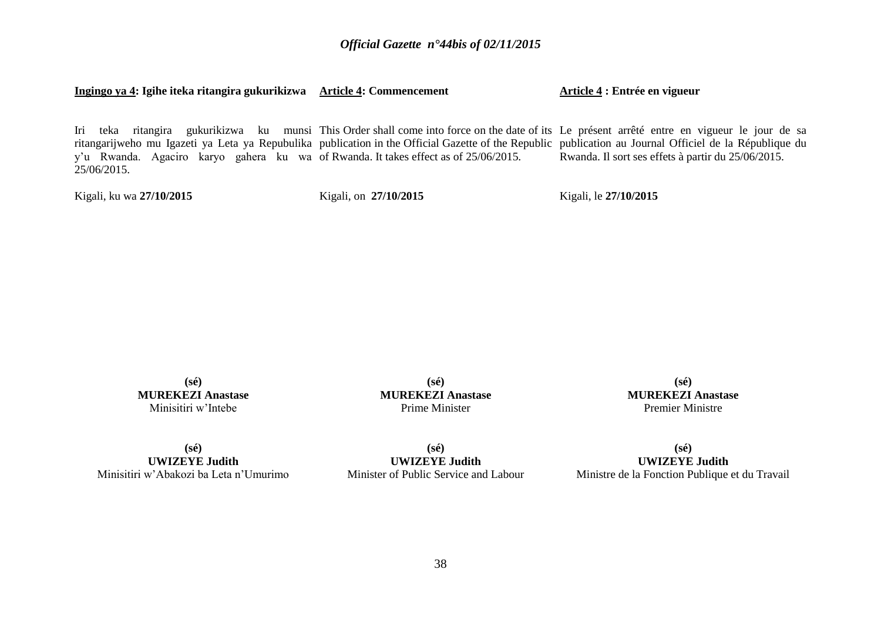**Ingingo ya 4: Igihe iteka ritangira gukurikizwa Article 4: Commencement**

**Article 4 : Entrée en vigueur**

Iri teka ritangira gukurikizwa ku munsi This Order shall come into force on the date of its Le présent arrêté entre en vigueur le jour de sa ritangarijweho mu Igazeti ya Leta ya Repubulika publication in the Official Gazette of the Republic publication au Journal Officiel de la République du y'u Rwanda. Agaciro karyo gahera ku wa of Rwanda. It takes effect as of 25/06/2015. 25/06/2015. Rwanda. Il sort ses effets à partir du 25/06/2015.

Kigali, ku wa **27/10/2015** 

Kigali, on **27/10/2015** 

Kigali, le **27/10/2015** 

**(sé) MUREKEZI Anastase** Minisitiri w'Intebe

**(sé) MUREKEZI Anastase** Prime Minister

**(sé) MUREKEZI Anastase** Premier Ministre

**(sé) UWIZEYE Judith** Minisitiri w'Abakozi ba Leta n'Umurimo

**(sé) UWIZEYE Judith** Minister of Public Service and Labour

**(sé) UWIZEYE Judith** Ministre de la Fonction Publique et du Travail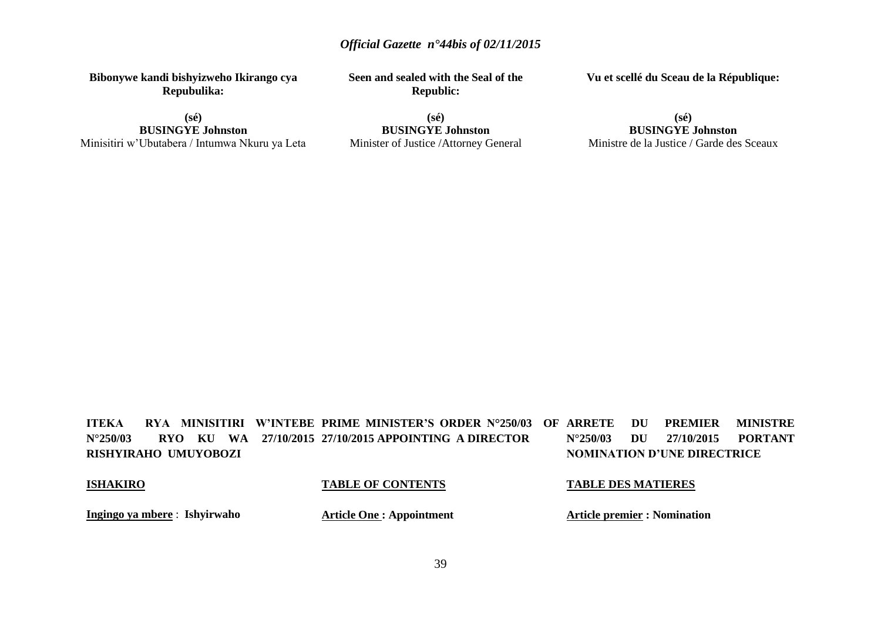**Bibonywe kandi bishyizweho Ikirango cya Repubulika:**

**(sé) BUSINGYE Johnston** Minisitiri w'Ubutabera / Intumwa Nkuru ya Leta **Seen and sealed with the Seal of the Republic:**

**Vu et scellé du Sceau de la République:**

**(sé) BUSINGYE Johnston** Minister of Justice /Attorney General

### **(sé) BUSINGYE Johnston** Ministre de la Justice / Garde des Sceaux

**ITEKA RYA MINISITIRI W'INTEBE PRIME MINISTER'S ORDER N°250/03 OF N°250/03 RYO KU WA 27/10/2015 27/10/2015 APPOINTING A DIRECTOR RISHYIRAHO UMUYOBOZI** *ARREMIER MINISTRE* **N°250/03 DU 27/10/2015 PORTANT NOMINATION D'UNE DIRECTRICE**

### **ISHAKIRO**

### **TABLE OF CONTENTS**

### **TABLE DES MATIERES**

**Ingingo ya mbere** : **Ishyirwaho**

**Article One : Appointment**

**Article premier : Nomination**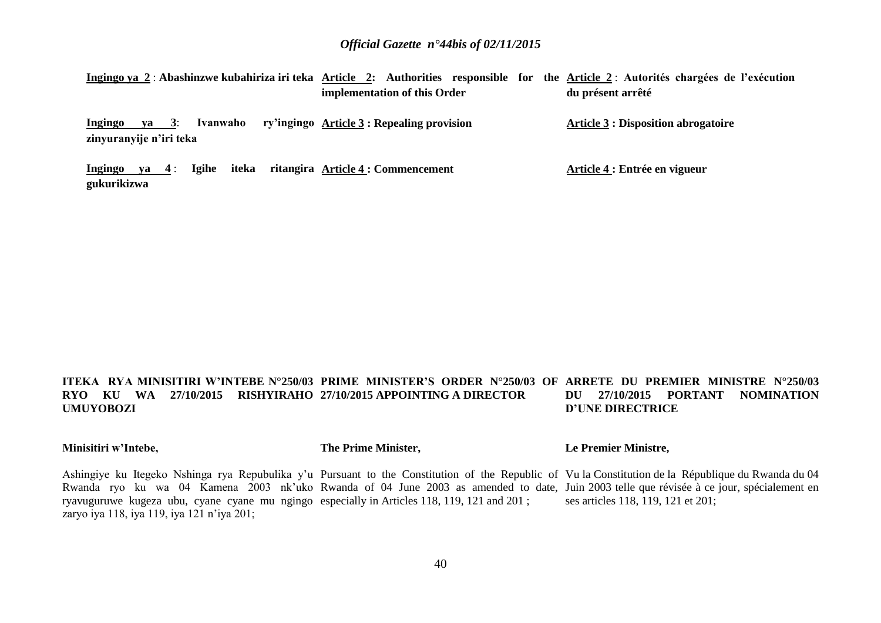Ingingo ya 2 : Abashinzwe kubahiriza iri teka Article 2: Authorities responsible for the <u>Article 2</u> : Autorités chargées de l'exécution **implementation of this Order du présent arrêté**

**Ingingo ya 3**: **Ivanwaho zinyuranyije n'iri teka Article 3 : Repealing provision Article 3 : Disposition abrogatoire**

**Ingingo ya 4** : **Igihe iteka ritangira Article 4 : Commencement gukurikizwa Article 4 : Entrée en vigueur**

#### **ITEKA RYA MINISITIRI W'INTEBE N°250/03 PRIME MINISTER'S ORDER N°250/03 OF ARRETE DU PREMIER MINISTRE N°250/03 RYO KU WA 27/10/2015 RISHYIRAHO 27/10/2015 APPOINTING A DIRECTOR UMUYOBOZI DU 27/10/2015 PORTANT NOMINATION D'UNE DIRECTRICE**

### **Minisitiri w'Intebe,**

### **The Prime Minister,**

### **Le Premier Ministre,**

Ashingiye ku Itegeko Nshinga rya Repubulika y'u Pursuant to the Constitution of the Republic of Vu la Constitution de la République du Rwanda du 04 Rwanda ryo ku wa 04 Kamena 2003 nk'uko Rwanda of 04 June 2003 as amended to date, Juin 2003 telle que révisée à ce jour, spécialement en ryavuguruwe kugeza ubu, cyane cyane mu ngingo especially in Articles 118, 119, 121 and 201 ; zaryo iya 118, iya 119, iya 121 n'iya 201; ses articles 118, 119, 121 et 201;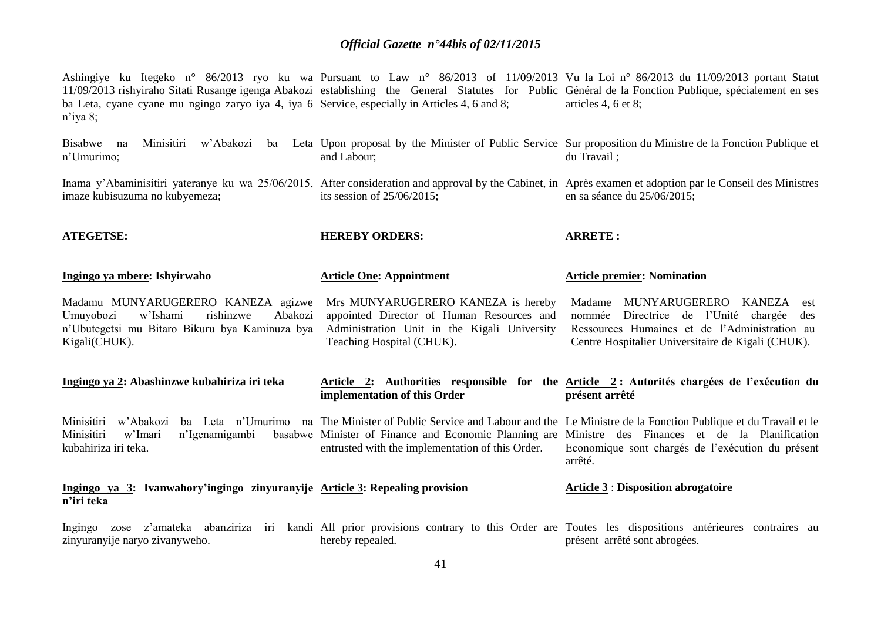Ashingiye ku Itegeko n° 86/2013 ryo ku wa Pursuant to Law n° 86/2013 of 11/09/2013 Vu la Loi n° 86/2013 du 11/09/2013 portant Statut 11/09/2013 rishyiraho Sitati Rusange igenga Abakozi establishing the General Statutes for Public Général de la Fonction Publique, spécialement en ses ba Leta, cyane cyane mu ngingo zaryo iya 4, iya 6 Service, especially in Articles 4, 6 and 8; n'iya 8; articles 4, 6 et 8;

| w'Abakozi<br>Bisabwe na<br>Minisitiri<br>n'Umurimo;                                                                                                    | and Labour;                                                                                                                                                  | ba Leta Upon proposal by the Minister of Public Service Sur proposition du Ministre de la Fonction Publique et<br>du Travail ;                                                                                                                                                     |  |  |  |  |  |
|--------------------------------------------------------------------------------------------------------------------------------------------------------|--------------------------------------------------------------------------------------------------------------------------------------------------------------|------------------------------------------------------------------------------------------------------------------------------------------------------------------------------------------------------------------------------------------------------------------------------------|--|--|--|--|--|
| imaze kubisuzuma no kubyemeza;                                                                                                                         | its session of $25/06/2015$ ;                                                                                                                                | Inama y'Abaminisitiri yateranye ku wa 25/06/2015, After consideration and approval by the Cabinet, in Après examen et adoption par le Conseil des Ministres<br>en sa séance du 25/06/2015;                                                                                         |  |  |  |  |  |
| <b>ATEGETSE:</b>                                                                                                                                       | <b>HEREBY ORDERS:</b>                                                                                                                                        | <b>ARRETE:</b>                                                                                                                                                                                                                                                                     |  |  |  |  |  |
| Ingingo ya mbere: Ishyirwaho                                                                                                                           | <b>Article One: Appointment</b>                                                                                                                              | <b>Article premier: Nomination</b>                                                                                                                                                                                                                                                 |  |  |  |  |  |
| Madamu MUNYARUGERERO KANEZA agizwe<br>w'Ishami<br>rishinzwe<br>Abakozi<br>Umuyobozi<br>n'Ubutegetsi mu Bitaro Bikuru bya Kaminuza bya<br>Kigali(CHUK). | Mrs MUNYARUGERERO KANEZA is hereby<br>appointed Director of Human Resources and<br>Administration Unit in the Kigali University<br>Teaching Hospital (CHUK). | MUNYARUGERERO KANEZA<br>Madame<br>est<br>Directrice de l'Unité chargée<br>nommée<br>des<br>Ressources Humaines et de l'Administration au<br>Centre Hospitalier Universitaire de Kigali (CHUK).                                                                                     |  |  |  |  |  |
| Ingingo ya 2: Abashinzwe kubahiriza iri teka                                                                                                           | implementation of this Order                                                                                                                                 | Article 2: Authorities responsible for the Article 2: Autorités chargées de l'exécution du<br>présent arrêté                                                                                                                                                                       |  |  |  |  |  |
| Minisitiri<br>ba Leta n'Umurimo<br>w'Abakozi<br>Minisitiri<br>w'Imari<br>n'Igenamigambi<br>kubahiriza iri teka.                                        | entrusted with the implementation of this Order.                                                                                                             | na The Minister of Public Service and Labour and the Le Ministre de la Fonction Publique et du Travail et le<br>basabwe Minister of Finance and Economic Planning are Ministre des Finances et de la Planification<br>Economique sont chargés de l'exécution du présent<br>arrêté. |  |  |  |  |  |
| Ingingo ya 3: Ivanwahory'ingingo zinyuranyije Article 3: Repealing provision<br>n'iri teka                                                             |                                                                                                                                                              | <b>Article 3 : Disposition abrogatoire</b>                                                                                                                                                                                                                                         |  |  |  |  |  |
| Ingingo<br>zose<br>zinyuranyije naryo zivanyweho.                                                                                                      | hereby repealed.                                                                                                                                             | z'amateka abanziriza iri kandi All prior provisions contrary to this Order are Toutes les dispositions antérieures contraires au<br>présent arrêté sont abrogées.                                                                                                                  |  |  |  |  |  |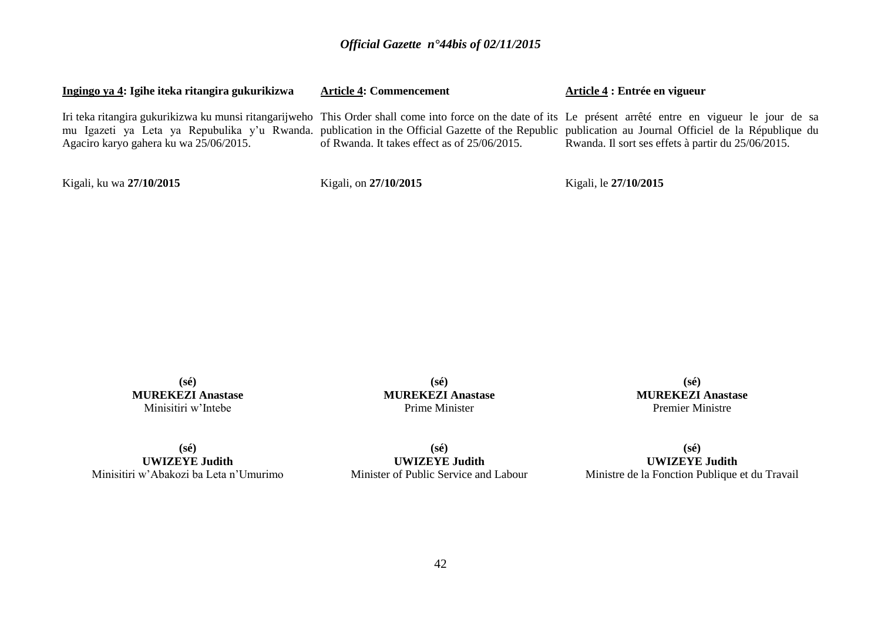| Ingingo ya 4: Igihe iteka ritangira gukurikizwa | <b>Article 4: Commencement</b>               | Article 4 : Entrée en vigueur                                                                                                                                                                                                                                                                                                                                             |  |  |  |  |  |  |
|-------------------------------------------------|----------------------------------------------|---------------------------------------------------------------------------------------------------------------------------------------------------------------------------------------------------------------------------------------------------------------------------------------------------------------------------------------------------------------------------|--|--|--|--|--|--|
| Agaciro karyo gahera ku wa 25/06/2015.          | of Rwanda. It takes effect as of 25/06/2015. | Iri teka ritangira gukurikizwa ku munsi ritangarijweho This Order shall come into force on the date of its Le présent arrêté entre en vigueur le jour de sa<br>mu Igazeti ya Leta ya Repubulika y'u Rwanda. publication in the Official Gazette of the Republic publication au Journal Officiel de la République du<br>Rwanda. Il sort ses effets à partir du 25/06/2015. |  |  |  |  |  |  |
| Kigali, ku wa 27/10/2015                        | Kigali, on 27/10/2015                        | Kigali, le 27/10/2015                                                                                                                                                                                                                                                                                                                                                     |  |  |  |  |  |  |

**(sé) MUREKEZI Anastase** Minisitiri w'Intebe

**(sé) MUREKEZI Anastase** Prime Minister

**(sé) MUREKEZI Anastase** Premier Ministre

**(sé) UWIZEYE Judith** Minisitiri w'Abakozi ba Leta n'Umurimo

**(sé) UWIZEYE Judith** Minister of Public Service and Labour

**(sé) UWIZEYE Judith** Ministre de la Fonction Publique et du Travail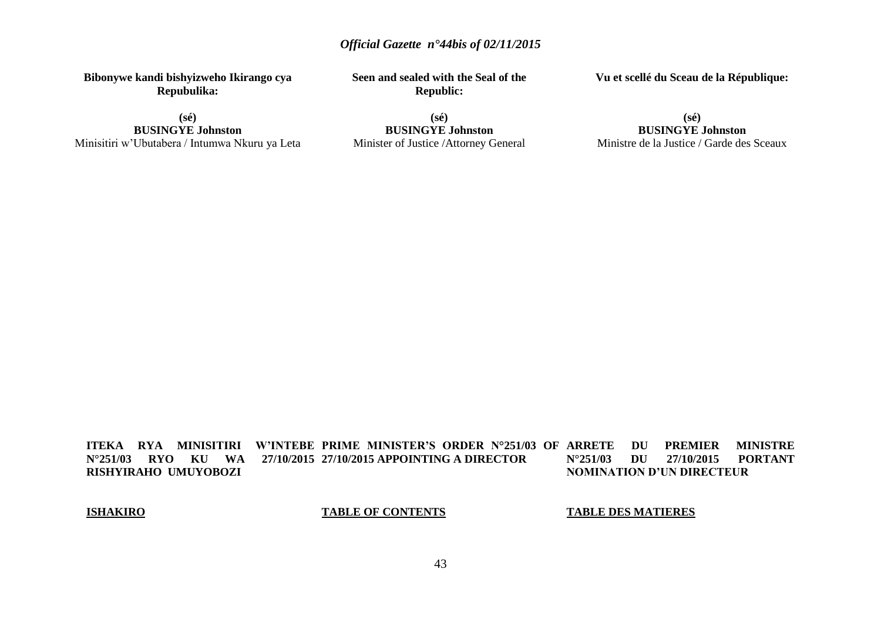**Bibonywe kandi bishyizweho Ikirango cya Repubulika:**

**(sé) BUSINGYE Johnston** Minisitiri w'Ubutabera / Intumwa Nkuru ya Leta **Seen and sealed with the Seal of the Republic:**

**(sé) BUSINGYE Johnston** Minister of Justice /Attorney General **Vu et scellé du Sceau de la République:**

**(sé) BUSINGYE Johnston** Ministre de la Justice / Garde des Sceaux

**ITEKA RYA MINISITIRI W'INTEBE PRIME MINISTER'S ORDER N°251/03 OF**  N°251/03 RYO KU WA **RISHYIRAHO UMUYOBOZI 27/10/2015 APPOINTING A DIRECTOR DU PREMIER MINISTRE<br>DU 27/10/2015 PORTANT N°251/03 DU 27/10/2015 PORTANT NOMINATION D'UN DIRECTEUR**

**ISHAKIRO**

**TABLE OF CONTENTS**

**TABLE DES MATIERES**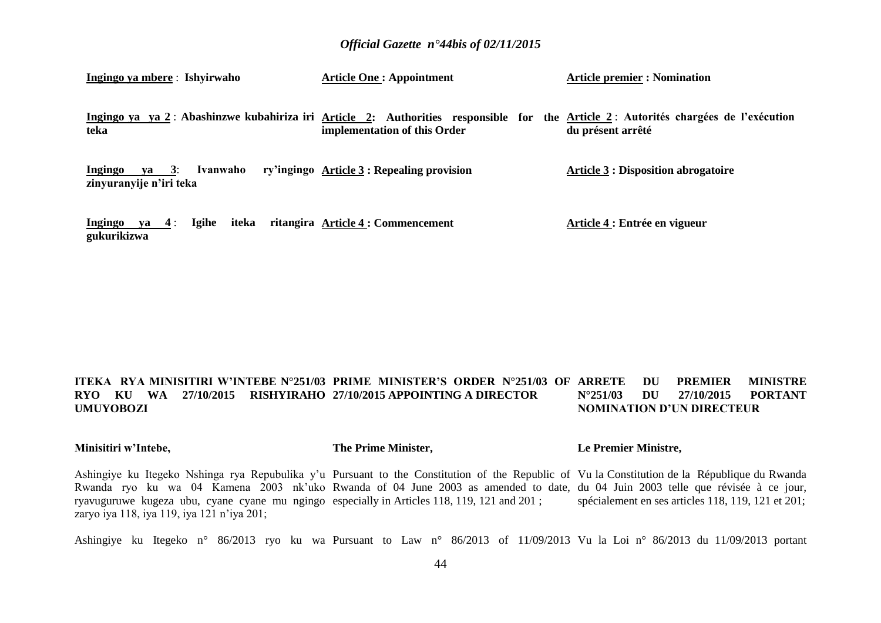| Ingingo ya mbere: Ishyirwaho                            | <b>Article One: Appointment</b>                                                                                                                                    | <b>Article premier : Nomination</b>        |  |  |  |  |
|---------------------------------------------------------|--------------------------------------------------------------------------------------------------------------------------------------------------------------------|--------------------------------------------|--|--|--|--|
| teka                                                    | Ingingo ya ya 2: Abashinzwe kubahiriza iri Article 2: Authorities responsible for the Article 2: Autorités chargées de l'exécution<br>implementation of this Order | du présent arrêté                          |  |  |  |  |
| ya 3:<br>Ivanwaho<br>Ingingo<br>zinyuranyije n'iri teka | ry'ingingo Article 3 : Repealing provision                                                                                                                         | <b>Article 3 : Disposition abrogatoire</b> |  |  |  |  |
| iteka<br>Igihe<br>Ingingo ya $4$ :<br>gukurikizwa       | ritangira Article 4 : Commencement                                                                                                                                 | Article 4 : Entrée en vigueur              |  |  |  |  |

#### **ITEKA RYA MINISITIRI W'INTEBE N°251/03 PRIME MINISTER'S ORDER N°251/03 OF RYO KU WA 27/10/2015 RISHYIRAHO 27/10/2015 APPOINTING A DIRECTOR UMUYOBOZI** *ARREMIER MINISTRE* **N°251/03 DU 27/10/2015 PORTANT NOMINATION D'UN DIRECTEUR**

### **Minisitiri w'Intebe,**

### **The Prime Minister,**

### **Le Premier Ministre,**

Ashingiye ku Itegeko Nshinga rya Repubulika y'u Pursuant to the Constitution of the Republic of Vu la Constitution de la République du Rwanda Rwanda ryo ku wa 04 Kamena 2003 nk'uko Rwanda of 04 June 2003 as amended to date, du 04 Juin 2003 telle que révisée à ce jour, ryavuguruwe kugeza ubu, cyane cyane mu ngingo especially in Articles 118, 119, 121 and 201 ; zaryo iya 118, iya 119, iya 121 n'iya 201; spécialement en ses articles 118, 119, 121 et 201;

Ashingiye ku Itegeko n° 86/2013 ryo ku wa Pursuant to Law n° 86/2013 of 11/09/2013 Vu la Loi n° 86/2013 du 11/09/2013 portant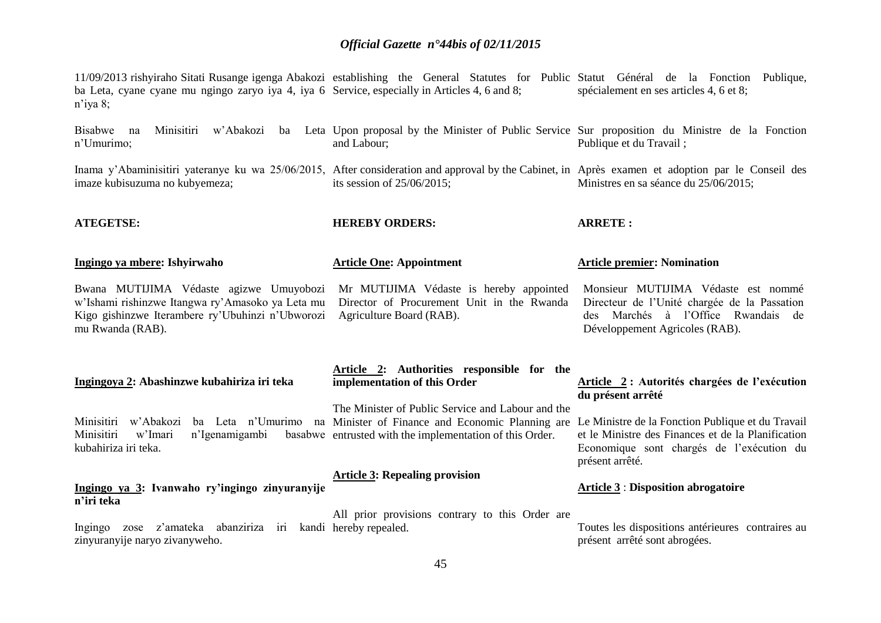11/09/2013 rishyiraho Sitati Rusange igenga Abakozi establishing the General Statutes for Public Statut Général de la Fonction Publique, ba Leta, cyane cyane mu ngingo zaryo iya 4, iya 6 Service, especially in Articles 4, 6 and 8; n'iya 8; spécialement en ses articles 4, 6 et 8;

Bisabwe na Minisitiri w'Abakozi ba Leta Upon-proposal-by-the-Minister of Public Service Sur-proposition du Ministre de la Fonction n'Umurimo; and Labour; Publique et du Travail ;

Inama y'Abaminisitiri yateranye ku wa 25/06/2015, After consideration and approval by the Cabinet, in Après examen et adoption par le Conseil des imaze kubisuzuma no kubyemeza; its session of 25/06/2015; Ministres en sa séance du 25/06/2015;

**ATEGETSE:**

kubahiriza iri teka.

**Ingingo ya mbere: Ishyirwaho**

**HEREBY ORDERS:**

**Article One: Appointment**

**Article premier: Nomination**

**ARRETE :**

Bwana MUTIJIMA Védaste agizwe Umuyobozi w'Ishami rishinzwe Itangwa ry'Amasoko ya Leta mu Kigo gishinzwe Iterambere ry'Ubuhinzi n'Ubworozi mu Rwanda (RAB).

Mr MUTIJIMA Védaste is hereby appointed Director of Procurement Unit in the Rwanda Agriculture Board (RAB).

Monsieur MUTIJIMA Védaste est nommé Directeur de l'Unité chargée de la Passation des Marchés à l'Office Rwandais de Développement Agricoles (RAB).

| Ingingoya 2: Abashinzwe kubahiriza iri teka | Article 2: Authorities responsible for the<br>implementation of this Order | Article 2: Autorités chargées de l'exécution |
|---------------------------------------------|----------------------------------------------------------------------------|----------------------------------------------|
|                                             |                                                                            | du présent arrêté                            |
|                                             | The Minister of Public Service and Labour and the                          |                                              |

Minisitiri w'Abakozi ba Leta n'Umurimo na Minister of Finance and Economic Planning are Le Ministre de la Fonction Publique et du Travail et le Ministre des Finances et de la Planification Economique sont chargés de l'exécution du présent arrêté.

**Article 3** : **Disposition abrogatoire**

### **Article 3: Repealing provision**

basabwe entrusted with the implementation of this Order.

### **Ingingo ya 3: Ivanwaho ry'ingingo zinyuranyije n'iri teka**

Minisitiri w'Imari n'Igenamigambi

Ingingo zose z'amateka abanziriza iri kandi hereby repealed. zinyuranyije naryo zivanyweho. All prior provisions contrary to this Order are Toutes les dispositions antérieures contraires au présent arrêté sont abrogées.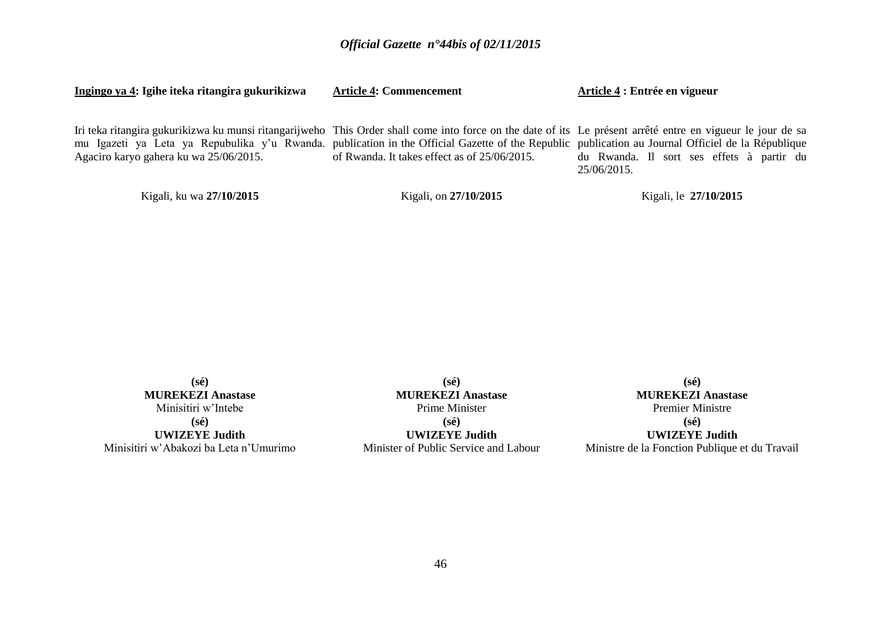| Ingingo ya 4: Igihe iteka ritangira gukurikizwa                                                                                                                                                                                                                                                                                                            | <b>Article 4: Commencement</b>               | Article 4 : Entrée en vigueur                            |
|------------------------------------------------------------------------------------------------------------------------------------------------------------------------------------------------------------------------------------------------------------------------------------------------------------------------------------------------------------|----------------------------------------------|----------------------------------------------------------|
| Iri teka ritangira gukurikizwa ku munsi ritangarijweho This Order shall come into force on the date of its Le présent arrêté entre en vigueur le jour de sa<br>mu Igazeti ya Leta ya Repubulika y'u Rwanda. publication in the Official Gazette of the Republic publication au Journal Officiel de la République<br>Agaciro karyo gahera ku wa 25/06/2015. | of Rwanda. It takes effect as of 25/06/2015. | du Rwanda. Il sort ses effets à partir du<br>25/06/2015. |
| Kigali, ku wa 27/10/2015                                                                                                                                                                                                                                                                                                                                   | Kigali, on 27/10/2015                        | Kigali, le 27/10/2015                                    |

**(sé) MUREKEZI Anastase** Minisitiri w'Intebe **(sé) UWIZEYE Judith** Minisitiri w'Abakozi ba Leta n'Umurimo

**(sé) MUREKEZI Anastase** Prime Minister **(sé) UWIZEYE Judith** Minister of Public Service and Labour

**(sé) MUREKEZI Anastase** Premier Ministre **(sé) UWIZEYE Judith** Ministre de la Fonction Publique et du Travail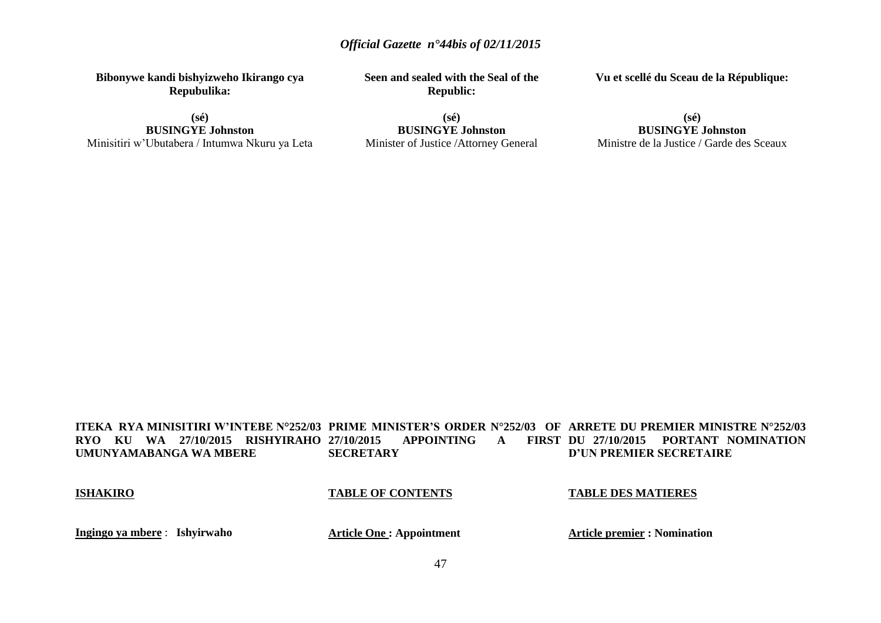**Bibonywe kandi bishyizweho Ikirango cya Repubulika:**

**(sé) BUSINGYE Johnston** Minisitiri w'Ubutabera / Intumwa Nkuru ya Leta **Seen and sealed with the Seal of the Republic:**

**Vu et scellé du Sceau de la République:**

**(sé) BUSINGYE Johnston** Minister of Justice /Attorney General

### **(sé) BUSINGYE Johnston** Ministre de la Justice / Garde des Sceaux

#### **ITEKA RYA MINISITIRI W'INTEBE N°252/03 PRIME MINISTER'S ORDER N°252/03 OF ARRETE DU PREMIER MINISTRE N°252/03 RYO KU WA 27/10/2015 RISHYIRAHO UMUNYAMABANGA WA MBERE** APPOINTING **A SECRETARY** FIRST DU 27/10/2015 PORTANT NOMINATION **D'UN PREMIER SECRETAIRE**

### **ISHAKIRO**

### **TABLE OF CONTENTS**

### **TABLE DES MATIERES**

**Ingingo ya mbere** : **Ishyirwaho**

**Article One : Appointment**

**Article premier : Nomination**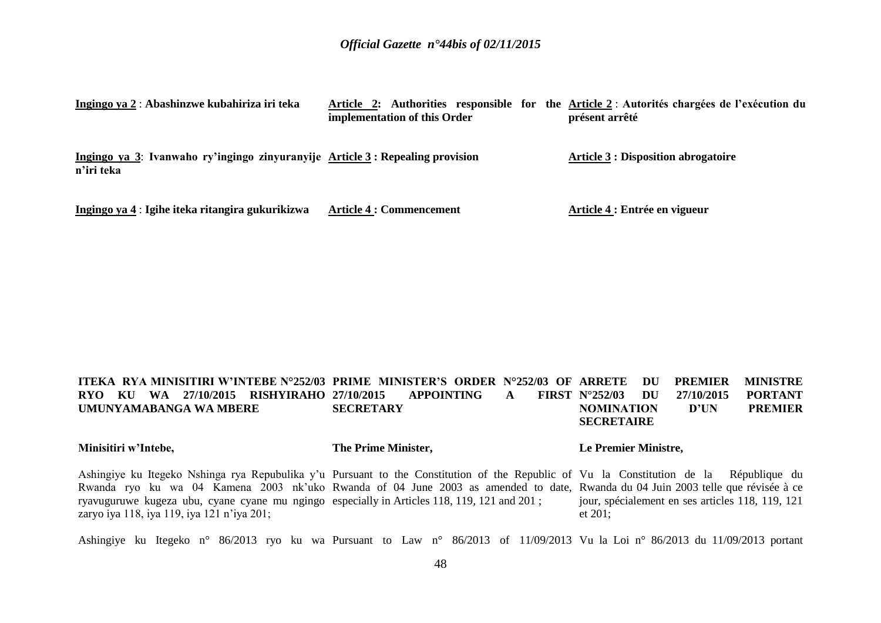| Ingingo ya 2 : Abashinzwe kubahiriza iri teka                                               | implementation of this Order    | Article 2: Authorities responsible for the Article 2 : Autorités chargées de l'exécution du<br>présent arrêté |
|---------------------------------------------------------------------------------------------|---------------------------------|---------------------------------------------------------------------------------------------------------------|
| Ingingo ya 3: Ivanwaho ry'ingingo zinyuranyije Article 3: Repealing provision<br>n'iri teka |                                 | <b>Article 3 : Disposition abrogatoire</b>                                                                    |
| Ingingo ya 4 : Igihe iteka ritangira gukurikizwa                                            | <b>Article 4 : Commencement</b> | Article 4 : Entrée en vigueur                                                                                 |

#### **ITEKA RYA MINISITIRI W'INTEBE N°252/03 PRIME MINISTER'S ORDER N°252/03 OF ARRETE DU PREMIER MINISTRE RYO KU WA 27/10/2015 RISHYIRAHO UMUNYAMABANGA WA MBERE 27/10/2015 APPOINTING A SECRETARY N°252/03 DU 27/10/2015 PORTANT NOMINATION D'UN PREMIER SECRETAIRE**

### **Minisitiri w'Intebe,**

### **The Prime Minister,**

### **Le Premier Ministre,**

Ashingiye ku Itegeko Nshinga rya Repubulika y'u Pursuant to the Constitution of the Republic of Vu la Constitution de la République du Rwanda ryo ku wa 04 Kamena 2003 nk'uko Rwanda of 04 June 2003 as amended to date, Rwanda du 04 Juin 2003 telle que révisée à ce ryavuguruwe kugeza ubu, cyane cyane mu ngingo especially in Articles 118, 119, 121 and 201 ; zaryo iya 118, iya 119, iya 121 n'iya 201; jour, spécialement en ses articles 118, 119, 121 et 201;

Ashingiye ku Itegeko n° 86/2013 ryo ku wa Pursuant to Law n° 86/2013 of 11/09/2013 Vu la Loi n° 86/2013 du 11/09/2013 portant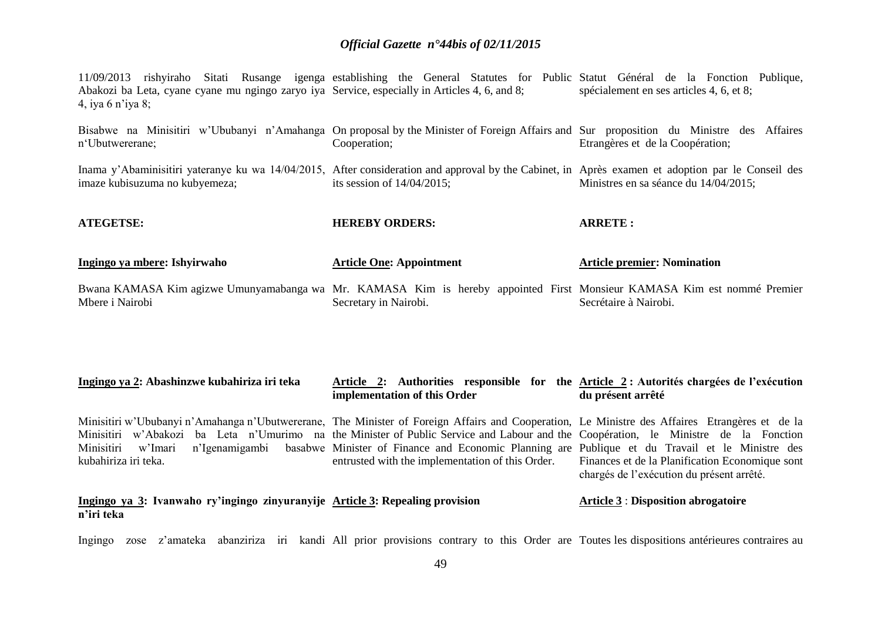11/09/2013 rishyiraho Sitati Rusange igenga establishing the General Statutes for Public Statut Général de la Fonction Publique, Abakozi ba Leta, cyane cyane mu ngingo zaryo iya Service, especially in Articles 4, 6, and 8; 4, iya 6 n'iya 8; spécialement en ses articles 4, 6, et 8;

Bisabwe na Minisitiri w'Ububanyi n'Amahanga On proposal by the Minister of Foreign Affairs and Sur proposition du Ministre des Affaires n'Ubutwererane; Cooperation; Etrangères et de la Coopération;

Inama y'Abaminisitiri yateranye ku wa 14/04/2015, After consideration and approval by the Cabinet, in Après examen et adoption par le Conseil des imaze kubisuzuma no kubyemeza; its session of 14/04/2015; Ministres en sa séance du 14/04/2015;

**ARRETE :**

| Ingingo ya mbere: Ishyirwaho | <b>Article One: Appointment</b> | <b>Article premier: Nomination</b> |
|------------------------------|---------------------------------|------------------------------------|
| AILGLISE.                    | HEREDI URUERS.                  | ANNLIL:                            |

**HEREBY ORDERS:**

**ATEGETSE:**

**n'iri teka**

Bwana KAMASA Kim agizwe Umunyamabanga wa Mr. KAMASA Kim is hereby appointed First Monsieur KAMASA Kim est nommé Premier Mbere i Nairobi Secretary in Nairobi. Secrétaire à Nairobi.

| Ingingo ya 2: Abashinzwe kubahiriza iri teka |  |  | implementation of this Order |  |                                                                                                                                                |  | Article 2: Authorities responsible for the Article 2: Autorités chargées de l'exécution<br>du présent arrêté |  |  |  |  |  |  |
|----------------------------------------------|--|--|------------------------------|--|------------------------------------------------------------------------------------------------------------------------------------------------|--|--------------------------------------------------------------------------------------------------------------|--|--|--|--|--|--|
|                                              |  |  |                              |  | Minisitiri w'Ububanyi n'Amahanga n'Ubutwererane, The Minister of Foreign Affairs and Cooperation, Le Ministre des Affaires Etrangères et de la |  |                                                                                                              |  |  |  |  |  |  |
|                                              |  |  |                              |  | Minisitiri w'Abakozi ba Leta n'Umurimo na the Minister of Public Service and Labour and the Coopération, le Ministre de la Fonction            |  |                                                                                                              |  |  |  |  |  |  |
|                                              |  |  |                              |  | Minisitiri w'Imari n'Igenamigambi basabwe Minister of Finance and Economic Planning are Publique et du Travail et le Ministre des              |  |                                                                                                              |  |  |  |  |  |  |

kubahiriza iri teka. **Ingingo ya 3: Ivanwaho ry'ingingo zinyuranyije Article 3: Repealing provision** entrusted with the implementation of this Order. Finances et de la Planification Economique sont chargés de l'exécution du présent arrêté. **Article 3** : **Disposition abrogatoire**

Ingingo zose z'amateka abanziriza iri kandi All prior provisions contrary to this Order are Toutes les dispositions antérieures contraires au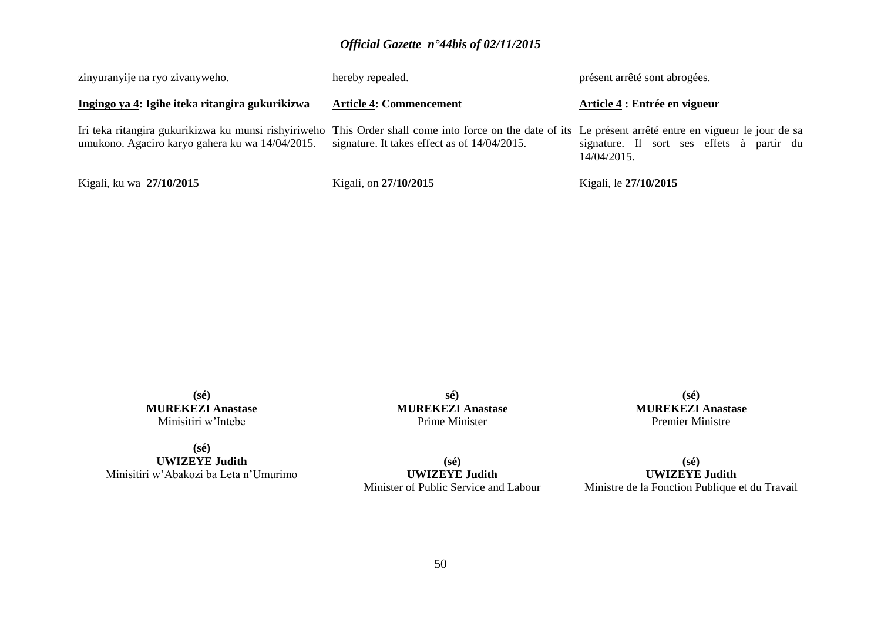| zinyuranyije na ryo zivanyweho.                                                                                                                                                                                                                           | hereby repealed.               | présent arrêté sont abrogées.                               |  |  |  |  |  |  |
|-----------------------------------------------------------------------------------------------------------------------------------------------------------------------------------------------------------------------------------------------------------|--------------------------------|-------------------------------------------------------------|--|--|--|--|--|--|
| Ingingo ya 4: Igihe iteka ritangira gukurikizwa                                                                                                                                                                                                           | <b>Article 4: Commencement</b> | Article 4 : Entrée en vigueur                               |  |  |  |  |  |  |
| Iri teka ritangira gukurikizwa ku munsi rishyiriweho This Order shall come into force on the date of its Le présent arrêté entre en vigueur le jour de sa<br>umukono. Agaciro karyo gahera ku wa 14/04/2015. signature. It takes effect as of 14/04/2015. |                                | signature. Il sort ses effets à partir du<br>$14/04/2015$ . |  |  |  |  |  |  |
| Kigali, ku wa 27/10/2015                                                                                                                                                                                                                                  | Kigali, on 27/10/2015          | Kigali, le 27/10/2015                                       |  |  |  |  |  |  |

**(sé) MUREKEZI Anastase** Minisitiri w'Intebe

**sé) MUREKEZI Anastase** Prime Minister

**(sé) MUREKEZI Anastase** Premier Ministre

**(sé) UWIZEYE Judith** Minisitiri w'Abakozi ba Leta n'Umurimo

**(sé) UWIZEYE Judith** Minister of Public Service and Labour

**(sé) UWIZEYE Judith** Ministre de la Fonction Publique et du Travail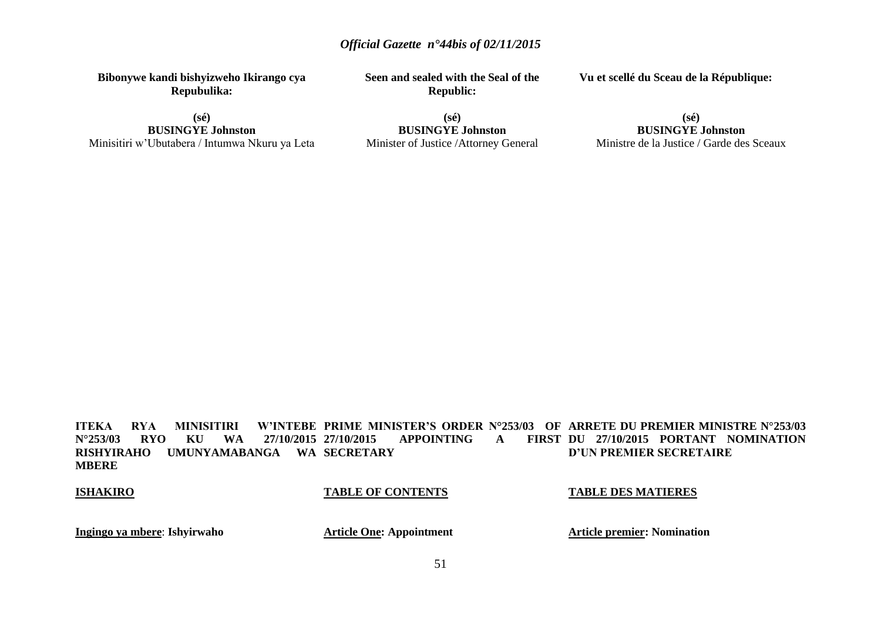**Bibonywe kandi bishyizweho Ikirango cya Repubulika:**

**(sé) BUSINGYE Johnston** Minisitiri w'Ubutabera / Intumwa Nkuru ya Leta **Seen and sealed with the Seal of the Republic:**

**Vu et scellé du Sceau de la République:**

**(sé) BUSINGYE Johnston** Minister of Justice /Attorney General

### **(sé) BUSINGYE Johnston** Ministre de la Justice / Garde des Sceaux

**ITEKA RYA MINISITIRI W'INTEBE PRIME MINISTER'S ORDER N°253/03 OF ARRETE DU PREMIER MINISTRE N°253/03 N°253/03 RYO KU WA 27/10/2015 RISHYIRAHO UMUNYAMABANGA WA SECRETARY MBERE** APPOINTING **A** FIRST DU 27/10/2015 PORTANT NOMINATION **D'UN PREMIER SECRETAIRE**

### **ISHAKIRO**

### **TABLE OF CONTENTS**

### **TABLE DES MATIERES**

**Ingingo ya mbere**: **Ishyirwaho**

**Article One: Appointment**

**Article premier: Nomination**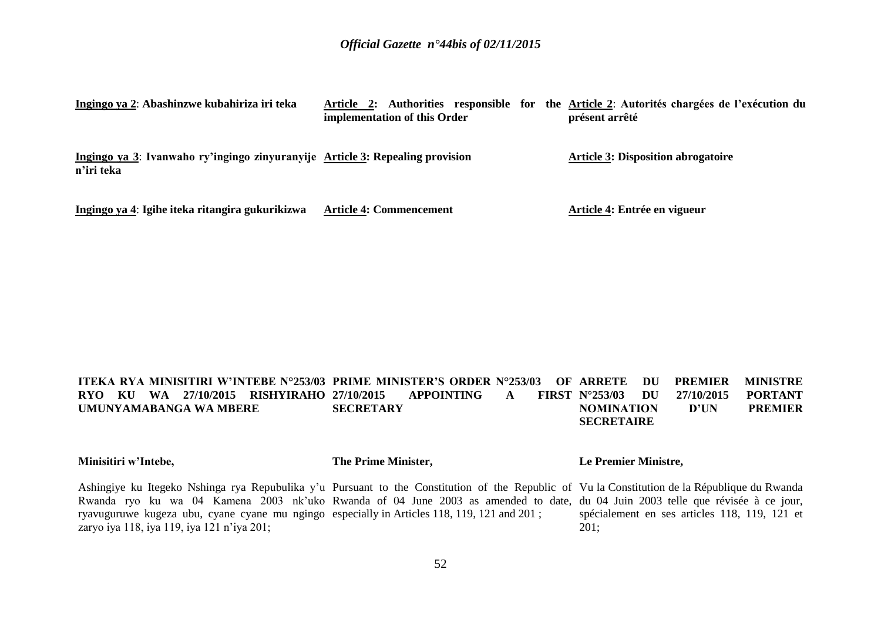| Ingingo ya 2: Abashinzwe kubahiriza iri teka                                                | implementation of this Order   | Article 2: Authorities responsible for the Article 2: Autorités chargées de l'exécution du<br>présent arrêté |
|---------------------------------------------------------------------------------------------|--------------------------------|--------------------------------------------------------------------------------------------------------------|
| Ingingo ya 3: Ivanwaho ry'ingingo zinyuranyije Article 3: Repealing provision<br>n'iri teka |                                | <b>Article 3: Disposition abrogatoire</b>                                                                    |
| Ingingo ya 4: Igihe iteka ritangira gukurikizwa                                             | <b>Article 4: Commencement</b> | Article 4: Entrée en vigueur                                                                                 |

#### **ITEKA RYA MINISITIRI W'INTEBE N°253/03 PRIME MINISTER'S ORDER N°253/03 OF ARRETE DU PREMIER MINISTRE RYO KU WA 27/10/2015 RISHYIRAHO UMUNYAMABANGA WA MBERE** APPOINTING **A SECRETARY N°253/03 DU 27/10/2015 PORTANT NOMINATION D'UN PREMIER SECRETAIRE**

**Minisitiri w'Intebe,**

**The Prime Minister,**

### **Le Premier Ministre,**

Ashingiye ku Itegeko Nshinga rya Repubulika y'u Pursuant to the Constitution of the Republic of Vu la Constitution de la République du Rwanda Rwanda ryo ku wa 04 Kamena 2003 nk'uko Rwanda of 04 June 2003 as amended to date, du 04 Juin 2003 telle que révisée à ce jour, ryavuguruwe kugeza ubu, cyane cyane mu ngingo especially in Articles 118, 119, 121 and 201 ; zaryo iya 118, iya 119, iya 121 n'iya 201; spécialement en ses articles 118, 119, 121 et 201;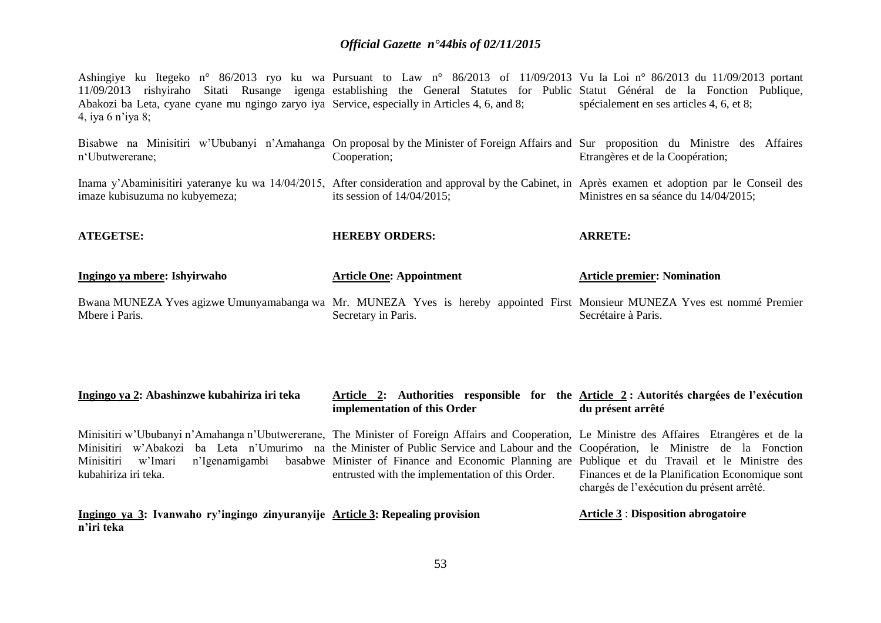Ashingiye ku Itegeko n° 86/2013 ryo ku wa Pursuant to Law n° 86/2013 of 11/09/2013 Vu la Loi n° 86/2013 du 11/09/2013 portant 11/09/2013 rishyiraho Sitati Rusange igenga establishing the General Statutes for Public Statut Général de la Fonction Publique, Abakozi ba Leta, cyane cyane mu ngingo zaryo iya Service, especially in Articles 4, 6, and 8; 4, iya 6 n'iya 8; spécialement en ses articles 4, 6, et 8;

| Bisabwe na Minisitiri w'Ububanyi n'Amahanga On proposal by the Minister of Foreign Affairs and Sur proposition du Ministre des Affaires<br>n'Ubutwererane;                          | Cooperation;                    | Etrangères et de la Coopération;      |
|-------------------------------------------------------------------------------------------------------------------------------------------------------------------------------------|---------------------------------|---------------------------------------|
| Inama y'Abaminisitiri yateranye ku wa 14/04/2015, After consideration and approval by the Cabinet, in Après examen et adoption par le Conseil des<br>imaze kubisuzuma no kubyemeza; | its session of $14/04/2015$ ;   | Ministres en sa séance du 14/04/2015; |
| <b>ATEGETSE:</b>                                                                                                                                                                    | <b>HEREBY ORDERS:</b>           | <b>ARRETE:</b>                        |
|                                                                                                                                                                                     |                                 |                                       |
| Ingingo ya mbere: Ishyirwaho                                                                                                                                                        | <b>Article One: Appointment</b> | <b>Article premier: Nomination</b>    |
| Bwana MUNEZA Yves agizwe Umunyamabanga wa Mr. MUNEZA Yves is hereby appointed First Monsieur MUNEZA Yves est nommé Premier<br>Mbere i Paris.                                        | Secretary in Paris.             | Secrétaire à Paris.                   |
|                                                                                                                                                                                     |                                 |                                       |

| Minisitiri w'Ububanyi n'Amahanga n'Ubutwererane, The Minister of Foreign Affairs and Cooperation, Le Ministre des Affaires Etrangères et de la |  |                                                  |  |                                                 |  |  |  |
|------------------------------------------------------------------------------------------------------------------------------------------------|--|--------------------------------------------------|--|-------------------------------------------------|--|--|--|
| Minisitiri w'Abakozi ba Leta n'Umurimo na the Minister of Public Service and Labour and the Coopération, le Ministre de la Fonction            |  |                                                  |  |                                                 |  |  |  |
| Minisitiri w'Imari n'Igenamigambi basabwe Minister of Finance and Economic Planning are Publique et du Travail et le Ministre des              |  |                                                  |  |                                                 |  |  |  |
| kubahiriza iri teka.                                                                                                                           |  | entrusted with the implementation of this Order. |  | Finances et de la Planification Economique sont |  |  |  |
|                                                                                                                                                |  |                                                  |  | chargés de l'exécution du présent arrêté.       |  |  |  |
|                                                                                                                                                |  |                                                  |  |                                                 |  |  |  |

**du présent arrêté**

**Ingingo ya 3: Ivanwaho ry'ingingo zinyuranyije Article 3: Repealing provision n'iri teka Article 3** : **Disposition abrogatoire**

**implementation of this Order**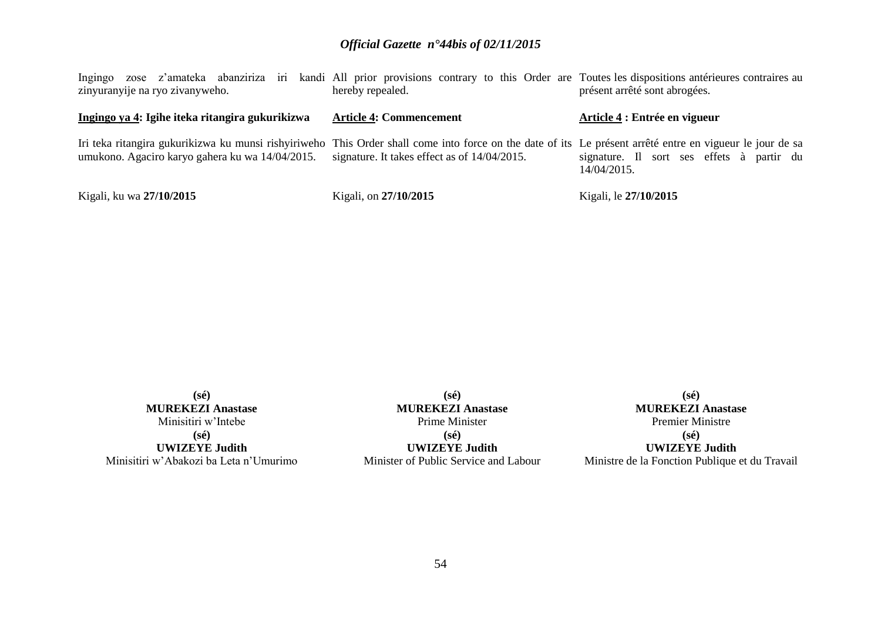| Ingingo zose z'amateka abanziriza iri kandi All prior provisions contrary to this Order are Toutes les dispositions antérieures contraires au<br>zinyuranyije na ryo zivanyweho.                             | hereby repealed.                             | présent arrêté sont abrogées.                            |
|--------------------------------------------------------------------------------------------------------------------------------------------------------------------------------------------------------------|----------------------------------------------|----------------------------------------------------------|
| Ingingo ya 4: Igihe iteka ritangira gukurikizwa                                                                                                                                                              | <b>Article 4: Commencement</b>               | Article 4 : Entrée en vigueur                            |
| Iri teka ritangira gukurikizwa ku munsi rishyiriweho This Order shall come into force on the date of its Le présent arrêté entre en vigueur le jour de sa<br>umukono. Agaciro karyo gahera ku wa 14/04/2015. | signature. It takes effect as of 14/04/2015. | signature. Il sort ses effets à partir du<br>14/04/2015. |
| Kigali, ku wa 27/10/2015                                                                                                                                                                                     | Kigali, on 27/10/2015                        | Kigali, le 27/10/2015                                    |

**(sé) MUREKEZI Anastase** Minisitiri w'Intebe **(sé) UWIZEYE Judith** Minisitiri w'Abakozi ba Leta n'Umurimo

**(sé) MUREKEZI Anastase** Prime Minister **(sé) UWIZEYE Judith** Minister of Public Service and Labour

**(sé) MUREKEZI Anastase** Premier Ministre **(sé) UWIZEYE Judith** Ministre de la Fonction Publique et du Travail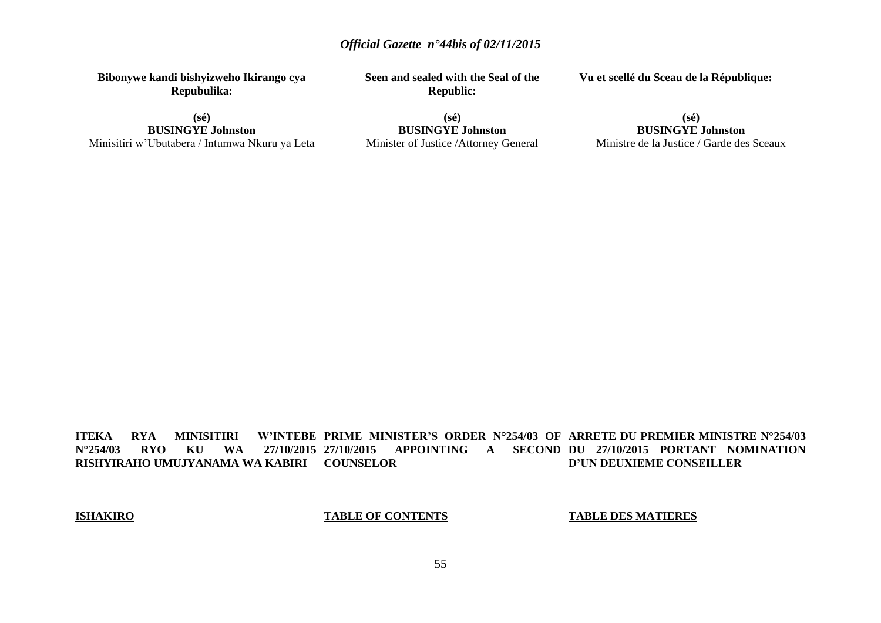**Bibonywe kandi bishyizweho Ikirango cya Repubulika:**

**(sé) BUSINGYE Johnston** Minisitiri w'Ubutabera / Intumwa Nkuru ya Leta **Seen and sealed with the Seal of the Republic:**

**Vu et scellé du Sceau de la République:**

**(sé) BUSINGYE Johnston** Minister of Justice /Attorney General

### **(sé) BUSINGYE Johnston** Ministre de la Justice / Garde des Sceaux

**ITEKA RYA MINISITIRI**<br>N°254/03 RYO KU WA **N°254/03 RYO KU WA 27/10/2015 RISHYIRAHO UMUJYANAMA WA KABIRI COUNSELOR PRIME MINISTER'S ORDER N°254/03 OF ARRETE DU PREMIER MINISTRE N°254/03 27/10/2015 APPOINTING A SECOND DU 27/10/2015 PORTANT NOMINATION D'UN DEUXIEME CONSEILLER**

### **ISHAKIRO**

### **TABLE OF CONTENTS**

### **TABLE DES MATIERES**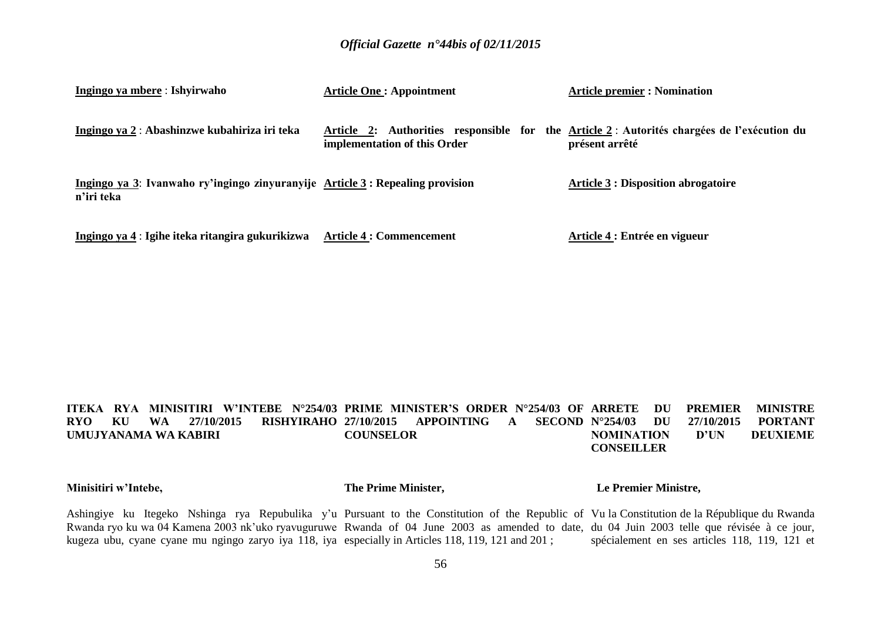| Ingingo ya mbere : Ishyirwaho                                                                | <b>Article One: Appointment</b> | <b>Article premier : Nomination</b>                                                                           |
|----------------------------------------------------------------------------------------------|---------------------------------|---------------------------------------------------------------------------------------------------------------|
| Ingingo ya 2 : Abashinzwe kubahiriza iri teka                                                | implementation of this Order    | Article 2: Authorities responsible for the Article 2 : Autorités chargées de l'exécution du<br>présent arrêté |
| Ingingo ya 3: Ivanwaho ry'ingingo zinyuranyije Article 3 : Repealing provision<br>n'iri teka |                                 | <b>Article 3 : Disposition abrogatoire</b>                                                                    |
| Ingingo ya 4 : Igihe iteka ritangira gukurikizwa                                             | <b>Article 4 : Commencement</b> | Article 4 : Entrée en vigueur                                                                                 |

#### **ITEKA RYA MINISITIRI W'INTEBE N°254/03 PRIME MINISTER'S ORDER N°254/03 OF RYO KU WA 27/10/2015 RISHYIRAHO UMUJYANAMA WA KABIRI 254/03 APPOINTING A SECOND N°254/03 COUNSELOR DU PREMIER MINISTRE N°254/03 DU 27/10/2015 PORTANT NOMINATION D'UN DEUXIEME CONSEILLER**

**Minisitiri w'Intebe,**

**The Prime Minister,**

 **Le Premier Ministre,**

Ashingiye ku Itegeko Nshinga rya Repubulika y'u Pursuant to the Constitution of the Republic of Vu la Constitution de la République du Rwanda Rwanda ryo ku wa 04 Kamena 2003 nk'uko ryavuguruwe Rwanda of 04 June 2003 as amended to date, du 04 Juin 2003 telle que révisée à ce jour, kugeza ubu, cyane cyane mu ngingo zaryo iya 118, iya especially in Articles 118, 119, 121 and 201 ; spécialement en ses articles 118, 119, 121 et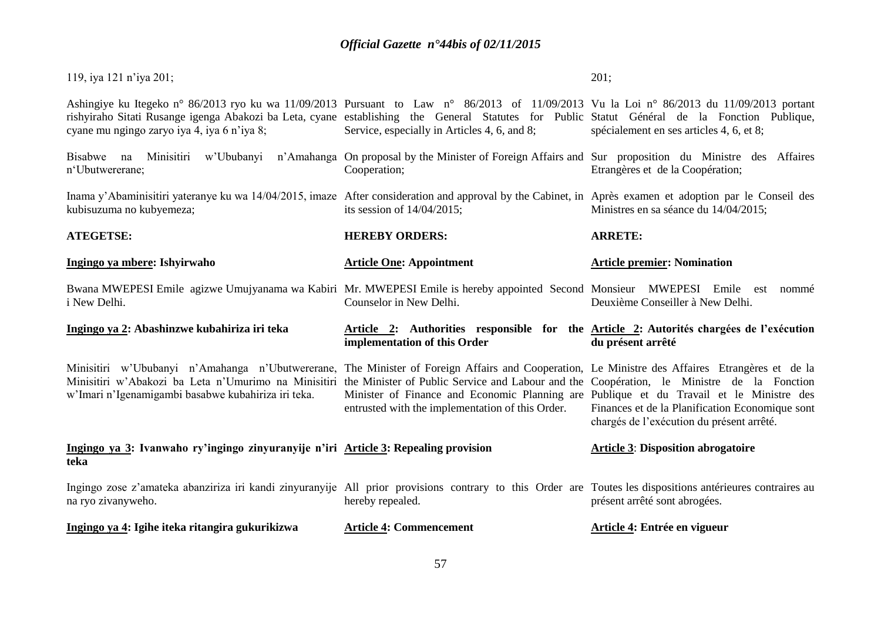| 119, iya 121 n'iya 201;                                                                                                                                                                                                                                                                                                                                 |                                                                                                                                              | 201;                                                                                         |
|---------------------------------------------------------------------------------------------------------------------------------------------------------------------------------------------------------------------------------------------------------------------------------------------------------------------------------------------------------|----------------------------------------------------------------------------------------------------------------------------------------------|----------------------------------------------------------------------------------------------|
| Ashingiye ku Itegeko n° 86/2013 ryo ku wa 11/09/2013 Pursuant to Law n° 86/2013 of 11/09/2013 Vu la Loi n° 86/2013 du 11/09/2013 portant<br>rishyiraho Sitati Rusange igenga Abakozi ba Leta, cyane establishing the General Statutes for Public Statut Général de la Fonction Publique,<br>cyane mu ngingo zaryo iya 4, iya 6 n'iya 8;                 | Service, especially in Articles 4, 6, and 8;                                                                                                 | spécialement en ses articles 4, 6, et 8;                                                     |
| Bisabwe na<br>n'Ubutwererane;                                                                                                                                                                                                                                                                                                                           | Minisitiri w'Ububanyi n'Amahanga On proposal by the Minister of Foreign Affairs and Sur proposition du Ministre des Affaires<br>Cooperation; | Etrangères et de la Coopération;                                                             |
| Inama y'Abaminisitiri yateranye ku wa 14/04/2015, imaze After consideration and approval by the Cabinet, in Après examen et adoption par le Conseil des<br>kubisuzuma no kubyemeza;                                                                                                                                                                     | its session of $14/04/2015$ ;                                                                                                                | Ministres en sa séance du 14/04/2015;                                                        |
| <b>ATEGETSE:</b>                                                                                                                                                                                                                                                                                                                                        | <b>HEREBY ORDERS:</b>                                                                                                                        | <b>ARRETE:</b>                                                                               |
| Ingingo ya mbere: Ishyirwaho                                                                                                                                                                                                                                                                                                                            | <b>Article One: Appointment</b>                                                                                                              | <b>Article premier: Nomination</b>                                                           |
| Bwana MWEPESI Emile agizwe Umujyanama wa Kabiri Mr. MWEPESI Emile is hereby appointed Second Monsieur MWEPESI Emile est<br>i New Delhi.                                                                                                                                                                                                                 | Counselor in New Delhi.                                                                                                                      | nommé<br>Deuxième Conseiller à New Delhi.                                                    |
| Ingingo ya 2: Abashinzwe kubahiriza iri teka                                                                                                                                                                                                                                                                                                            | Article 2: Authorities responsible for the Article 2: Autorités chargées de l'exécution<br>implementation of this Order                      | du présent arrêté                                                                            |
| Minisitiri w'Ububanyi n'Amahanga n'Ubutwererane, The Minister of Foreign Affairs and Cooperation, Le Ministre des Affaires Etrangères et de la<br>Minisitiri w'Abakozi ba Leta n'Umurimo na Minisitiri the Minister of Public Service and Labour and the Coopération, le Ministre de la Fonction<br>w'Imari n'Igenamigambi basabwe kubahiriza iri teka. | Minister of Finance and Economic Planning are Publique et du Travail et le Ministre des<br>entrusted with the implementation of this Order.  | Finances et de la Planification Economique sont<br>chargés de l'exécution du présent arrêté. |
| Ingingo ya 3: Ivanwaho ry'ingingo zinyuranyije n'iri Article 3: Repealing provision<br>teka                                                                                                                                                                                                                                                             |                                                                                                                                              | <b>Article 3: Disposition abrogatoire</b>                                                    |
| Ingingo zose z'amateka abanziriza iri kandi zinyuranyije All prior provisions contrary to this Order are Toutes les dispositions antérieures contraires au<br>na ryo zivanyweho.                                                                                                                                                                        | hereby repealed.                                                                                                                             | présent arrêté sont abrogées.                                                                |
|                                                                                                                                                                                                                                                                                                                                                         |                                                                                                                                              |                                                                                              |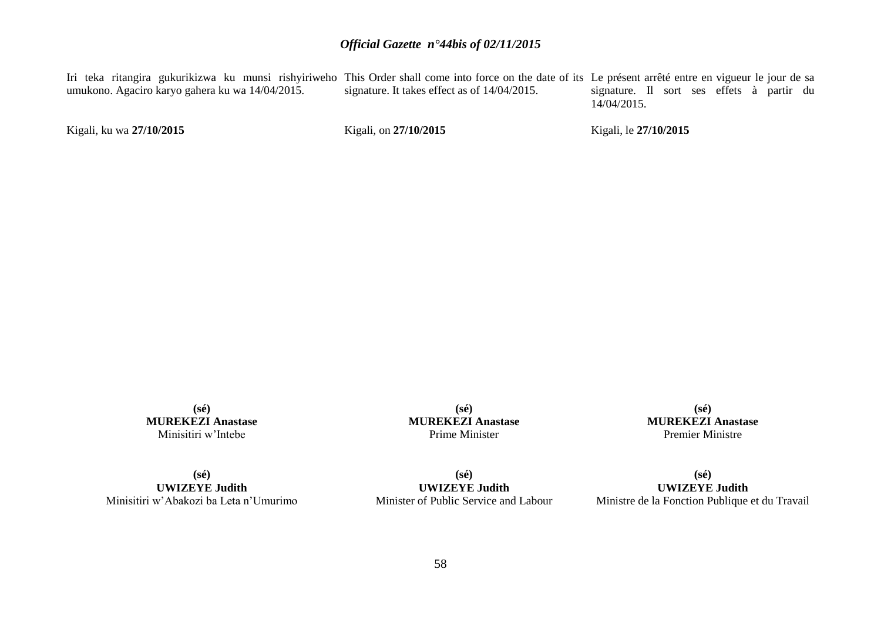Iri teka ritangira gukurikizwa ku munsi rishyiriweho This Order shall come into force on the date of its Le présent arrêté entre en vigueur le jour de sa umukono. Agaciro karyo gahera ku wa 14/04/2015. signature. It takes effect as of 14/04/2015. signature. Il sort ses effets à partir du 14/04/2015.

Kigali, ku wa **27/10/2015** 

Kigali, on **27/10/2015** 

Kigali, le **27/10/2015** 

**(sé) MUREKEZI Anastase** Minisitiri w'Intebe

**(sé) MUREKEZI Anastase** Prime Minister

**(sé) MUREKEZI Anastase** Premier Ministre

**(sé) UWIZEYE Judith** Minisitiri w'Abakozi ba Leta n'Umurimo

**(sé) UWIZEYE Judith** Minister of Public Service and Labour

**(sé) UWIZEYE Judith** Ministre de la Fonction Publique et du Travail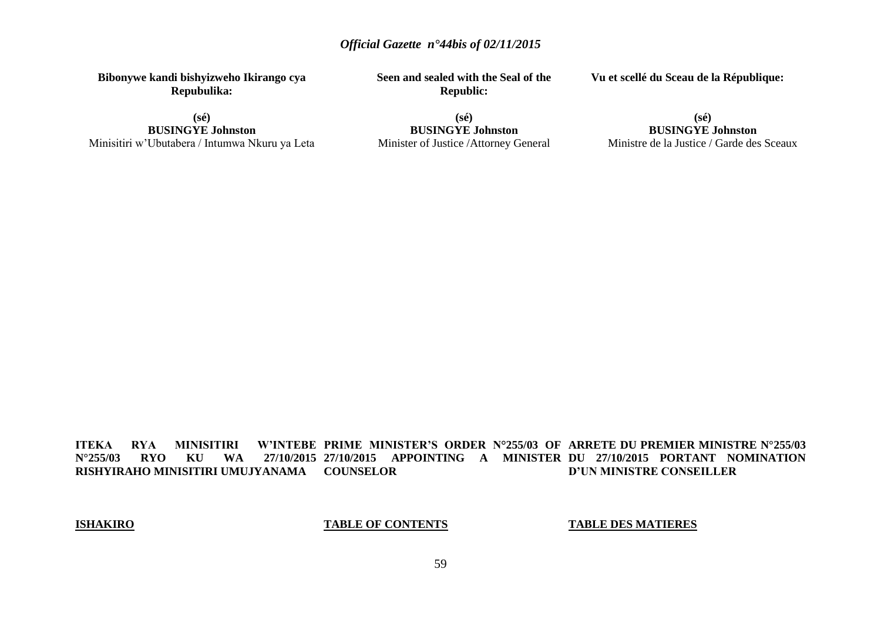**Bibonywe kandi bishyizweho Ikirango cya Repubulika:**

**(sé) BUSINGYE Johnston** Minisitiri w'Ubutabera / Intumwa Nkuru ya Leta **Seen and sealed with the Seal of the Republic:**

**Vu et scellé du Sceau de la République:**

**(sé) BUSINGYE Johnston** Minister of Justice /Attorney General

### **(sé) BUSINGYE Johnston** Ministre de la Justice / Garde des Sceaux

**ITEKA RYA MINISITIRI<br>N°255/03 RYO KU WA N°255/03 RYO KU WA 27/10/2015 27/10/2015 APPOINTING A MINISTER DU 27/10/2015 PORTANT NOMINATION RISHYIRAHO MINISITIRI UMUJYANAMA COUNSELOR PRIME MINISTER'S ORDER N°255/03 OF ARRETE DU PREMIER MINISTRE N°255/03 D'UN MINISTRE CONSEILLER**

### **ISHAKIRO**

**TABLE OF CONTENTS**

### **TABLE DES MATIERES**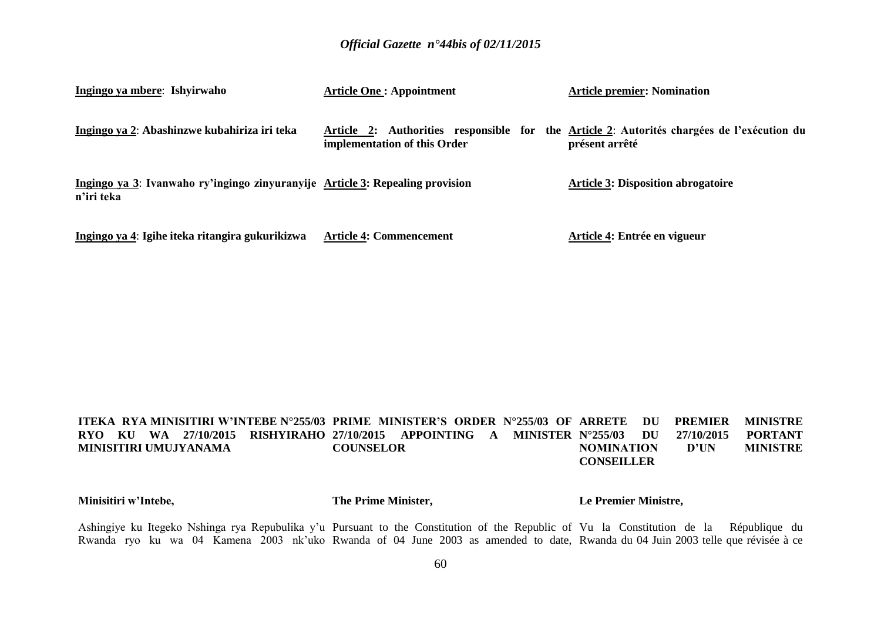| Ingingo ya mbere: Ishyirwaho                                                                | <b>Article One: Appointment</b> | <b>Article premier: Nomination</b>                                                                           |
|---------------------------------------------------------------------------------------------|---------------------------------|--------------------------------------------------------------------------------------------------------------|
| Ingingo ya 2: Abashinzwe kubahiriza iri teka                                                | implementation of this Order    | Article 2: Authorities responsible for the Article 2: Autorités chargées de l'exécution du<br>présent arrêté |
| Ingingo ya 3: Ivanwaho ry'ingingo zinyuranyije Article 3: Repealing provision<br>n'iri teka |                                 | <b>Article 3: Disposition abrogatoire</b>                                                                    |
| Ingingo ya 4: Igihe iteka ritangira gukurikizwa                                             | <b>Article 4: Commencement</b>  | Article 4: Entrée en vigueur                                                                                 |

#### **ITEKA RYA MINISITIRI W'INTEBE N°255/03 PRIME MINISTER'S ORDER N°255/03 OF RYO KU WA 27/10/2015 RISHYIRAHO 27/10/2015 APPOINTING A MINISTER MINISITIRI UMUJYANAMA COUNSELOR ARRETTE DU PREMIER MINISTRE N°255/03 DU 27/10/2015 PORTANT NOMINATION D'UN MINISTRE CONSEILLER**

#### **Minisitiri w'Intebe, The Prime Minister, Le Premier Ministre,**

Ashingiye ku Itegeko Nshinga rya Repubulika y'u Pursuant to the Constitution of the Republic of Vu la Constitution de la République du Rwanda ryo ku wa 04 Kamena 2003 nk'uko Rwanda of 04 June 2003 as amended to date, Rwanda du 04 Juin 2003 telle que révisée à ce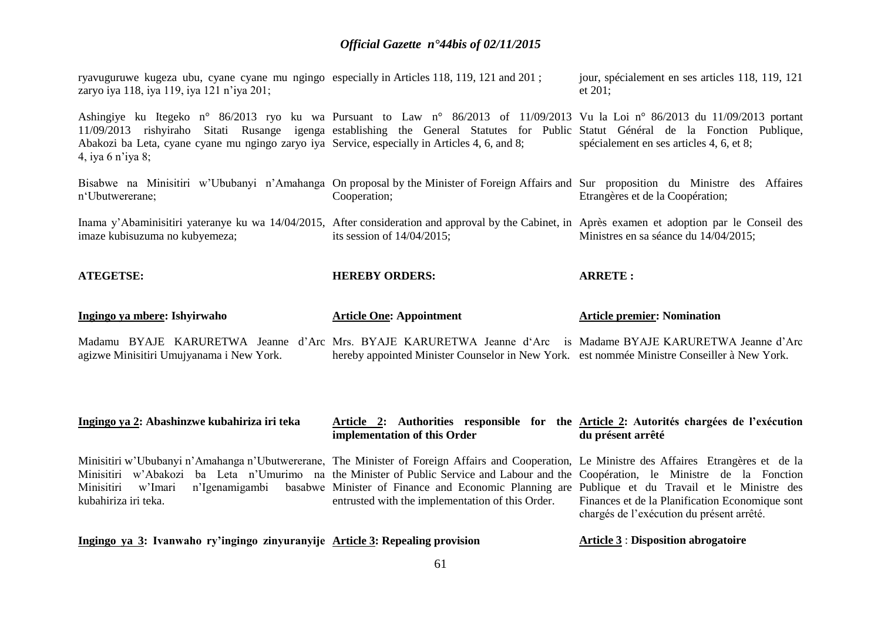ryavuguruwe kugeza ubu, cyane cyane mu ngingo especially in Articles 118, 119, 121 and 201 ; zaryo iya 118, iya 119, iya 121 n'iya 201; jour, spécialement en ses articles 118, 119, 121 et 201;

Ashingiye ku Itegeko n° 86/2013 ryo ku wa Pursuant to Law n° 86/2013 of 11/09/2013 Vu la Loi n° 86/2013 du 11/09/2013 portant 11/09/2013 rishyiraho Sitati Rusange igenga establishing the General Statutes for Public Statut Général de la Fonction Publique, Abakozi ba Leta, cyane cyane mu ngingo zaryo iya Service, especially in Articles 4, 6, and 8; 4, iya 6 n'iya 8; spécialement en ses articles 4, 6, et 8;

Bisabwe na Minisitiri w'Ububanyi n'Amahanga On proposal by the Minister of Foreign Affairs and Sur proposition du Ministre des Affaires n'Ubutwererane; Cooperation; Etrangères et de la Coopération;

Inama y'Abaminisitiri yateranye ku wa 14/04/2015, After consideration and approval by the Cabinet, in Après examen et adoption par le Conseil des imaze kubisuzuma no kubyemeza; its session of 14/04/2015; Ministres en sa séance du 14/04/2015;

| <b>ATEGETSE:</b> | <b>HEREBY ORDERS:</b> | ARRETE. |
|------------------|-----------------------|---------|
|                  |                       |         |

|  | <u>Ingingo ya mbere</u> : Ishyirwaho     |  |  | <b>Article One: Appointment</b> |  |  | <b>Article premier: Nomination</b>                                                                           |
|--|------------------------------------------|--|--|---------------------------------|--|--|--------------------------------------------------------------------------------------------------------------|
|  |                                          |  |  |                                 |  |  | Madamu BYAJE KARURETWA Jeanne d'Arc Mrs. BYAJE KARURETWA Jeanne d'Arc is Madame BYAJE KARURETWA Jeanne d'Arc |
|  | agizwe Minisitiri Umujyanama i New York. |  |  |                                 |  |  | hereby appointed Minister Counselor in New York. est nommée Ministre Conseiller à New York.                  |

#### **Ingingo ya 2: Abashinzwe kubahiriza iri teka Article 2: Authorities responsible for the Article 2: Autorités chargées de l'exécution implementation of this Order du présent arrêté**

Minisitiri w'Ububanyi n'Amahanga n'Ubutwererane, The Minister of Foreign Affairs and Cooperation, Le Ministre des Affaires Etrangères et de la Minisitiri w'Abakozi ba Leta n'Umurimo na the Minister of Public Service and Labour and the Coopération, le Ministre de la Fonction Minisitiri w'Imari n'Igenamigambi basabwe Minister of Finance and Economic Planning are Publique et du Travail et le Ministre des kubahiriza iri teka. entrusted with the implementation of this Order. Finances et de la Planification Economique sont chargés de l'exécution du présent arrêté.

### **Ingingo ya 3: Ivanwaho ry'ingingo zinyuranyije Article 3: Repealing provision**

**Article 3** : **Disposition abrogatoire**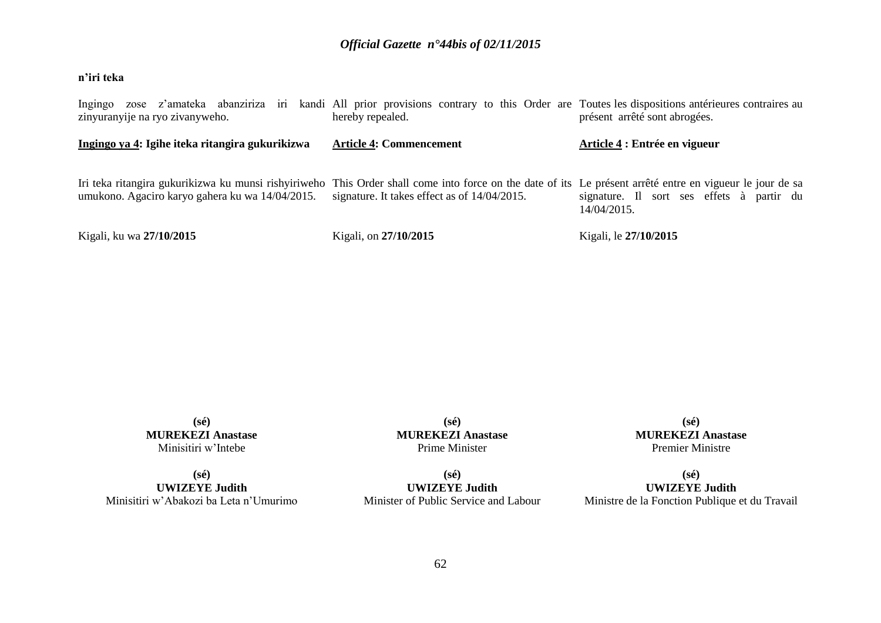## **n'iri teka**

| Ingingo zose z'amateka abanziriza iri kandi All prior provisions contrary to this Order are Toutes les dispositions antérieures contraires au<br>zinyuranyije na ryo zivanyweho.                             | hereby repealed.                             | présent arrêté sont abrogées.                            |
|--------------------------------------------------------------------------------------------------------------------------------------------------------------------------------------------------------------|----------------------------------------------|----------------------------------------------------------|
| Ingingo ya 4: Igihe iteka ritangira gukurikizwa                                                                                                                                                              | <b>Article 4: Commencement</b>               | Article 4 : Entrée en vigueur                            |
| Iri teka ritangira gukurikizwa ku munsi rishyiriweho This Order shall come into force on the date of its Le présent arrêté entre en vigueur le jour de sa<br>umukono. Agaciro karyo gahera ku wa 14/04/2015. | signature. It takes effect as of 14/04/2015. | signature. Il sort ses effets à partir du<br>14/04/2015. |
| Kigali, ku wa 27/10/2015                                                                                                                                                                                     | Kigali, on 27/10/2015                        | Kigali, le 27/10/2015                                    |

**(sé) MUREKEZI Anastase** Minisitiri w'Intebe

**(sé) UWIZEYE Judith** Minisitiri w'Abakozi ba Leta n'Umurimo

**(sé) MUREKEZI Anastase** Prime Minister

**(sé) UWIZEYE Judith** Minister of Public Service and Labour

**(sé) MUREKEZI Anastase** Premier Ministre

**(sé) UWIZEYE Judith** Ministre de la Fonction Publique et du Travail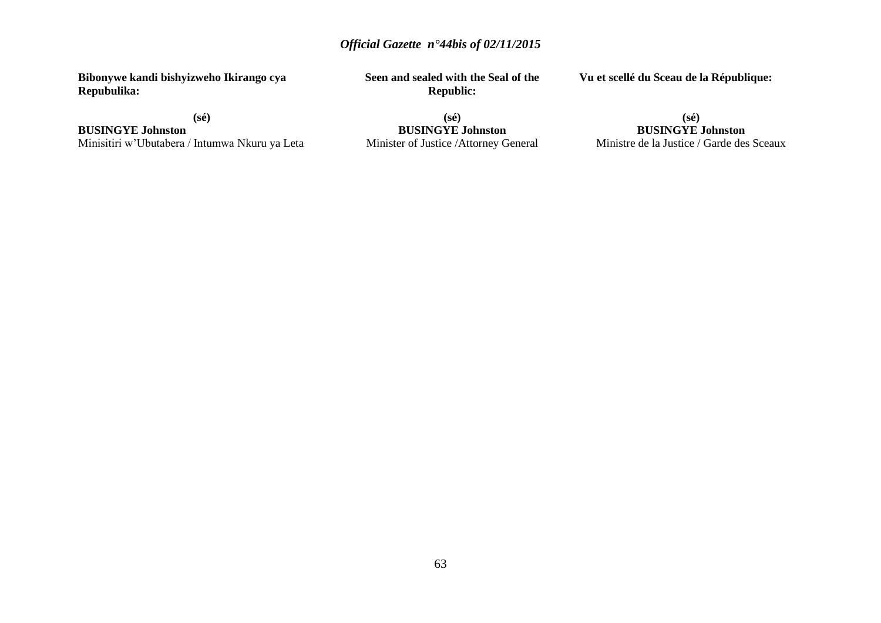**Bibonywe kandi bishyizweho Ikirango cya Repubulika:**

**(sé)**

**BUSINGYE Johnston** Minisitiri w'Ubutabera / Intumwa Nkuru ya Leta **Seen and sealed with the Seal of the Republic:**

**Vu et scellé du Sceau de la République:**

**(sé) BUSINGYE Johnston** Minister of Justice /Attorney General

### **(sé) BUSINGYE Johnston** Ministre de la Justice / Garde des Sceaux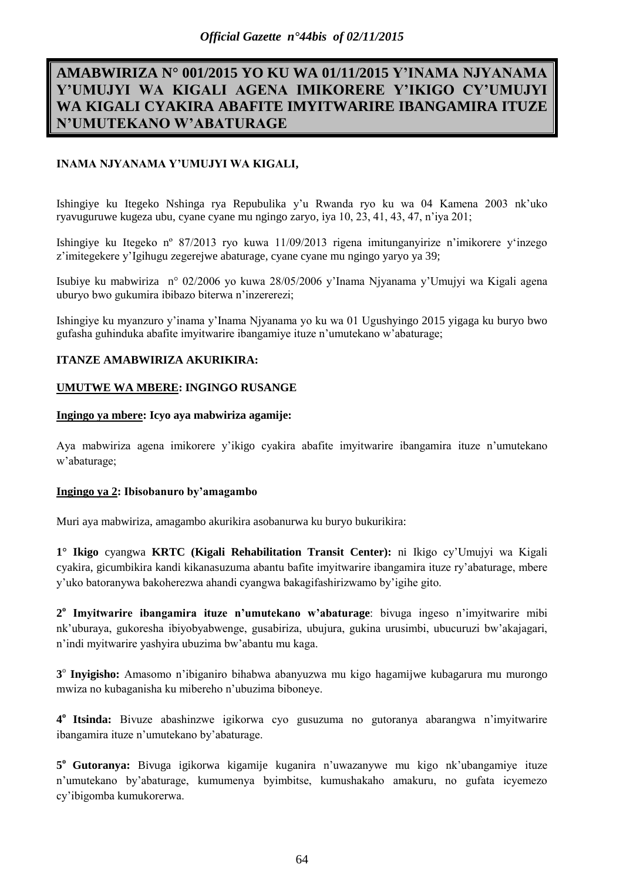# **AMABWIRIZA N° 001/2015 YO KU WA 01/11/2015 Y'INAMA NJYANAMA Y'UMUJYI WA KIGALI AGENA IMIKORERE Y'IKIGO CY'UMUJYI WA KIGALI CYAKIRA ABAFITE IMYITWARIRE IBANGAMIRA ITUZE N'UMUTEKANO W'ABATURAGE**

## **INAMA NJYANAMA Y'UMUJYI WA KIGALI,**

Ishingiye ku Itegeko Nshinga rya Repubulika y'u Rwanda ryo ku wa 04 Kamena 2003 nk'uko ryavuguruwe kugeza ubu, cyane cyane mu ngingo zaryo, iya 10, 23, 41, 43, 47, n'iya 201;

Ishingiye ku Itegeko nº 87/2013 ryo kuwa 11/09/2013 rigena imitunganyirize n'imikorere y'inzego z'imitegekere y'Igihugu zegerejwe abaturage, cyane cyane mu ngingo yaryo ya 39;

Isubiye ku mabwiriza n° 02/2006 yo kuwa 28/05/2006 y'Inama Njyanama y'Umujyi wa Kigali agena uburyo bwo gukumira ibibazo biterwa n'inzererezi;

Ishingiye ku myanzuro y'inama y'Inama Njyanama yo ku wa 01 Ugushyingo 2015 yigaga ku buryo bwo gufasha guhinduka abafite imyitwarire ibangamiye ituze n'umutekano w'abaturage;

## **ITANZE AMABWIRIZA AKURIKIRA:**

## **UMUTWE WA MBERE: INGINGO RUSANGE**

### **Ingingo ya mbere: Icyo aya mabwiriza agamije:**

Aya mabwiriza agena imikorere y'ikigo cyakira abafite imyitwarire ibangamira ituze n'umutekano w'abaturage;

### **Ingingo ya 2: Ibisobanuro by'amagambo**

Muri aya mabwiriza, amagambo akurikira asobanurwa ku buryo bukurikira:

**1° Ikigo** cyangwa **KRTC (Kigali Rehabilitation Transit Center):** ni Ikigo cy'Umujyi wa Kigali cyakira, gicumbikira kandi kikanasuzuma abantu bafite imyitwarire ibangamira ituze ry'abaturage, mbere y'uko batoranywa bakoherezwa ahandi cyangwa bakagifashirizwamo by'igihe gito.

**2 o Imyitwarire ibangamira ituze n'umutekano w'abaturage**: bivuga ingeso n'imyitwarire mibi nk'uburaya, gukoresha ibiyobyabwenge, gusabiriza, ubujura, gukina urusimbi, ubucuruzi bw'akajagari, n'indi myitwarire yashyira ubuzima bw'abantu mu kaga.

**3** o **Inyigisho:** Amasomo n'ibiganiro bihabwa abanyuzwa mu kigo hagamijwe kubagarura mu murongo mwiza no kubaganisha ku mibereho n'ubuzima biboneye.

**4 <sup>o</sup>Itsinda:** Bivuze abashinzwe igikorwa cyo gusuzuma no gutoranya abarangwa n'imyitwarire ibangamira ituze n'umutekano by'abaturage.

**5 <sup>o</sup>Gutoranya:** Bivuga igikorwa kigamije kuganira n'uwazanywe mu kigo nk'ubangamiye ituze n'umutekano by'abaturage, kumumenya byimbitse, kumushakaho amakuru, no gufata icyemezo cy'ibigomba kumukorerwa.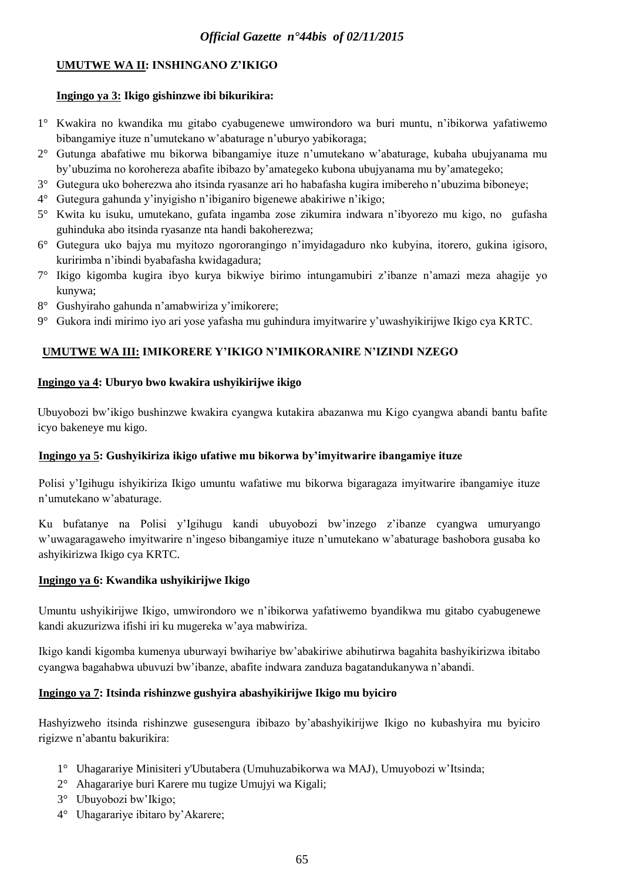## **UMUTWE WA II: INSHINGANO Z'IKIGO**

## **Ingingo ya 3: Ikigo gishinzwe ibi bikurikira:**

- 1° Kwakira no kwandika mu gitabo cyabugenewe umwirondoro wa buri muntu, n'ibikorwa yafatiwemo bibangamiye ituze n'umutekano w'abaturage n'uburyo yabikoraga;
- 2° Gutunga abafatiwe mu bikorwa bibangamiye ituze n'umutekano w'abaturage, kubaha ubujyanama mu by'ubuzima no korohereza abafite ibibazo by'amategeko kubona ubujyanama mu by'amategeko;
- 3° Gutegura uko boherezwa aho itsinda ryasanze ari ho habafasha kugira imibereho n'ubuzima biboneye;
- 4° Gutegura gahunda y'inyigisho n'ibiganiro bigenewe abakiriwe n'ikigo;
- 5° Kwita ku isuku, umutekano, gufata ingamba zose zikumira indwara n'ibyorezo mu kigo, no gufasha guhinduka abo itsinda ryasanze nta handi bakoherezwa;
- 6° Gutegura uko bajya mu myitozo ngororangingo n'imyidagaduro nko kubyina, itorero, gukina igisoro, kuririmba n'ibindi byabafasha kwidagadura;
- 7° Ikigo kigomba kugira ibyo kurya bikwiye birimo intungamubiri z'ibanze n'amazi meza ahagije yo kunywa;
- 8° Gushyiraho gahunda n'amabwiriza y'imikorere;
- 9° Gukora indi mirimo iyo ari yose yafasha mu guhindura imyitwarire y'uwashyikirijwe Ikigo cya KRTC.

## **UMUTWE WA III: IMIKORERE Y'IKIGO N'IMIKORANIRE N'IZINDI NZEGO**

## **Ingingo ya 4: Uburyo bwo kwakira ushyikirijwe ikigo**

Ubuyobozi bw'ikigo bushinzwe kwakira cyangwa kutakira abazanwa mu Kigo cyangwa abandi bantu bafite icyo bakeneye mu kigo.

## **Ingingo ya 5: Gushyikiriza ikigo ufatiwe mu bikorwa by'imyitwarire ibangamiye ituze**

Polisi y'Igihugu ishyikiriza Ikigo umuntu wafatiwe mu bikorwa bigaragaza imyitwarire ibangamiye ituze n'umutekano w'abaturage.

Ku bufatanye na Polisi y'Igihugu kandi ubuyobozi bw'inzego z'ibanze cyangwa umuryango w'uwagaragaweho imyitwarire n'ingeso bibangamiye ituze n'umutekano w'abaturage bashobora gusaba ko ashyikirizwa Ikigo cya KRTC.

## **Ingingo ya 6: Kwandika ushyikirijwe Ikigo**

Umuntu ushyikirijwe Ikigo, umwirondoro we n'ibikorwa yafatiwemo byandikwa mu gitabo cyabugenewe kandi akuzurizwa ifishi iri ku mugereka w'aya mabwiriza.

Ikigo kandi kigomba kumenya uburwayi bwihariye bw'abakiriwe abihutirwa bagahita bashyikirizwa ibitabo cyangwa bagahabwa ubuvuzi bw'ibanze, abafite indwara zanduza bagatandukanywa n'abandi.

## **Ingingo ya 7: Itsinda rishinzwe gushyira abashyikirijwe Ikigo mu byiciro**

Hashyizweho itsinda rishinzwe gusesengura ibibazo by'abashyikirijwe Ikigo no kubashyira mu byiciro rigizwe n'abantu bakurikira:

- 1° Uhagarariye Minisiteri y'Ubutabera (Umuhuzabikorwa wa MAJ), Umuyobozi w'Itsinda;
- 2° Ahagarariye buri Karere mu tugize Umujyi wa Kigali;
- 3° Ubuyobozi bw'Ikigo;
- 4° Uhagarariye ibitaro by'Akarere;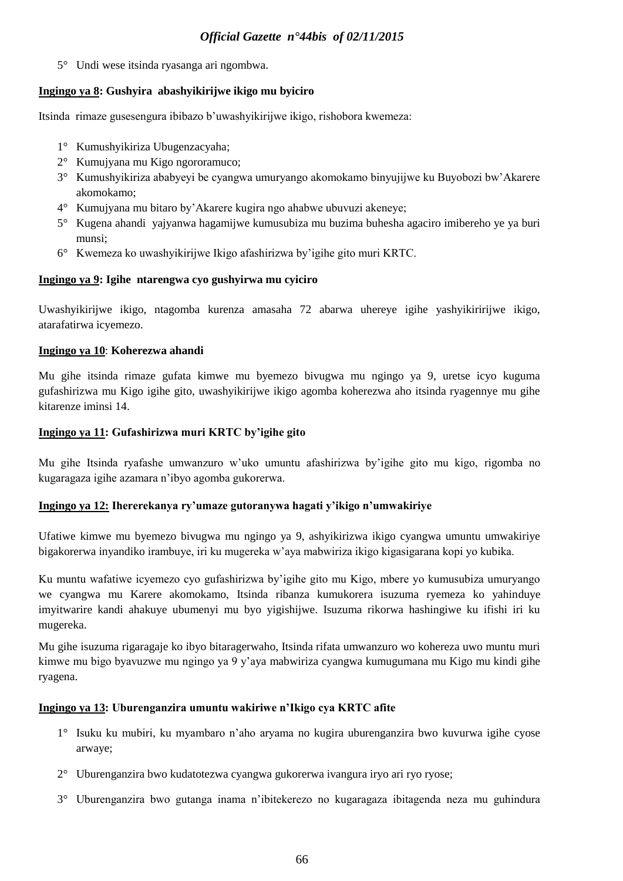5° Undi wese itsinda ryasanga ari ngombwa.

## **Ingingo ya 8: Gushyira abashyikirijwe ikigo mu byiciro**

Itsinda rimaze gusesengura ibibazo b'uwashyikirijwe ikigo, rishobora kwemeza:

- 1° Kumushyikiriza Ubugenzacyaha;
- 2° Kumujyana mu Kigo ngororamuco;
- 3° Kumushyikiriza ababyeyi be cyangwa umuryango akomokamo binyujijwe ku Buyobozi bw'Akarere akomokamo;
- 4° Kumujyana mu bitaro by'Akarere kugira ngo ahabwe ubuvuzi akeneye;
- 5° Kugena ahandi yajyanwa hagamijwe kumusubiza mu buzima buhesha agaciro imibereho ye ya buri munsi;
- 6° Kwemeza ko uwashyikirijwe Ikigo afashirizwa by'igihe gito muri KRTC.

## **Ingingo ya 9: Igihe ntarengwa cyo gushyirwa mu cyiciro**

Uwashyikirijwe ikigo, ntagomba kurenza amasaha 72 abarwa uhereye igihe yashyikiririjwe ikigo, atarafatirwa icyemezo.

## **Ingingo ya 10**: **Koherezwa ahandi**

Mu gihe itsinda rimaze gufata kimwe mu byemezo bivugwa mu ngingo ya 9, uretse icyo kuguma gufashirizwa mu Kigo igihe gito, uwashyikirijwe ikigo agomba koherezwa aho itsinda ryagennye mu gihe kitarenze iminsi 14.

## **Ingingo ya 11: Gufashirizwa muri KRTC by'igihe gito**

Mu gihe Itsinda ryafashe umwanzuro w'uko umuntu afashirizwa by'igihe gito mu kigo, rigomba no kugaragaza igihe azamara n'ibyo agomba gukorerwa.

## **Ingingo ya 12: Ihererekanya ry'umaze gutoranywa hagati y'ikigo n'umwakiriye**

Ufatiwe kimwe mu byemezo bivugwa mu ngingo ya 9, ashyikirizwa ikigo cyangwa umuntu umwakiriye bigakorerwa inyandiko irambuye, iri ku mugereka w'aya mabwiriza ikigo kigasigarana kopi yo kubika.

Ku muntu wafatiwe icyemezo cyo gufashirizwa by'igihe gito mu Kigo, mbere yo kumusubiza umuryango we cyangwa mu Karere akomokamo, Itsinda ribanza kumukorera isuzuma ryemeza ko yahinduye imyitwarire kandi ahakuye ubumenyi mu byo yigishijwe. Isuzuma rikorwa hashingiwe ku ifishi iri ku mugereka.

Mu gihe isuzuma rigaragaje ko ibyo bitaragerwaho, Itsinda rifata umwanzuro wo kohereza uwo muntu muri kimwe mu bigo byavuzwe mu ngingo ya 9 y'aya mabwiriza cyangwa kumugumana mu Kigo mu kindi gihe ryagena.

### **Ingingo ya 13: Uburenganzira umuntu wakiriwe n'Ikigo cya KRTC afite**

- 1° Isuku ku mubiri, ku myambaro n'aho aryama no kugira uburenganzira bwo kuvurwa igihe cyose arwaye;
- 2° Uburenganzira bwo kudatotezwa cyangwa gukorerwa ivangura iryo ari ryo ryose;
- 3° Uburenganzira bwo gutanga inama n'ibitekerezo no kugaragaza ibitagenda neza mu guhindura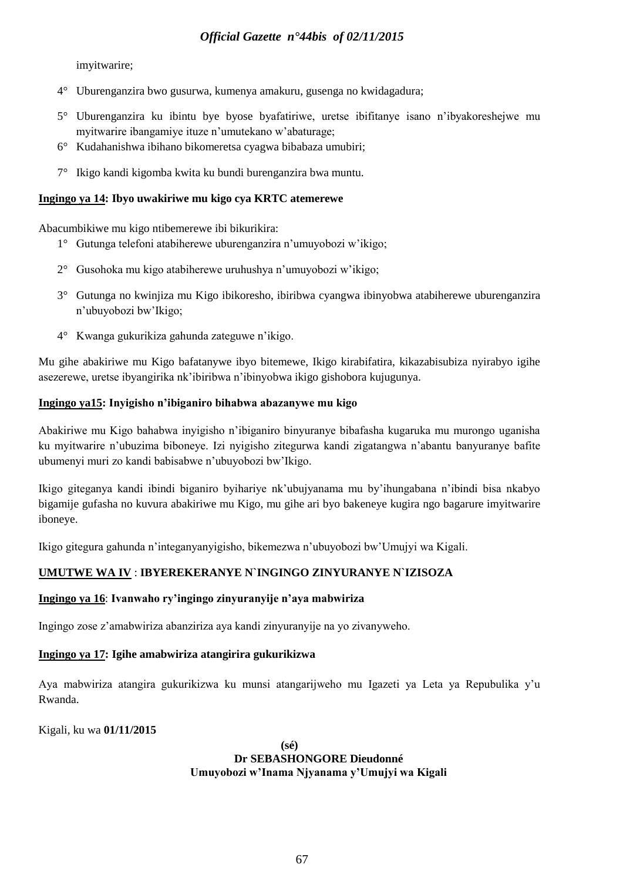imyitwarire;

- 4° Uburenganzira bwo gusurwa, kumenya amakuru, gusenga no kwidagadura;
- 5° Uburenganzira ku ibintu bye byose byafatiriwe, uretse ibifitanye isano n'ibyakoreshejwe mu myitwarire ibangamiye ituze n'umutekano w'abaturage;
- 6° Kudahanishwa ibihano bikomeretsa cyagwa bibabaza umubiri;
- 7° Ikigo kandi kigomba kwita ku bundi burenganzira bwa muntu.

### **Ingingo ya 14: Ibyo uwakiriwe mu kigo cya KRTC atemerewe**

Abacumbikiwe mu kigo ntibemerewe ibi bikurikira:

- 1° Gutunga telefoni atabiherewe uburenganzira n'umuyobozi w'ikigo;
- 2° Gusohoka mu kigo atabiherewe uruhushya n'umuyobozi w'ikigo;
- 3° Gutunga no kwinjiza mu Kigo ibikoresho, ibiribwa cyangwa ibinyobwa atabiherewe uburenganzira n'ubuyobozi bw'Ikigo;
- 4° Kwanga gukurikiza gahunda zateguwe n'ikigo.

Mu gihe abakiriwe mu Kigo bafatanywe ibyo bitemewe, Ikigo kirabifatira, kikazabisubiza nyirabyo igihe asezerewe, uretse ibyangirika nk'ibiribwa n'ibinyobwa ikigo gishobora kujugunya.

## **Ingingo ya15: Inyigisho n'ibiganiro bihabwa abazanywe mu kigo**

Abakiriwe mu Kigo bahabwa inyigisho n'ibiganiro binyuranye bibafasha kugaruka mu murongo uganisha ku myitwarire n'ubuzima biboneye. Izi nyigisho zitegurwa kandi zigatangwa n'abantu banyuranye bafite ubumenyi muri zo kandi babisabwe n'ubuyobozi bw'Ikigo.

Ikigo giteganya kandi ibindi biganiro byihariye nk'ubujyanama mu by'ihungabana n'ibindi bisa nkabyo bigamije gufasha no kuvura abakiriwe mu Kigo, mu gihe ari byo bakeneye kugira ngo bagarure imyitwarire iboneye.

Ikigo gitegura gahunda n'integanyanyigisho, bikemezwa n'ubuyobozi bw'Umujyi wa Kigali.

## **UMUTWE WA IV** : **IBYEREKERANYE N`INGINGO ZINYURANYE N`IZISOZA**

### **Ingingo ya 16**: **Ivanwaho ry'ingingo zinyuranyije n'aya mabwiriza**

Ingingo zose z'amabwiriza abanziriza aya kandi zinyuranyije na yo zivanyweho.

## **Ingingo ya 17: Igihe amabwiriza atangirira gukurikizwa**

Aya mabwiriza atangira gukurikizwa ku munsi atangarijweho mu Igazeti ya Leta ya Repubulika y'u Rwanda.

Kigali, ku wa **01/11/2015**

**(sé) Dr SEBASHONGORE Dieudonné Umuyobozi w'Inama Njyanama y'Umujyi wa Kigali**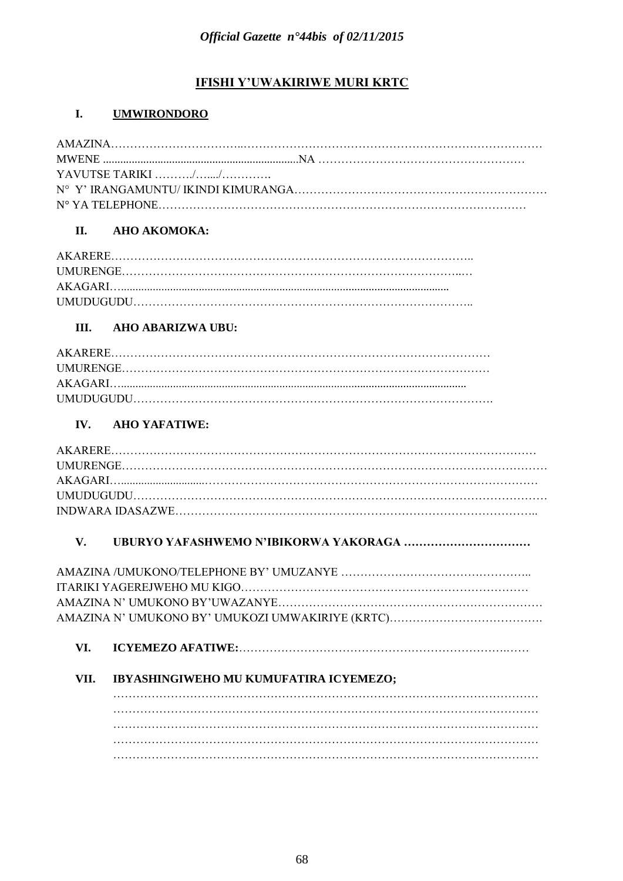# **IFISHI Y'UWAKIRIWE MURI KRTC**

#### I. **UMWIRONDORO**

| YAVUTSE TARIKI $\ldots \ldots \ldots \ldots \ldots \ldots \ldots \ldots$ |  |
|--------------------------------------------------------------------------|--|
|                                                                          |  |
|                                                                          |  |

#### II. AHO AKOMOKA:

#### III. **AHO ABARIZWA UBU:**

#### IV. **AHO YAFATIWE:**

#### V.

#### VI.

#### VII. IBYASHINGIWEHO MU KUMUFATIRA ICYEMEZO;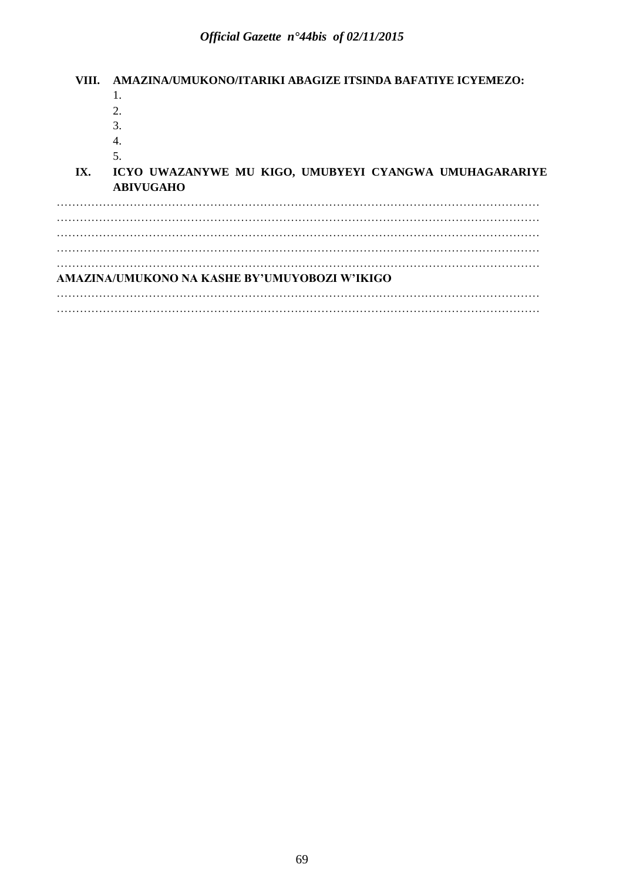**VIII. AMAZINA/UMUKONO/ITARIKI ABAGIZE ITSINDA BAFATIYE ICYEMEZO:**  1. 2. 3. 4. 5. **IX. ICYO UWAZANYWE MU KIGO, UMUBYEYI CYANGWA UMUHAGARARIYE ABIVUGAHO**  ……………………………………………………………………………………………………………… ……………………………………………………………………………………………………………… ……………………………………………………………………………………………………………… ……………………………………………………………………………………………………………… ……………………………………………………………………………………………………………… **AMAZINA/UMUKONO NA KASHE BY'UMUYOBOZI W'IKIGO** ……………………………………………………………………………………………………………… ………………………………………………………………………………………………………………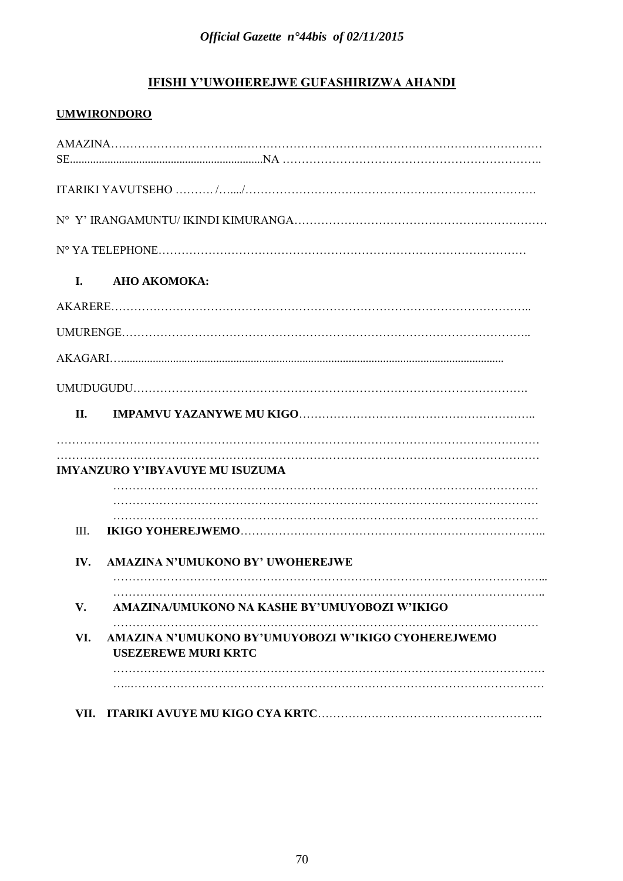# **IFISHI Y'UWOHEREJWE GUFASHIRIZWA AHANDI**

# **UMWIRONDORO**

| L.   | АНО АКОМОКА:                                                                      |
|------|-----------------------------------------------------------------------------------|
|      |                                                                                   |
|      |                                                                                   |
|      |                                                                                   |
|      |                                                                                   |
| II.  |                                                                                   |
|      |                                                                                   |
|      | <b>IMYANZURO Y'IBYAVUYE MU ISUZUMA</b>                                            |
|      |                                                                                   |
| III. |                                                                                   |
|      |                                                                                   |
| IV.  | AMAZINA N'UMUKONO BY' UWOHEREJWE                                                  |
| V.   | AMAZINA/UMUKONO NA KASHE BY'UMUYOBOZI W'IKIGO                                     |
| VI.  | AMAZINA N'UMUKONO BY'UMUYOBOZI W'IKIGO CYOHEREJWEMO<br><b>USEZEREWE MURI KRTC</b> |
|      |                                                                                   |
| VII. |                                                                                   |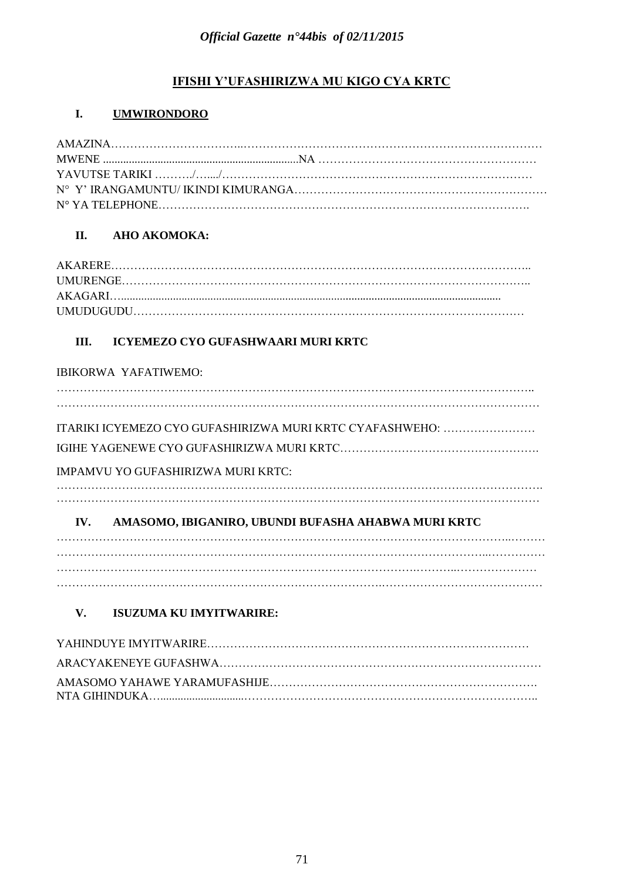# **IFISHI Y'UFASHIRIZWA MU KIGO CYA KRTC**

# **I. UMWIRONDORO**

# **II. AHO AKOMOKA:**

# **III. ICYEMEZO CYO GUFASHWAARI MURI KRTC**

|     | <b>IBIKORWA YAFATIWEMO:</b>                              |  |
|-----|----------------------------------------------------------|--|
|     |                                                          |  |
|     | ITARIKI ICYEMEZO CYO GUFASHIRIZWA MURI KRTC CYAFASHWEHO: |  |
|     |                                                          |  |
|     | IMPAMVU YO GUFASHIRIZWA MURI KRTC:                       |  |
|     |                                                          |  |
| IV. | AMASOMO, IBIGANIRO, UBUNDI BUFASHA AHABWA MURI KRTC      |  |
|     |                                                          |  |
|     |                                                          |  |
|     |                                                          |  |

# **V. ISUZUMA KU IMYITWARIRE:**